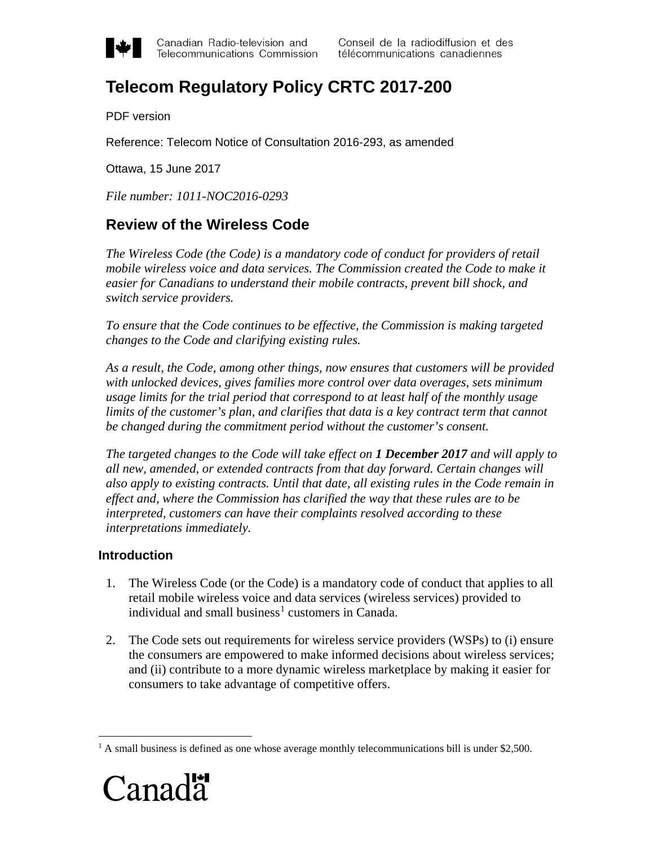

Canadian Radio-television and Telecommunications Commission

# **Telecom Regulatory Policy CRTC 2017-200**

PDF version

Reference: Telecom Notice of Consultation 2016-293, as amended

Ottawa, 15 June 2017

*File number: 1011-NOC2016-0293*

## **Review of the Wireless Code**

*The Wireless Code (the Code) is a mandatory code of conduct for providers of retail mobile wireless voice and data services. The Commission created the Code to make it easier for Canadians to understand their mobile contracts, prevent bill shock, and switch service providers.*

*To ensure that the Code continues to be effective, the Commission is making targeted changes to the Code and clarifying existing rules.*

*As a result, the Code, among other things, now ensures that customers will be provided with unlocked devices, gives families more control over data overages, sets minimum usage limits for the trial period that correspond to at least half of the monthly usage limits of the customer's plan, and clarifies that data is a key contract term that cannot be changed during the commitment period without the customer's consent.*

*The targeted changes to the Code will take effect on 1 December 2017 and will apply to all new, amended, or extended contracts from that day forward. Certain changes will also apply to existing contracts. Until that date, all existing rules in the Code remain in effect and, where the Commission has clarified the way that these rules are to be interpreted, customers can have their complaints resolved according to these interpretations immediately.*

## **Introduction**

- 1. The Wireless Code (or the Code) is a mandatory code of conduct that applies to all retail mobile wireless voice and data services (wireless services) provided to individual and small business<sup>[1](#page-0-0)</sup> customers in Canada.
- 2. The Code sets out requirements for wireless service providers (WSPs) to (i) ensure the consumers are empowered to make informed decisions about wireless services; and (ii) contribute to a more dynamic wireless marketplace by making it easier for consumers to take advantage of competitive offers.

<span id="page-0-0"></span><sup>&</sup>lt;sup>1</sup> A small business is defined as one whose average monthly telecommunications bill is under \$2,500.

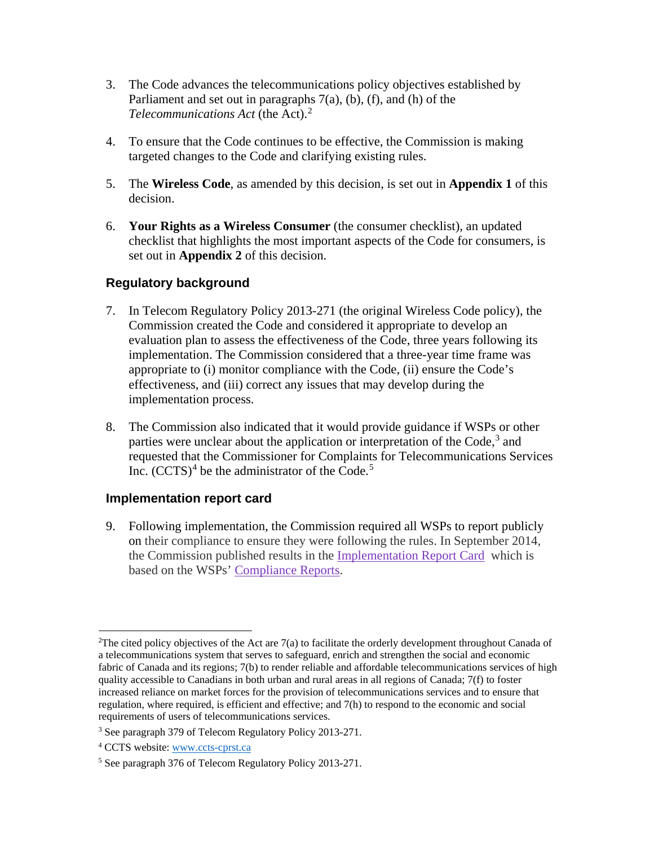- 3. The Code advances the telecommunications policy objectives established by Parliament and set out in paragraphs  $7(a)$ ,  $(b)$ ,  $(f)$ , and  $(h)$  of the *Telecommunications Act* (the Act). [2](#page-1-0)
- 4. To ensure that the Code continues to be effective, the Commission is making targeted changes to the Code and clarifying existing rules.
- 5. The **Wireless Code**, as amended by this decision, is set out in **Appendix 1** of this decision.
- 6. **Your Rights as a Wireless Consumer** (the consumer checklist), an updated checklist that highlights the most important aspects of the Code for consumers, is set out in **Appendix 2** of this decision.

## **Regulatory background**

- 7. In Telecom Regulatory Policy 2013-271 (the original Wireless Code policy), the Commission created the Code and considered it appropriate to develop an evaluation plan to assess the effectiveness of the Code, three years following its implementation. The Commission considered that a three-year time frame was appropriate to (i) monitor compliance with the Code, (ii) ensure the Code's effectiveness, and (iii) correct any issues that may develop during the implementation process.
- 8. The Commission also indicated that it would provide guidance if WSPs or other parties were unclear about the application or interpretation of the Code,<sup>[3](#page-1-1)</sup> and requested that the Commissioner for Complaints for Telecommunications Services Inc.  $(CCTS)^4$  $(CCTS)^4$  be the administrator of the Code.<sup>[5](#page-1-3)</sup>

## **Implementation report card**

9. Following implementation, the Commission required all WSPs to report publicly on their compliance to ensure they were following the rules. In September 2014, the Commission published results in the [Implementation Report Card](http://crtc.gc.ca/eng/publications/reports/rp140918.htm) which is based on the WSPs' [Compliance Reports.](https://services.crtc.gc.ca/pub/DocWebBroker/OpenDocument.aspx?Key=92619&Type=Notice)

<span id="page-1-0"></span> $\frac{1}{2}$ <sup>2</sup>The cited policy objectives of the Act are  $7(a)$  to facilitate the orderly development throughout Canada of a telecommunications system that serves to safeguard, enrich and strengthen the social and economic fabric of Canada and its regions; 7(b) to render reliable and affordable telecommunications services of high quality accessible to Canadians in both urban and rural areas in all regions of Canada; 7(f) to foster increased reliance on market forces for the provision of telecommunications services and to ensure that regulation, where required, is efficient and effective; and 7(h) to respond to the economic and social requirements of users of telecommunications services.

<span id="page-1-1"></span><sup>3</sup> See paragraph 379 of Telecom Regulatory Policy 2013-271.

<span id="page-1-2"></span><sup>4</sup> CCTS website: www.ccts-cprst.ca

<span id="page-1-3"></span><sup>5</sup> See paragraph 376 of Telecom Regulatory Policy 2013-271.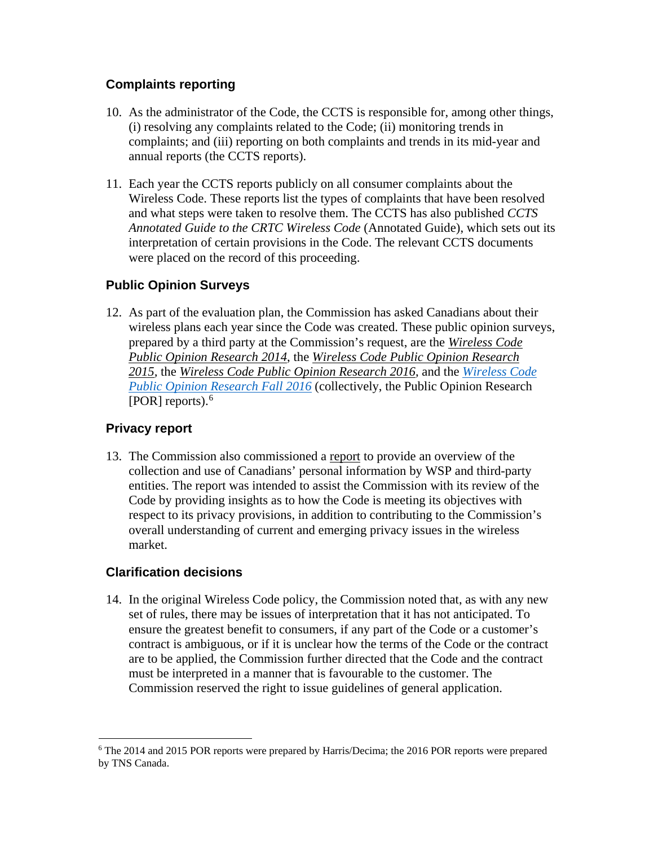## **Complaints reporting**

- 10. As the administrator of the Code, the CCTS is responsible for, among other things, (i) resolving any complaints related to the Code; (ii) monitoring trends in complaints; and (iii) reporting on both complaints and trends in its mid-year and annual reports (the CCTS reports).
- 11. Each year the [CCTS](https://www.ccts-cprst.ca/) reports publicly on all consumer complaints about the Wireless Code. These reports list the types of complaints that have been resolved and what steps were taken to resolve them. The CCTS has also published *CCTS Annotated Guide to the CRTC Wireless Code* (Annotated Guide), which sets out its interpretation of certain provisions in the Code. The relevant CCTS documents were placed on the record of this proceeding.

## **Public Opinion Surveys**

12. As part of the evaluation plan, the Commission has asked Canadians about their wireless plans each year since the Code was created. These public opinion surveys, prepared by a third party at the Commission's request, are the *[Wireless Code](http://epe.lac-bac.gc.ca/100/200/301/pwgsc-tpsgc/por-ef/crtc/2014/057-13-e/report.pdf)  [Public Opinion Research 2014](http://epe.lac-bac.gc.ca/100/200/301/pwgsc-tpsgc/por-ef/crtc/2014/057-13-e/report.pdf)*, the *[Wireless Code Public Opinion Research](http://epe.lac-bac.gc.ca/100/200/301/pwgsc-tpsgc/por-ef/crtc/2015/044-14-e/report.pdf)  [2015,](http://epe.lac-bac.gc.ca/100/200/301/pwgsc-tpsgc/por-ef/crtc/2015/044-14-e/report.pdf)* the *[Wireless Code Public Opinion Research 2016](http://epe.lac-bac.gc.ca/100/200/301/pwgsc-tpsgc/por-ef/crtc/2016/034-15-e/index.html)*, and the *[Wireless Code](http://epe.lac-bac.gc.ca/100/200/301/pwgsc-tpsgc/por-ef/crtc/2016/027-16-e/index.html)  [Public Opinion Research Fall 2016](http://epe.lac-bac.gc.ca/100/200/301/pwgsc-tpsgc/por-ef/crtc/2016/027-16-e/index.html)* (collectively, the Public Opinion Research [POR] reports). [6](#page-2-0)

## **Privacy report**

13. The Commission also commissioned a [report](http://crtc.gc.ca/eng/publications/reports/rp170106/rp170106.htm) to provide an overview of the collection and use of Canadians' personal information by WSP and third-party entities. The report was intended to assist the Commission with its review of the Code by providing insights as to how the Code is meeting its objectives with respect to its privacy provisions, in addition to contributing to the Commission's overall understanding of current and emerging privacy issues in the wireless market.

## **Clarification decisions**

14. In the original Wireless Code policy, the Commission noted that, as with any new set of rules, there may be issues of interpretation that it has not anticipated. To ensure the greatest benefit to consumers, if any part of the Code or a customer's contract is ambiguous, or if it is unclear how the terms of the Code or the contract are to be applied, the Commission further directed that the Code and the contract must be interpreted in a manner that is favourable to the customer. The Commission reserved the right to issue guidelines of general application.

<span id="page-2-0"></span> <sup>6</sup> The 2014 and 2015 POR reports were prepared by Harris/Decima; the 2016 POR reports were prepared by TNS Canada.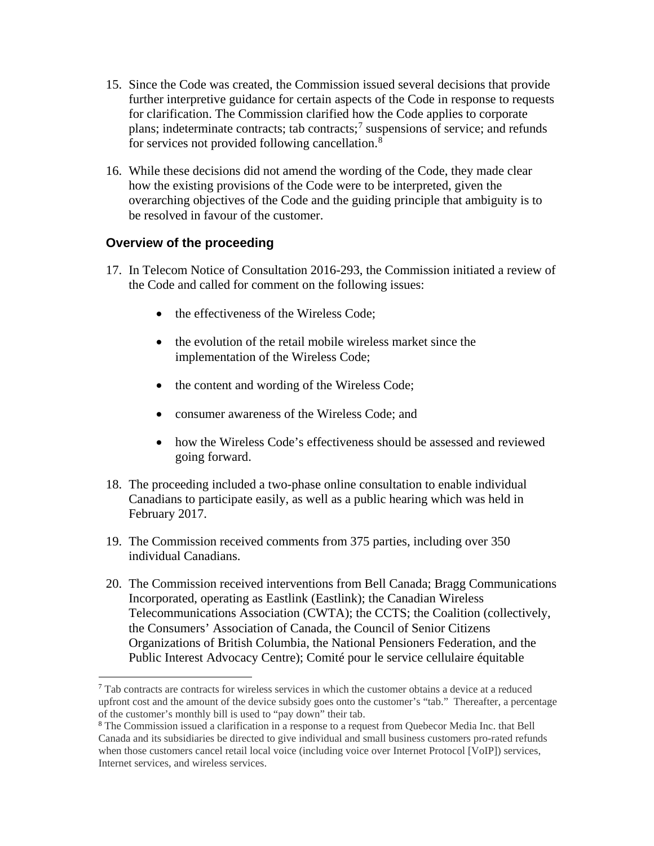- 15. Since the Code was created, the Commission issued several decisions that provide further interpretive guidance for certain aspects of the Code in response to requests for clarification. The Commission clarified how the Code applies to corporate plans; indeterminate contracts; tab contracts; [7](#page-3-0) suspensions of service; and refunds for services not provided following cancellation.<sup>[8](#page-3-1)</sup>
- 16. While these decisions did not amend the wording of the Code, they made clear how the existing provisions of the Code were to be interpreted, given the overarching objectives of the Code and the guiding principle that ambiguity is to be resolved in favour of the customer.

## **Overview of the proceeding**

- 17. In Telecom Notice of Consultation 2016-293, the Commission initiated a review of the Code and called for comment on the following issues:
	- the effectiveness of the Wireless Code;
	- the evolution of the retail mobile wireless market since the implementation of the Wireless Code;
	- the content and wording of the Wireless Code;
	- consumer awareness of the Wireless Code; and
	- how the Wireless Code's effectiveness should be assessed and reviewed going forward.
- 18. The proceeding included a two-phase online consultation to enable individual Canadians to participate easily, as well as a public hearing which was held in February 2017.
- 19. The Commission received comments from 375 parties, including over 350 individual Canadians.
- 20. The Commission received interventions from Bell Canada; Bragg Communications Incorporated, operating as Eastlink (Eastlink); the Canadian Wireless Telecommunications Association (CWTA); the CCTS; the Coalition (collectively, the Consumers' Association of Canada, the Council of Senior Citizens Organizations of British Columbia, the National Pensioners Federation, and the Public Interest Advocacy Centre); Comité pour le service cellulaire équitable

<span id="page-3-0"></span> <sup>7</sup> Tab contracts are contracts for wireless services in which the customer obtains a device at a reduced upfront cost and the amount of the device subsidy goes onto the customer's "tab." Thereafter, a percentage of the customer's monthly bill is used to "pay down" their tab.

<span id="page-3-1"></span><sup>8</sup> The Commission issued a clarification in a response to a request from Quebecor Media Inc. that Bell Canada and its subsidiaries be directed to give individual and small business customers pro-rated refunds when those customers cancel retail local voice (including voice over Internet Protocol [VoIP]) services, Internet services, and wireless services.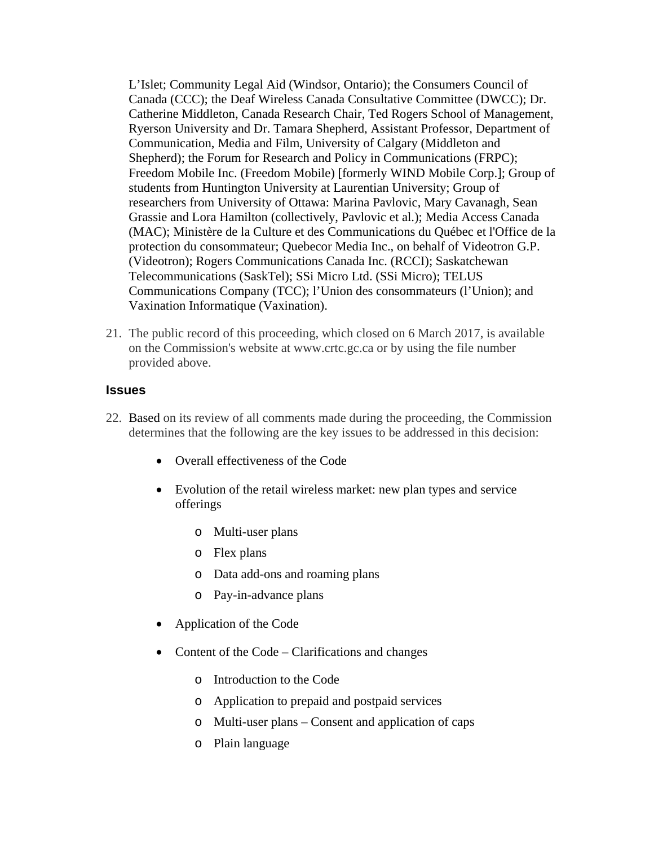L'Islet; Community Legal Aid (Windsor, Ontario); the Consumers Council of Canada (CCC); the Deaf Wireless Canada Consultative Committee (DWCC); Dr. Catherine Middleton, Canada Research Chair, Ted Rogers School of Management, Ryerson University and Dr. Tamara Shepherd, Assistant Professor, Department of Communication, Media and Film, University of Calgary (Middleton and Shepherd); the Forum for Research and Policy in Communications (FRPC); Freedom Mobile Inc. (Freedom Mobile) [formerly WIND Mobile Corp.]; Group of students from Huntington University at Laurentian University; Group of researchers from University of Ottawa: Marina Pavlovic, Mary Cavanagh, Sean Grassie and Lora Hamilton (collectively, Pavlovic et al.); Media Access Canada (MAC); Ministère de la Culture et des Communications du Québec et l'Office de la protection du consommateur; Quebecor Media Inc., on behalf of Videotron G.P. (Videotron); Rogers Communications Canada Inc. (RCCI); Saskatchewan Telecommunications (SaskTel); SSi Micro Ltd. (SSi Micro); TELUS Communications Company (TCC); l'Union des consommateurs (l'Union); and Vaxination Informatique (Vaxination).

21. The public record of this proceeding, which closed on 6 March 2017, is available on the Commission's website at www.crtc.gc.ca or by using the file number provided above.

#### **Issues**

- 22. Based on its review of all comments made during the proceeding, the Commission determines that the following are the key issues to be addressed in this decision:
	- Overall effectiveness of the Code
	- Evolution of the retail wireless market: new plan types and service offerings
		- o Multi-user plans
		- o Flex plans
		- o Data add-ons and roaming plans
		- o Pay-in-advance plans
	- Application of the Code
	- Content of the Code Clarifications and changes
		- o Introduction to the Code
		- o Application to prepaid and postpaid services
		- o Multi-user plans Consent and application of caps
		- o Plain language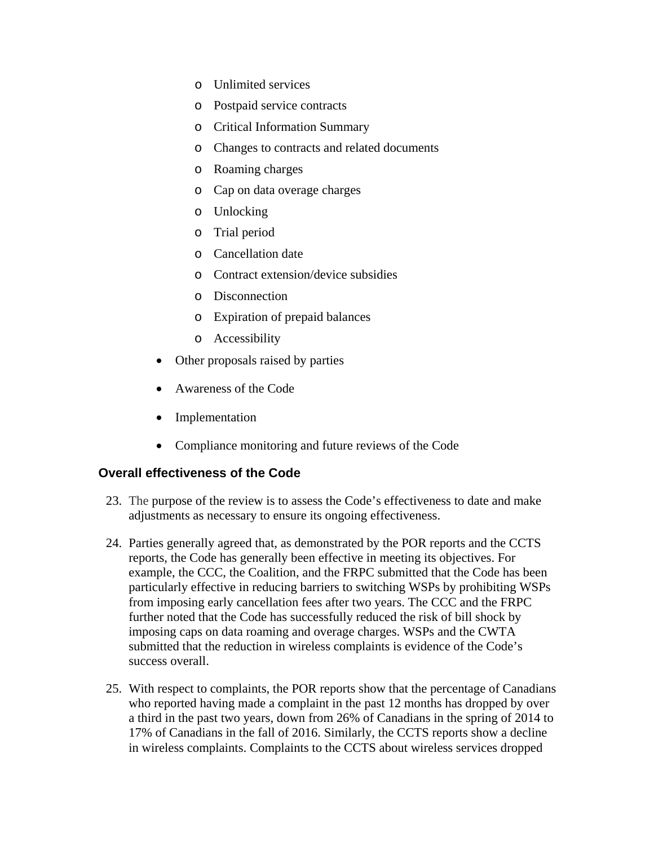- o Unlimited services
- o Postpaid service contracts
- o Critical Information Summary
- o Changes to contracts and related documents
- o Roaming charges
- o Cap on data overage charges
- o Unlocking
- o Trial period
- o Cancellation date
- o Contract extension/device subsidies
- o Disconnection
- o Expiration of prepaid balances
- o Accessibility
- Other proposals raised by parties
- Awareness of the Code
- **Implementation**
- Compliance monitoring and future reviews of the Code

## **Overall effectiveness of the Code**

- 23. The purpose of the review is to assess the Code's effectiveness to date and make adjustments as necessary to ensure its ongoing effectiveness.
- 24. Parties generally agreed that, as demonstrated by the POR reports and the CCTS reports, the Code has generally been effective in meeting its objectives. For example, the CCC, the Coalition, and the FRPC submitted that the Code has been particularly effective in reducing barriers to switching WSPs by prohibiting WSPs from imposing early cancellation fees after two years. The CCC and the FRPC further noted that the Code has successfully reduced the risk of bill shock by imposing caps on data roaming and overage charges. WSPs and the CWTA submitted that the reduction in wireless complaints is evidence of the Code's success overall.
- 25. With respect to complaints, the POR reports show that the percentage of Canadians who reported having made a complaint in the past 12 months has dropped by over a third in the past two years, down from 26% of Canadians in the spring of 2014 to 17% of Canadians in the fall of 2016. Similarly, the CCTS reports show a decline in wireless complaints. Complaints to the CCTS about wireless services dropped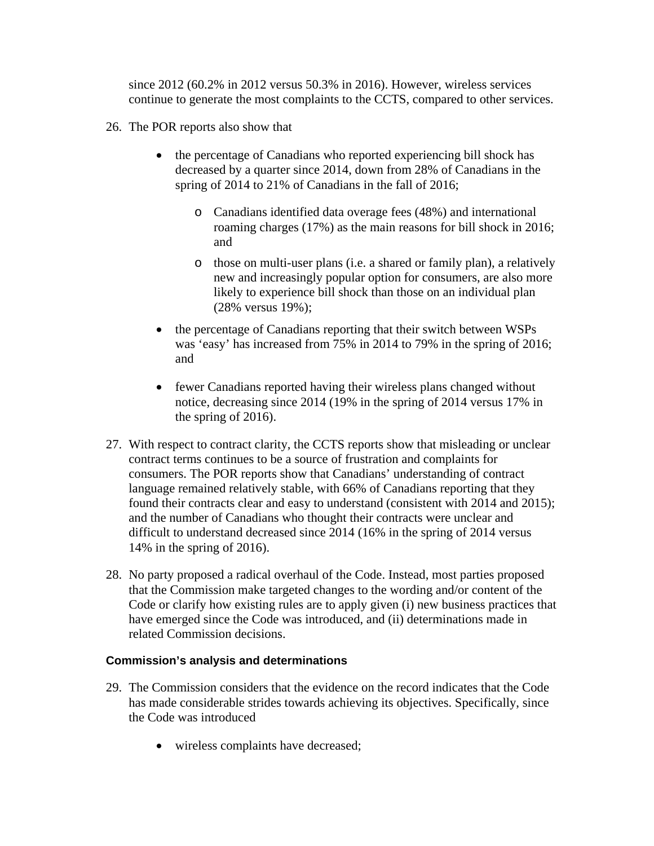since 2012 (60.2% in 2012 versus 50.3% in 2016). However, wireless services continue to generate the most complaints to the CCTS, compared to other services.

- 26. The POR reports also show that
	- the percentage of Canadians who reported experiencing bill shock has decreased by a quarter since 2014, down from 28% of Canadians in the spring of 2014 to 21% of Canadians in the fall of 2016;
		- o Canadians identified data overage fees (48%) and international roaming charges (17%) as the main reasons for bill shock in 2016; and
		- o those on multi-user plans (i.e. a shared or family plan), a relatively new and increasingly popular option for consumers, are also more likely to experience bill shock than those on an individual plan (28% versus 19%);
	- the percentage of Canadians reporting that their switch between WSPs was 'easy' has increased from 75% in 2014 to 79% in the spring of 2016; and
	- fewer Canadians reported having their wireless plans changed without notice, decreasing since 2014 (19% in the spring of 2014 versus 17% in the spring of 2016).
- 27. With respect to contract clarity, the CCTS reports show that misleading or unclear contract terms continues to be a source of frustration and complaints for consumers. The POR reports show that Canadians' understanding of contract language remained relatively stable, with 66% of Canadians reporting that they found their contracts clear and easy to understand (consistent with 2014 and 2015); and the number of Canadians who thought their contracts were unclear and difficult to understand decreased since 2014 (16% in the spring of 2014 versus 14% in the spring of 2016).
- 28. No party proposed a radical overhaul of the Code. Instead, most parties proposed that the Commission make targeted changes to the wording and/or content of the Code or clarify how existing rules are to apply given (i) new business practices that have emerged since the Code was introduced, and (ii) determinations made in related Commission decisions.

- 29. The Commission considers that the evidence on the record indicates that the Code has made considerable strides towards achieving its objectives. Specifically, since the Code was introduced
	- wireless complaints have decreased;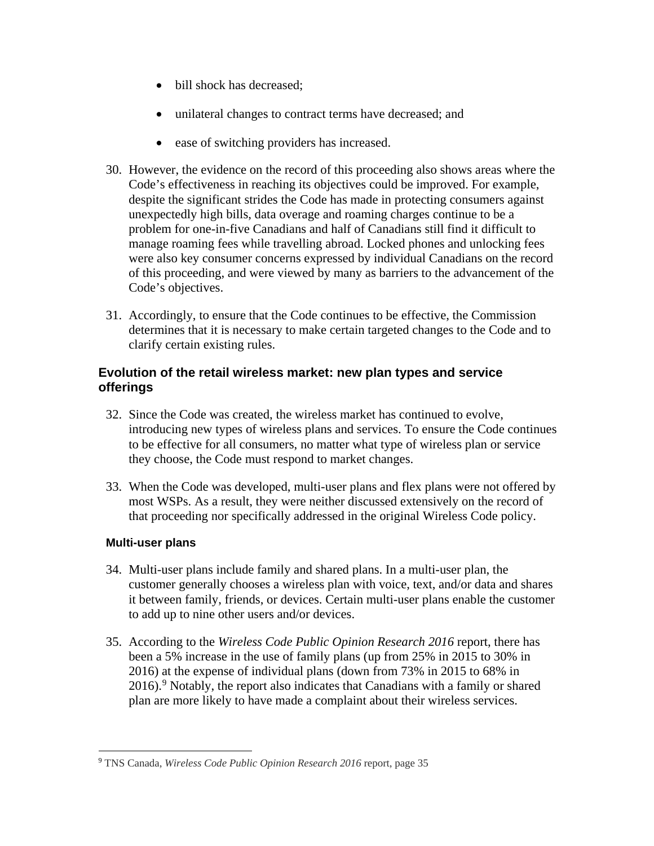- bill shock has decreased;
- unilateral changes to contract terms have decreased; and
- ease of switching providers has increased.
- 30. However, the evidence on the record of this proceeding also shows areas where the Code's effectiveness in reaching its objectives could be improved. For example, despite the significant strides the Code has made in protecting consumers against unexpectedly high bills, data overage and roaming charges continue to be a problem for one-in-five Canadians and half of Canadians still find it difficult to manage roaming fees while travelling abroad. Locked phones and unlocking fees were also key consumer concerns expressed by individual Canadians on the record of this proceeding, and were viewed by many as barriers to the advancement of the Code's objectives.
- 31. Accordingly, to ensure that the Code continues to be effective, the Commission determines that it is necessary to make certain targeted changes to the Code and to clarify certain existing rules.

## **Evolution of the retail wireless market: new plan types and service offerings**

- 32. Since the Code was created, the wireless market has continued to evolve, introducing new types of wireless plans and services. To ensure the Code continues to be effective for all consumers, no matter what type of wireless plan or service they choose, the Code must respond to market changes.
- 33. When the Code was developed, multi-user plans and flex plans were not offered by most WSPs. As a result, they were neither discussed extensively on the record of that proceeding nor specifically addressed in the original Wireless Code policy.

## **Multi-user plans**

- 34. Multi-user plans include family and shared plans. In a multi-user plan, the customer generally chooses a wireless plan with voice, text, and/or data and shares it between family, friends, or devices. Certain multi-user plans enable the customer to add up to nine other users and/or devices.
- 35. According to the *Wireless Code Public Opinion Research 2016* report, there has been a 5% increase in the use of family plans (up from 25% in 2015 to 30% in 2016) at the expense of individual plans (down from 73% in 2015 to 68% in 2016).<sup>[9](#page-7-0)</sup> Notably, the report also indicates that Canadians with a family or shared plan are more likely to have made a complaint about their wireless services.

<span id="page-7-0"></span> <sup>9</sup> TNS Canada, *Wireless Code Public Opinion Research 2016* report, page 35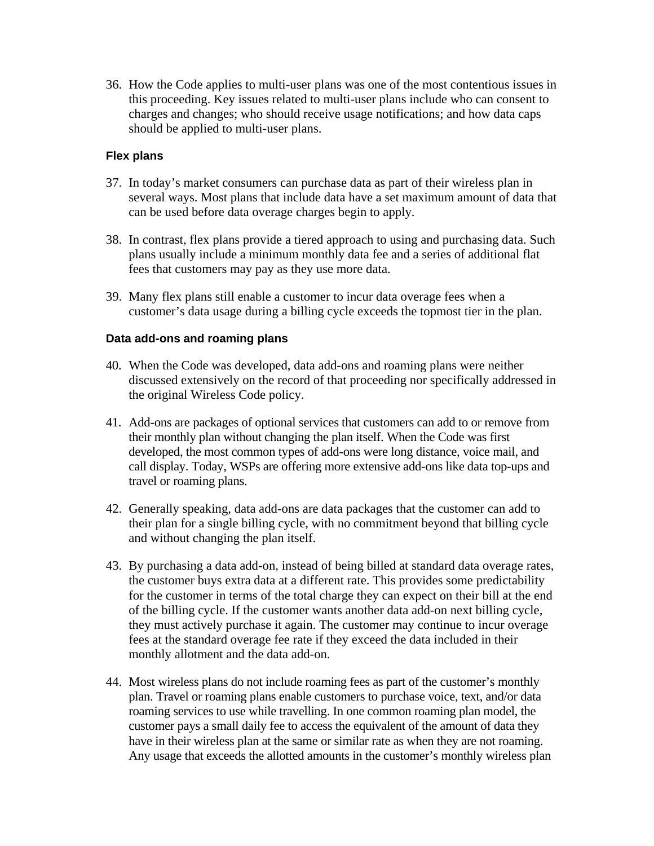36. How the Code applies to multi-user plans was one of the most contentious issues in this proceeding. Key issues related to multi-user plans include who can consent to charges and changes; who should receive usage notifications; and how data caps should be applied to multi-user plans.

#### **Flex plans**

- 37. In today's market consumers can purchase data as part of their wireless plan in several ways. Most plans that include data have a set maximum amount of data that can be used before data overage charges begin to apply.
- 38. In contrast, flex plans provide a tiered approach to using and purchasing data. Such plans usually include a minimum monthly data fee and a series of additional flat fees that customers may pay as they use more data.
- 39. Many flex plans still enable a customer to incur data overage fees when a customer's data usage during a billing cycle exceeds the topmost tier in the plan.

#### **Data add-ons and roaming plans**

- 40. When the Code was developed, data add-ons and roaming plans were neither discussed extensively on the record of that proceeding nor specifically addressed in the original Wireless Code policy.
- 41. Add-ons are packages of optional services that customers can add to or remove from their monthly plan without changing the plan itself. When the Code was first developed, the most common types of add-ons were long distance, voice mail, and call display. Today, WSPs are offering more extensive add-ons like data top-ups and travel or roaming plans.
- 42. Generally speaking, data add-ons are data packages that the customer can add to their plan for a single billing cycle, with no commitment beyond that billing cycle and without changing the plan itself.
- 43. By purchasing a data add-on, instead of being billed at standard data overage rates, the customer buys extra data at a different rate. This provides some predictability for the customer in terms of the total charge they can expect on their bill at the end of the billing cycle. If the customer wants another data add-on next billing cycle, they must actively purchase it again. The customer may continue to incur overage fees at the standard overage fee rate if they exceed the data included in their monthly allotment and the data add-on.
- 44. Most wireless plans do not include roaming fees as part of the customer's monthly plan. Travel or roaming plans enable customers to purchase voice, text, and/or data roaming services to use while travelling. In one common roaming plan model, the customer pays a small daily fee to access the equivalent of the amount of data they have in their wireless plan at the same or similar rate as when they are not roaming. Any usage that exceeds the allotted amounts in the customer's monthly wireless plan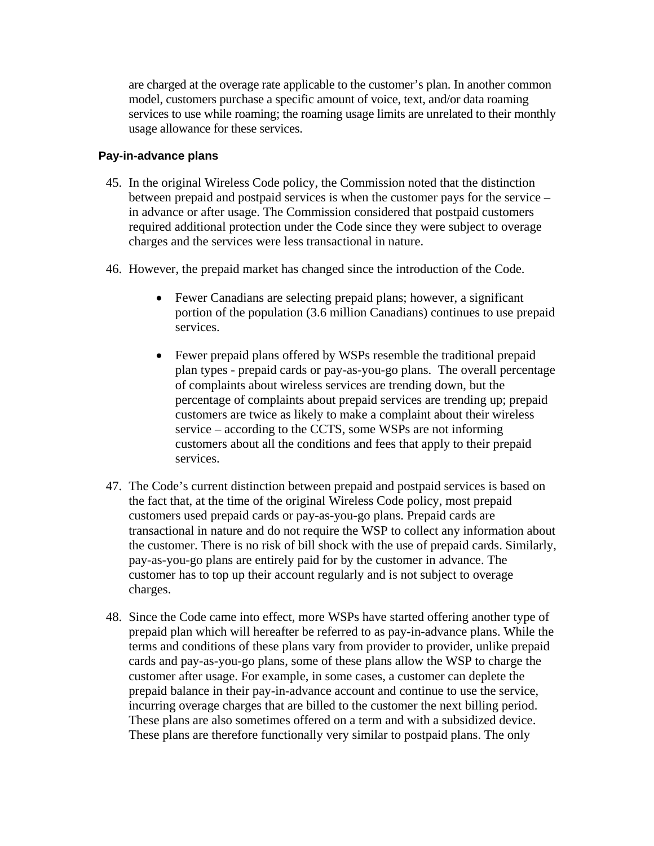are charged at the overage rate applicable to the customer's plan. In another common model, customers purchase a specific amount of voice, text, and/or data roaming services to use while roaming; the roaming usage limits are unrelated to their monthly usage allowance for these services.

#### **Pay-in-advance plans**

- 45. In the original Wireless Code policy, the Commission noted that the distinction between prepaid and postpaid services is when the customer pays for the service – in advance or after usage. The Commission considered that postpaid customers required additional protection under the Code since they were subject to overage charges and the services were less transactional in nature.
- 46. However, the prepaid market has changed since the introduction of the Code.
	- Fewer Canadians are selecting prepaid plans; however, a significant portion of the population (3.6 million Canadians) continues to use prepaid services.
	- Fewer prepaid plans offered by WSPs resemble the traditional prepaid plan types - prepaid cards or pay-as-you-go plans. The overall percentage of complaints about wireless services are trending down, but the percentage of complaints about prepaid services are trending up; prepaid customers are twice as likely to make a complaint about their wireless service – according to the CCTS, some WSPs are not informing customers about all the conditions and fees that apply to their prepaid services.
- 47. The Code's current distinction between prepaid and postpaid services is based on the fact that, at the time of the original Wireless Code policy, most prepaid customers used prepaid cards or pay-as-you-go plans. Prepaid cards are transactional in nature and do not require the WSP to collect any information about the customer. There is no risk of bill shock with the use of prepaid cards. Similarly, pay-as-you-go plans are entirely paid for by the customer in advance. The customer has to top up their account regularly and is not subject to overage charges.
- 48. Since the Code came into effect, more WSPs have started offering another type of prepaid plan which will hereafter be referred to as pay-in-advance plans. While the terms and conditions of these plans vary from provider to provider, unlike prepaid cards and pay-as-you-go plans, some of these plans allow the WSP to charge the customer after usage. For example, in some cases, a customer can deplete the prepaid balance in their pay-in-advance account and continue to use the service, incurring overage charges that are billed to the customer the next billing period. These plans are also sometimes offered on a term and with a subsidized device. These plans are therefore functionally very similar to postpaid plans. The only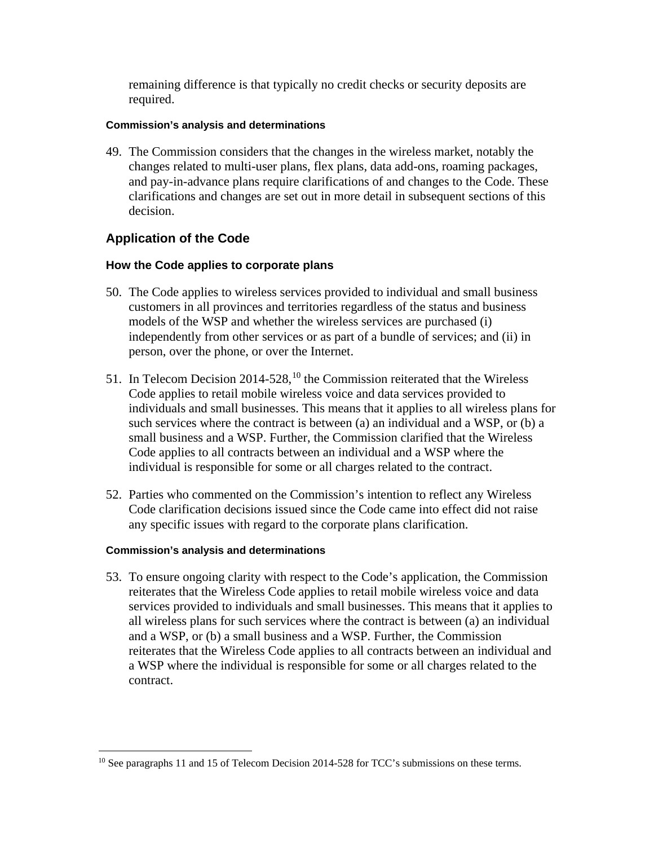remaining difference is that typically no credit checks or security deposits are required.

#### **Commission's analysis and determinations**

49. The Commission considers that the changes in the wireless market, notably the changes related to multi-user plans, flex plans, data add-ons, roaming packages, and pay-in-advance plans require clarifications of and changes to the Code. These clarifications and changes are set out in more detail in subsequent sections of this decision.

## **Application of the Code**

## **How the Code applies to corporate plans**

- 50. The Code applies to wireless services provided to individual and small business customers in all provinces and territories regardless of the status and business models of the WSP and whether the wireless services are purchased (i) independently from other services or as part of a bundle of services; and (ii) in person, over the phone, or over the Internet.
- 51. In Telecom Decision 2014-528,  $^{10}$  $^{10}$  $^{10}$  the Commission reiterated that the Wireless Code applies to retail mobile wireless voice and data services provided to individuals and small businesses. This means that it applies to all wireless plans for such services where the contract is between (a) an individual and a WSP, or (b) a small business and a WSP. Further, the Commission clarified that the Wireless Code applies to all contracts between an individual and a WSP where the individual is responsible for some or all charges related to the contract.
- 52. Parties who commented on the Commission's intention to reflect any Wireless Code clarification decisions issued since the Code came into effect did not raise any specific issues with regard to the corporate plans clarification.

#### **Commission's analysis and determinations**

53. To ensure ongoing clarity with respect to the Code's application, the Commission reiterates that the Wireless Code applies to retail mobile wireless voice and data services provided to individuals and small businesses. This means that it applies to all wireless plans for such services where the contract is between (a) an individual and a WSP, or (b) a small business and a WSP. Further, the Commission reiterates that the Wireless Code applies to all contracts between an individual and a WSP where the individual is responsible for some or all charges related to the contract.

<span id="page-10-0"></span><sup>&</sup>lt;sup>10</sup> See paragraphs 11 and 15 of Telecom Decision 2014-528 for TCC's submissions on these terms.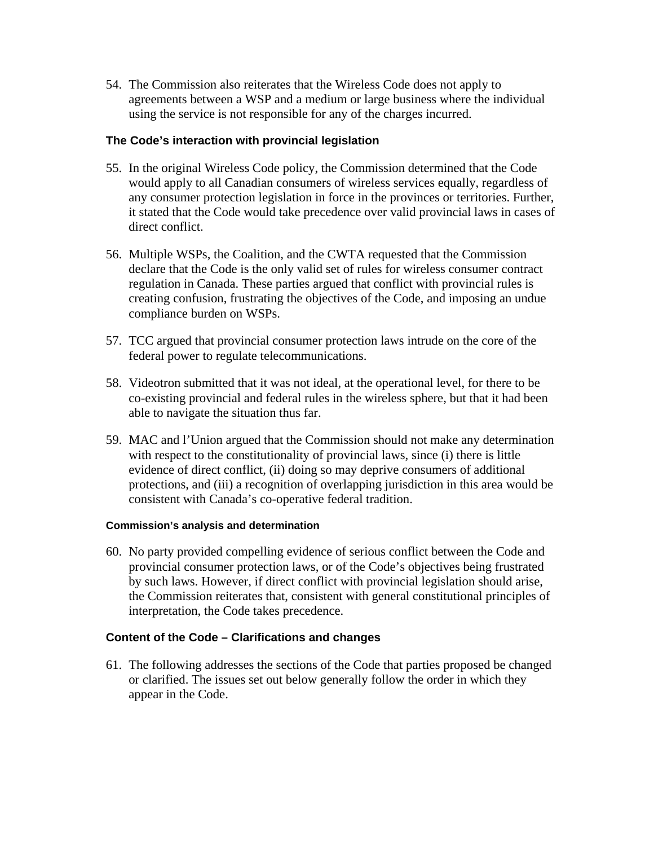54. The Commission also reiterates that the Wireless Code does not apply to agreements between a WSP and a medium or large business where the individual using the service is not responsible for any of the charges incurred.

#### **The Code's interaction with provincial legislation**

- 55. In the original Wireless Code policy, the Commission determined that the Code would apply to all Canadian consumers of wireless services equally, regardless of any consumer protection legislation in force in the provinces or territories. Further, it stated that the Code would take precedence over valid provincial laws in cases of direct conflict.
- 56. Multiple WSPs, the Coalition, and the CWTA requested that the Commission declare that the Code is the only valid set of rules for wireless consumer contract regulation in Canada. These parties argued that conflict with provincial rules is creating confusion, frustrating the objectives of the Code, and imposing an undue compliance burden on WSPs.
- 57. TCC argued that provincial consumer protection laws intrude on the core of the federal power to regulate telecommunications.
- 58. Videotron submitted that it was not ideal, at the operational level, for there to be co-existing provincial and federal rules in the wireless sphere, but that it had been able to navigate the situation thus far.
- 59. MAC and l'Union argued that the Commission should not make any determination with respect to the constitutionality of provincial laws, since (i) there is little evidence of direct conflict, (ii) doing so may deprive consumers of additional protections, and (iii) a recognition of overlapping jurisdiction in this area would be consistent with Canada's co-operative federal tradition.

#### **Commission's analysis and determination**

60. No party provided compelling evidence of serious conflict between the Code and provincial consumer protection laws, or of the Code's objectives being frustrated by such laws. However, if direct conflict with provincial legislation should arise, the Commission reiterates that, consistent with general constitutional principles of interpretation, the Code takes precedence.

#### **Content of the Code – Clarifications and changes**

61. The following addresses the sections of the Code that parties proposed be changed or clarified. The issues set out below generally follow the order in which they appear in the Code.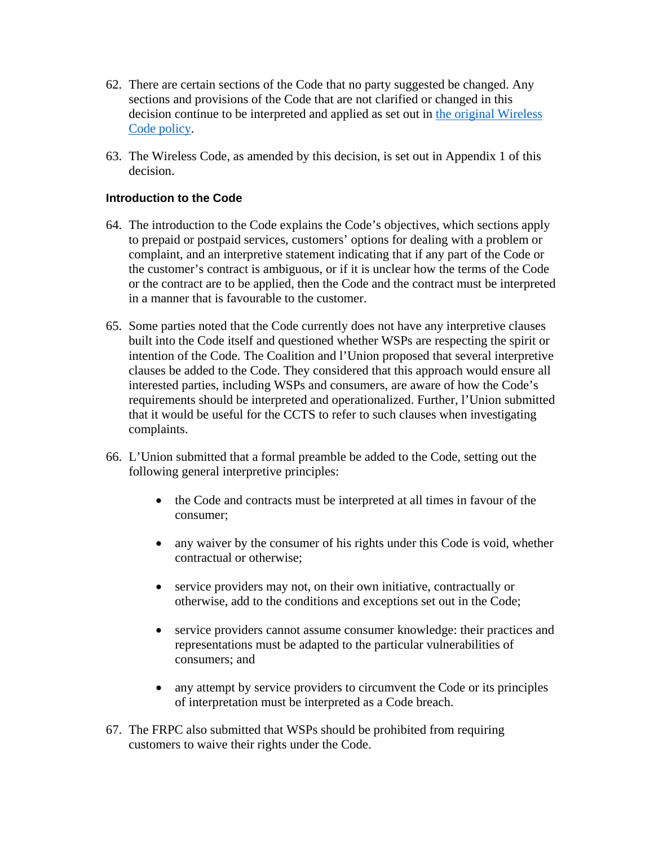- 62. There are certain sections of the Code that no party suggested be changed. Any sections and provisions of the Code that are not clarified or changed in this decision continue to be interpreted and applied as set out in [the](http://www.crtc.gc.ca/eng/archive/2013/2013-271.htm) original Wireless Code policy.
- 63. The Wireless Code, as amended by this decision, is set out in Appendix 1 of this decision.

## **Introduction to the Code**

- 64. The introduction to the Code explains the Code's objectives, which sections apply to prepaid or postpaid services, customers' options for dealing with a problem or complaint, and an interpretive statement indicating that if any part of the Code or the customer's contract is ambiguous, or if it is unclear how the terms of the Code or the contract are to be applied, then the Code and the contract must be interpreted in a manner that is favourable to the customer.
- 65. Some parties noted that the Code currently does not have any interpretive clauses built into the Code itself and questioned whether WSPs are respecting the spirit or intention of the Code. The Coalition and l'Union proposed that several interpretive clauses be added to the Code. They considered that this approach would ensure all interested parties, including WSPs and consumers, are aware of how the Code's requirements should be interpreted and operationalized. Further, l'Union submitted that it would be useful for the CCTS to refer to such clauses when investigating complaints.
- 66. L'Union submitted that a formal preamble be added to the Code, setting out the following general interpretive principles:
	- the Code and contracts must be interpreted at all times in favour of the consumer;
	- any waiver by the consumer of his rights under this Code is void, whether contractual or otherwise;
	- service providers may not, on their own initiative, contractually or otherwise, add to the conditions and exceptions set out in the Code;
	- service providers cannot assume consumer knowledge: their practices and representations must be adapted to the particular vulnerabilities of consumers; and
	- any attempt by service providers to circumvent the Code or its principles of interpretation must be interpreted as a Code breach.
- 67. The FRPC also submitted that WSPs should be prohibited from requiring customers to waive their rights under the Code.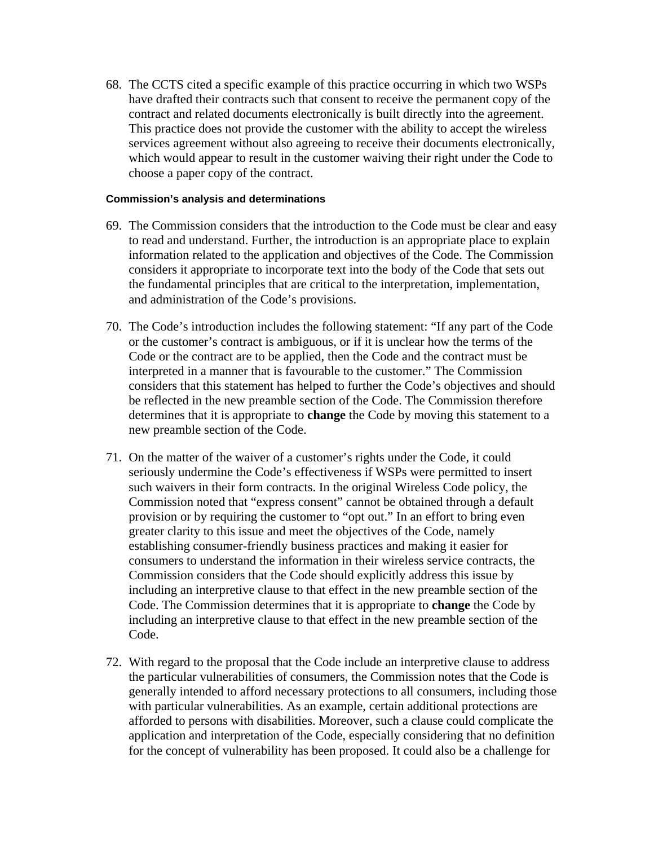68. The CCTS cited a specific example of this practice occurring in which two WSPs have drafted their contracts such that consent to receive the permanent copy of the contract and related documents electronically is built directly into the agreement. This practice does not provide the customer with the ability to accept the wireless services agreement without also agreeing to receive their documents electronically, which would appear to result in the customer waiving their right under the Code to choose a paper copy of the contract.

- 69. The Commission considers that the introduction to the Code must be clear and easy to read and understand. Further, the introduction is an appropriate place to explain information related to the application and objectives of the Code. The Commission considers it appropriate to incorporate text into the body of the Code that sets out the fundamental principles that are critical to the interpretation, implementation, and administration of the Code's provisions.
- 70. The Code's introduction includes the following statement: "If any part of the Code or the customer's contract is ambiguous, or if it is unclear how the terms of the Code or the contract are to be applied, then the Code and the contract must be interpreted in a manner that is favourable to the customer." The Commission considers that this statement has helped to further the Code's objectives and should be reflected in the new preamble section of the Code. The Commission therefore determines that it is appropriate to **change** the Code by moving this statement to a new preamble section of the Code.
- 71. On the matter of the waiver of a customer's rights under the Code, it could seriously undermine the Code's effectiveness if WSPs were permitted to insert such waivers in their form contracts. In the original Wireless Code policy, the Commission noted that "express consent" cannot be obtained through a default provision or by requiring the customer to "opt out." In an effort to bring even greater clarity to this issue and meet the objectives of the Code, namely establishing consumer-friendly business practices and making it easier for consumers to understand the information in their wireless service contracts, the Commission considers that the Code should explicitly address this issue by including an interpretive clause to that effect in the new preamble section of the Code. The Commission determines that it is appropriate to **change** the Code by including an interpretive clause to that effect in the new preamble section of the Code.
- 72. With regard to the proposal that the Code include an interpretive clause to address the particular vulnerabilities of consumers, the Commission notes that the Code is generally intended to afford necessary protections to all consumers, including those with particular vulnerabilities. As an example, certain additional protections are afforded to persons with disabilities. Moreover, such a clause could complicate the application and interpretation of the Code, especially considering that no definition for the concept of vulnerability has been proposed. It could also be a challenge for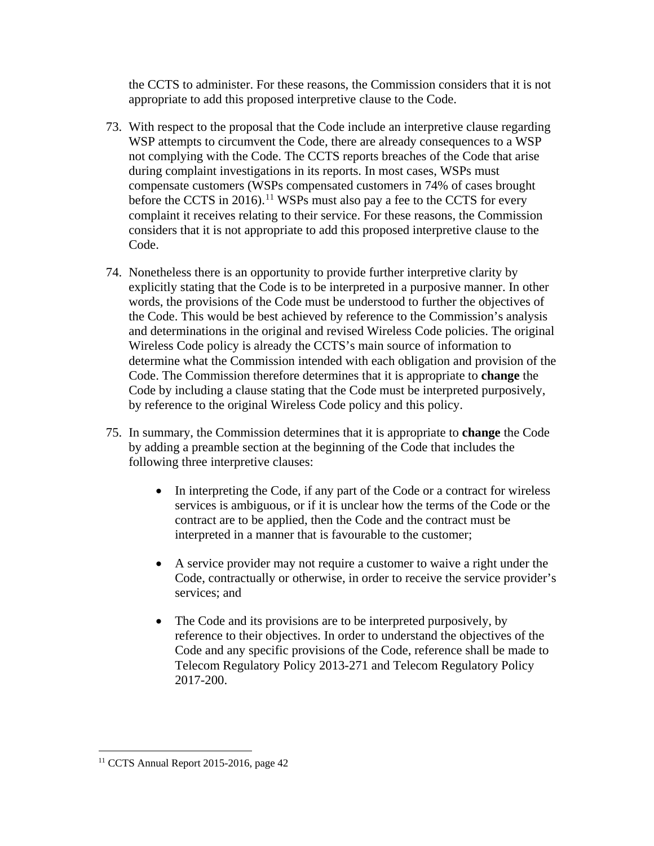the CCTS to administer. For these reasons, the Commission considers that it is not appropriate to add this proposed interpretive clause to the Code.

- 73. With respect to the proposal that the Code include an interpretive clause regarding WSP attempts to circumvent the Code, there are already consequences to a WSP not complying with the Code. The CCTS reports breaches of the Code that arise during complaint investigations in its reports. In most cases, WSPs must compensate customers (WSPs compensated customers in 74% of cases brought before the CCTS in 2016).<sup>[11](#page-14-0)</sup> WSPs must also pay a fee to the CCTS for every complaint it receives relating to their service. For these reasons, the Commission considers that it is not appropriate to add this proposed interpretive clause to the Code.
- 74. Nonetheless there is an opportunity to provide further interpretive clarity by explicitly stating that the Code is to be interpreted in a purposive manner. In other words, the provisions of the Code must be understood to further the objectives of the Code. This would be best achieved by reference to the Commission's analysis and determinations in the original and revised Wireless Code policies. The original Wireless Code policy is already the CCTS's main source of information to determine what the Commission intended with each obligation and provision of the Code. The Commission therefore determines that it is appropriate to **change** the Code by including a clause stating that the Code must be interpreted purposively, by reference to the original Wireless Code policy and this policy.
- 75. In summary, the Commission determines that it is appropriate to **change** the Code by adding a preamble section at the beginning of the Code that includes the following three interpretive clauses:
	- In interpreting the Code, if any part of the Code or a contract for wireless services is ambiguous, or if it is unclear how the terms of the Code or the contract are to be applied, then the Code and the contract must be interpreted in a manner that is favourable to the customer;
	- A service provider may not require a customer to waive a right under the Code, contractually or otherwise, in order to receive the service provider's services; and
	- The Code and its provisions are to be interpreted purposively, by reference to their objectives. In order to understand the objectives of the Code and any specific provisions of the Code, reference shall be made to Telecom Regulatory Policy 2013-271 and Telecom Regulatory Policy 2017-200.

<span id="page-14-0"></span> <sup>11</sup> CCTS Annual Report 2015-2016, page 42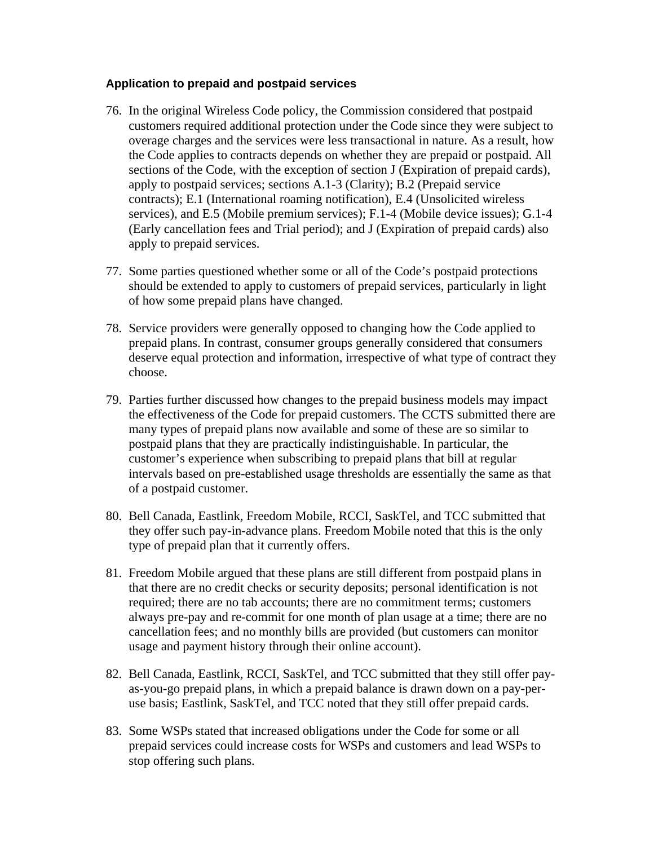#### **Application to prepaid and postpaid services**

- 76. In the original Wireless Code policy, the Commission considered that postpaid customers required additional protection under the Code since they were subject to overage charges and the services were less transactional in nature. As a result, how the Code applies to contracts depends on whether they are prepaid or postpaid. All sections of the Code, with the exception of section J (Expiration of prepaid cards), apply to postpaid services; sections A.1-3 (Clarity); B.2 (Prepaid service contracts); E.1 (International roaming notification), E.4 (Unsolicited wireless services), and E.5 (Mobile premium services); F.1-4 (Mobile device issues); G.1-4 (Early cancellation fees and Trial period); and J (Expiration of prepaid cards) also apply to prepaid services.
- 77. Some parties questioned whether some or all of the Code's postpaid protections should be extended to apply to customers of prepaid services, particularly in light of how some prepaid plans have changed.
- 78. Service providers were generally opposed to changing how the Code applied to prepaid plans. In contrast, consumer groups generally considered that consumers deserve equal protection and information, irrespective of what type of contract they choose.
- 79. Parties further discussed how changes to the prepaid business models may impact the effectiveness of the Code for prepaid customers. The CCTS submitted there are many types of prepaid plans now available and some of these are so similar to postpaid plans that they are practically indistinguishable. In particular, the customer's experience when subscribing to prepaid plans that bill at regular intervals based on pre-established usage thresholds are essentially the same as that of a postpaid customer.
- 80. Bell Canada, Eastlink, Freedom Mobile, RCCI, SaskTel, and TCC submitted that they offer such pay-in-advance plans. Freedom Mobile noted that this is the only type of prepaid plan that it currently offers.
- 81. Freedom Mobile argued that these plans are still different from postpaid plans in that there are no credit checks or security deposits; personal identification is not required; there are no tab accounts; there are no commitment terms; customers always pre-pay and re-commit for one month of plan usage at a time; there are no cancellation fees; and no monthly bills are provided (but customers can monitor usage and payment history through their online account).
- 82. Bell Canada, Eastlink, RCCI, SaskTel, and TCC submitted that they still offer payas-you-go prepaid plans, in which a prepaid balance is drawn down on a pay-peruse basis; Eastlink, SaskTel, and TCC noted that they still offer prepaid cards.
- 83. Some WSPs stated that increased obligations under the Code for some or all prepaid services could increase costs for WSPs and customers and lead WSPs to stop offering such plans.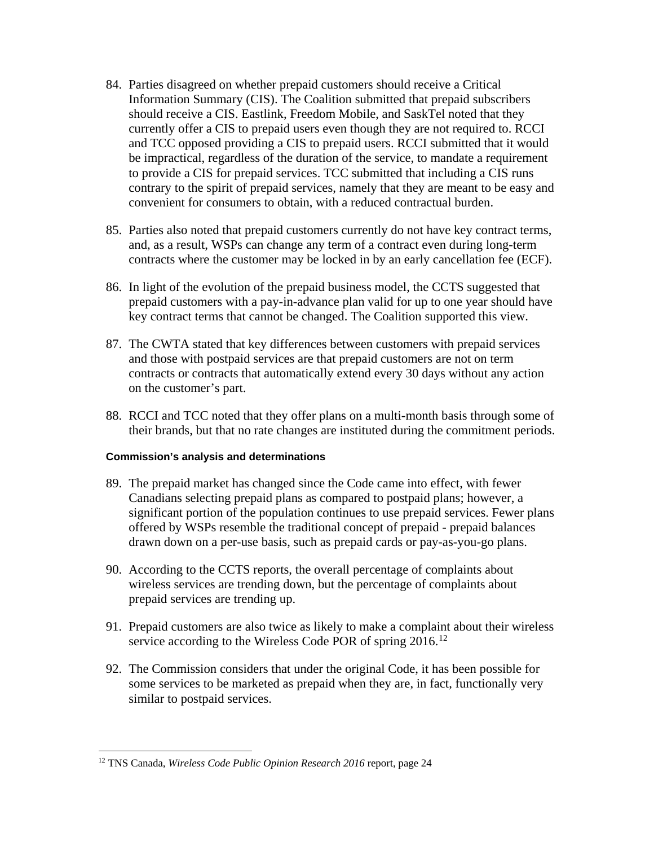- 84. Parties disagreed on whether prepaid customers should receive a Critical Information Summary (CIS). The Coalition submitted that prepaid subscribers should receive a CIS. Eastlink, Freedom Mobile, and SaskTel noted that they currently offer a CIS to prepaid users even though they are not required to. RCCI and TCC opposed providing a CIS to prepaid users. RCCI submitted that it would be impractical, regardless of the duration of the service, to mandate a requirement to provide a CIS for prepaid services. TCC submitted that including a CIS runs contrary to the spirit of prepaid services, namely that they are meant to be easy and convenient for consumers to obtain, with a reduced contractual burden.
- 85. Parties also noted that prepaid customers currently do not have key contract terms, and, as a result, WSPs can change any term of a contract even during long-term contracts where the customer may be locked in by an early cancellation fee (ECF).
- 86. In light of the evolution of the prepaid business model, the CCTS suggested that prepaid customers with a pay-in-advance plan valid for up to one year should have key contract terms that cannot be changed. The Coalition supported this view.
- 87. The CWTA stated that key differences between customers with prepaid services and those with postpaid services are that prepaid customers are not on term contracts or contracts that automatically extend every 30 days without any action on the customer's part.
- 88. RCCI and TCC noted that they offer plans on a multi-month basis through some of their brands, but that no rate changes are instituted during the commitment periods.

- 89. The prepaid market has changed since the Code came into effect, with fewer Canadians selecting prepaid plans as compared to postpaid plans; however, a significant portion of the population continues to use prepaid services. Fewer plans offered by WSPs resemble the traditional concept of prepaid - prepaid balances drawn down on a per-use basis, such as prepaid cards or pay-as-you-go plans.
- 90. According to the CCTS reports, the overall percentage of complaints about wireless services are trending down, but the percentage of complaints about prepaid services are trending up.
- 91. Prepaid customers are also twice as likely to make a complaint about their wireless service according to the Wireless Code POR of spring 2016.<sup>[12](#page-16-0)</sup>
- 92. The Commission considers that under the original Code, it has been possible for some services to be marketed as prepaid when they are, in fact, functionally very similar to postpaid services.

<span id="page-16-0"></span> <sup>12</sup> TNS Canada, *Wireless Code Public Opinion Research 2016* report, page 24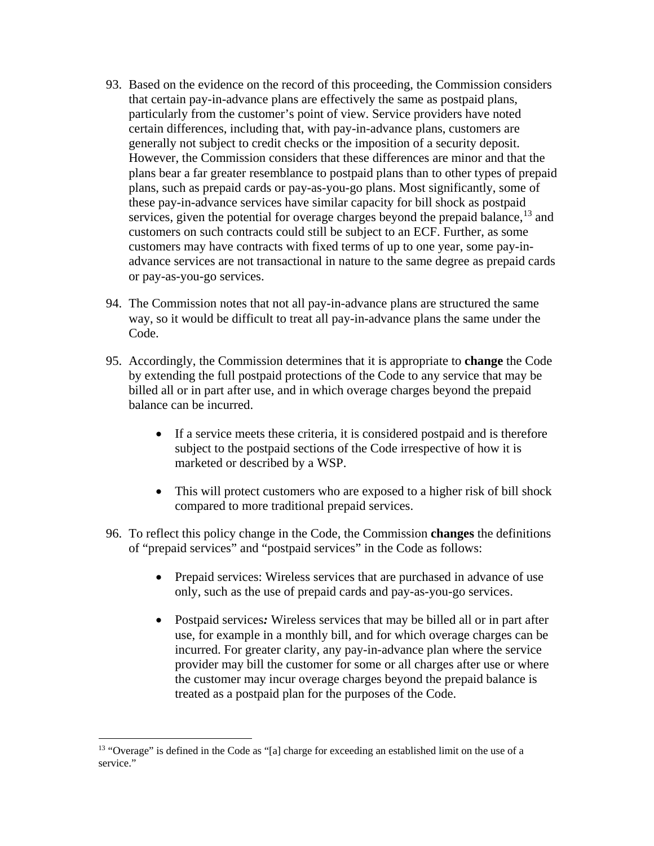- 93. Based on the evidence on the record of this proceeding, the Commission considers that certain pay-in-advance plans are effectively the same as postpaid plans, particularly from the customer's point of view. Service providers have noted certain differences, including that, with pay-in-advance plans, customers are generally not subject to credit checks or the imposition of a security deposit. However, the Commission considers that these differences are minor and that the plans bear a far greater resemblance to postpaid plans than to other types of prepaid plans, such as prepaid cards or pay-as-you-go plans. Most significantly, some of these pay-in-advance services have similar capacity for bill shock as postpaid services, given the potential for overage charges beyond the prepaid balance,  $^{13}$  $^{13}$  $^{13}$  and customers on such contracts could still be subject to an ECF. Further, as some customers may have contracts with fixed terms of up to one year, some pay-inadvance services are not transactional in nature to the same degree as prepaid cards or pay-as-you-go services.
- 94. The Commission notes that not all pay-in-advance plans are structured the same way, so it would be difficult to treat all pay-in-advance plans the same under the Code.
- 95. Accordingly, the Commission determines that it is appropriate to **change** the Code by extending the full postpaid protections of the Code to any service that may be billed all or in part after use, and in which overage charges beyond the prepaid balance can be incurred.
	- If a service meets these criteria, it is considered postpaid and is therefore subject to the postpaid sections of the Code irrespective of how it is marketed or described by a WSP.
	- This will protect customers who are exposed to a higher risk of bill shock compared to more traditional prepaid services.
- 96. To reflect this policy change in the Code, the Commission **changes** the definitions of "prepaid services" and "postpaid services" in the Code as follows:
	- Prepaid services: Wireless services that are purchased in advance of use only, such as the use of prepaid cards and pay-as-you-go services.
	- Postpaid services*:* Wireless services that may be billed all or in part after use, for example in a monthly bill, and for which overage charges can be incurred. For greater clarity, any pay-in-advance plan where the service provider may bill the customer for some or all charges after use or where the customer may incur overage charges beyond the prepaid balance is treated as a postpaid plan for the purposes of the Code.

<span id="page-17-0"></span> <sup>13</sup> "Overage" is defined in the Code as "[a] charge for exceeding an established limit on the use of a service."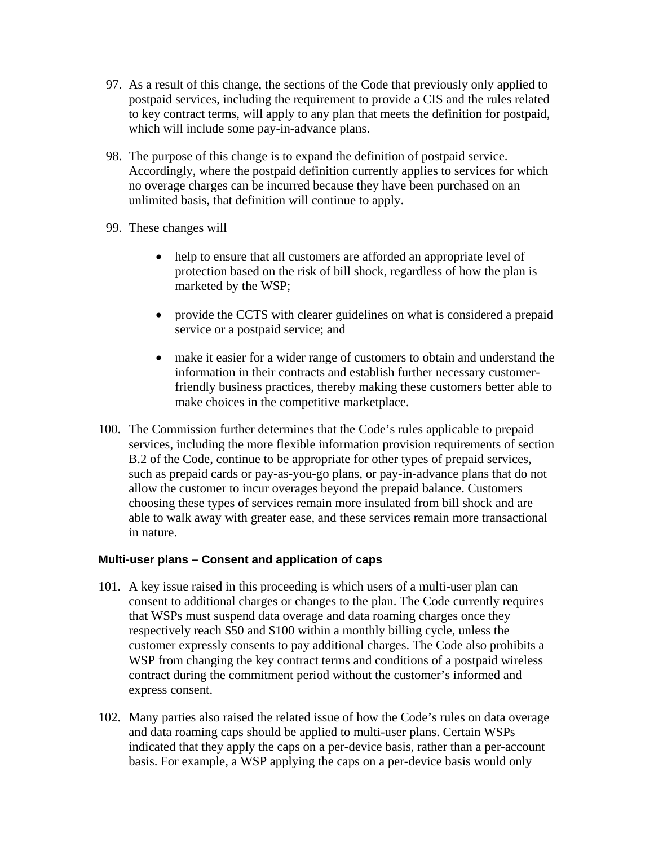- 97. As a result of this change, the sections of the Code that previously only applied to postpaid services, including the requirement to provide a CIS and the rules related to key contract terms, will apply to any plan that meets the definition for postpaid, which will include some pay-in-advance plans.
- 98. The purpose of this change is to expand the definition of postpaid service. Accordingly, where the postpaid definition currently applies to services for which no overage charges can be incurred because they have been purchased on an unlimited basis, that definition will continue to apply.
- 99. These changes will
	- help to ensure that all customers are afforded an appropriate level of protection based on the risk of bill shock, regardless of how the plan is marketed by the WSP;
	- provide the CCTS with clearer guidelines on what is considered a prepaid service or a postpaid service; and
	- make it easier for a wider range of customers to obtain and understand the information in their contracts and establish further necessary customerfriendly business practices, thereby making these customers better able to make choices in the competitive marketplace.
- 100. The Commission further determines that the Code's rules applicable to prepaid services, including the more flexible information provision requirements of section B.2 of the Code, continue to be appropriate for other types of prepaid services, such as prepaid cards or pay-as-you-go plans, or pay-in-advance plans that do not allow the customer to incur overages beyond the prepaid balance. Customers choosing these types of services remain more insulated from bill shock and are able to walk away with greater ease, and these services remain more transactional in nature.

## **Multi-user plans – Consent and application of caps**

- 101. A key issue raised in this proceeding is which users of a multi-user plan can consent to additional charges or changes to the plan. The Code currently requires that WSPs must suspend data overage and data roaming charges once they respectively reach \$50 and \$100 within a monthly billing cycle, unless the customer expressly consents to pay additional charges. The Code also prohibits a WSP from changing the key contract terms and conditions of a postpaid wireless contract during the commitment period without the customer's informed and express consent.
- 102. Many parties also raised the related issue of how the Code's rules on data overage and data roaming caps should be applied to multi-user plans. Certain WSPs indicated that they apply the caps on a per-device basis, rather than a per-account basis. For example, a WSP applying the caps on a per-device basis would only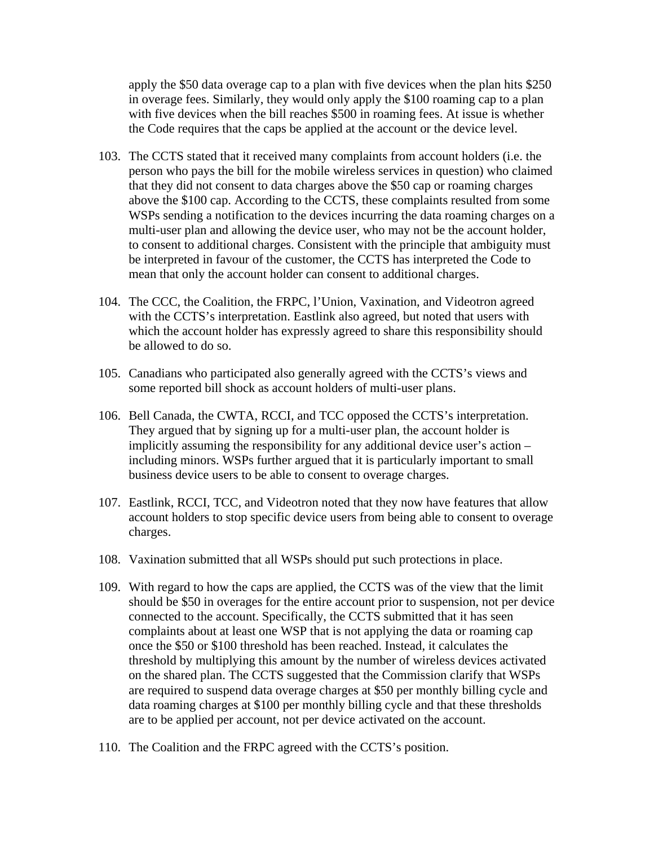apply the \$50 data overage cap to a plan with five devices when the plan hits \$250 in overage fees. Similarly, they would only apply the \$100 roaming cap to a plan with five devices when the bill reaches \$500 in roaming fees. At issue is whether the Code requires that the caps be applied at the account or the device level.

- 103. The CCTS stated that it received many complaints from account holders (i.e. the person who pays the bill for the mobile wireless services in question) who claimed that they did not consent to data charges above the \$50 cap or roaming charges above the \$100 cap. According to the CCTS, these complaints resulted from some WSPs sending a notification to the devices incurring the data roaming charges on a multi-user plan and allowing the device user, who may not be the account holder, to consent to additional charges. Consistent with the principle that ambiguity must be interpreted in favour of the customer, the CCTS has interpreted the Code to mean that only the account holder can consent to additional charges.
- 104. The CCC, the Coalition, the FRPC, l'Union, Vaxination, and Videotron agreed with the CCTS's interpretation. Eastlink also agreed, but noted that users with which the account holder has expressly agreed to share this responsibility should be allowed to do so.
- 105. Canadians who participated also generally agreed with the CCTS's views and some reported bill shock as account holders of multi-user plans.
- 106. Bell Canada, the CWTA, RCCI, and TCC opposed the CCTS's interpretation. They argued that by signing up for a multi-user plan, the account holder is implicitly assuming the responsibility for any additional device user's action – including minors. WSPs further argued that it is particularly important to small business device users to be able to consent to overage charges.
- 107. Eastlink, RCCI, TCC, and Videotron noted that they now have features that allow account holders to stop specific device users from being able to consent to overage charges.
- 108. Vaxination submitted that all WSPs should put such protections in place.
- 109. With regard to how the caps are applied, the CCTS was of the view that the limit should be \$50 in overages for the entire account prior to suspension, not per device connected to the account. Specifically, the CCTS submitted that it has seen complaints about at least one WSP that is not applying the data or roaming cap once the \$50 or \$100 threshold has been reached. Instead, it calculates the threshold by multiplying this amount by the number of wireless devices activated on the shared plan. The CCTS suggested that the Commission clarify that WSPs are required to suspend data overage charges at \$50 per monthly billing cycle and data roaming charges at \$100 per monthly billing cycle and that these thresholds are to be applied per account, not per device activated on the account.
- 110. The Coalition and the FRPC agreed with the CCTS's position.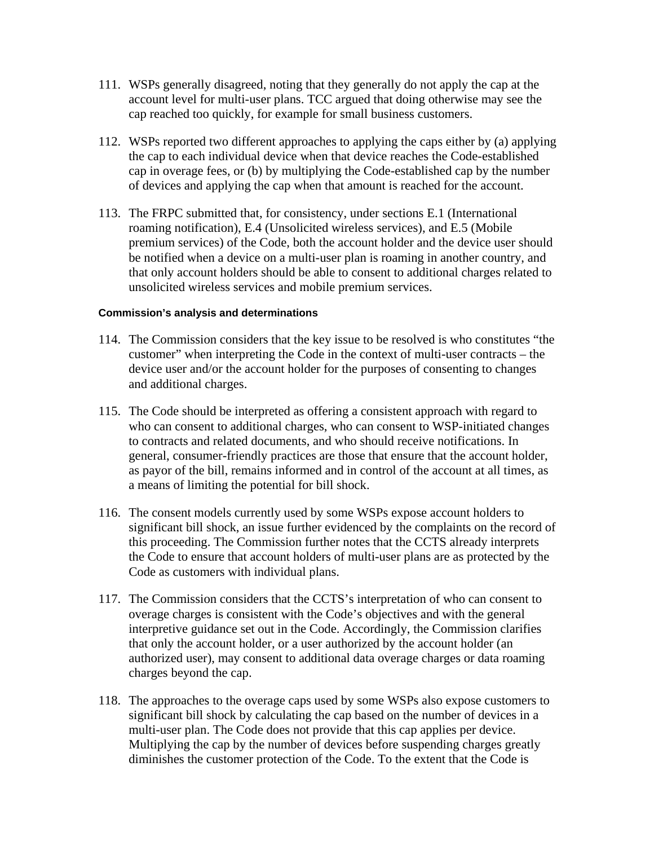- 111. WSPs generally disagreed, noting that they generally do not apply the cap at the account level for multi-user plans. TCC argued that doing otherwise may see the cap reached too quickly, for example for small business customers.
- 112. WSPs reported two different approaches to applying the caps either by (a) applying the cap to each individual device when that device reaches the Code-established cap in overage fees, or (b) by multiplying the Code-established cap by the number of devices and applying the cap when that amount is reached for the account.
- 113. The FRPC submitted that, for consistency, under sections E.1 (International roaming notification), E.4 (Unsolicited wireless services), and E.5 (Mobile premium services) of the Code, both the account holder and the device user should be notified when a device on a multi-user plan is roaming in another country, and that only account holders should be able to consent to additional charges related to unsolicited wireless services and mobile premium services.

- 114. The Commission considers that the key issue to be resolved is who constitutes "the customer" when interpreting the Code in the context of multi-user contracts – the device user and/or the account holder for the purposes of consenting to changes and additional charges.
- 115. The Code should be interpreted as offering a consistent approach with regard to who can consent to additional charges, who can consent to WSP-initiated changes to contracts and related documents, and who should receive notifications. In general, consumer-friendly practices are those that ensure that the account holder, as payor of the bill, remains informed and in control of the account at all times, as a means of limiting the potential for bill shock.
- 116. The consent models currently used by some WSPs expose account holders to significant bill shock, an issue further evidenced by the complaints on the record of this proceeding. The Commission further notes that the CCTS already interprets the Code to ensure that account holders of multi-user plans are as protected by the Code as customers with individual plans.
- 117. The Commission considers that the CCTS's interpretation of who can consent to overage charges is consistent with the Code's objectives and with the general interpretive guidance set out in the Code. Accordingly, the Commission clarifies that only the account holder, or a user authorized by the account holder (an authorized user), may consent to additional data overage charges or data roaming charges beyond the cap.
- 118. The approaches to the overage caps used by some WSPs also expose customers to significant bill shock by calculating the cap based on the number of devices in a multi-user plan. The Code does not provide that this cap applies per device. Multiplying the cap by the number of devices before suspending charges greatly diminishes the customer protection of the Code. To the extent that the Code is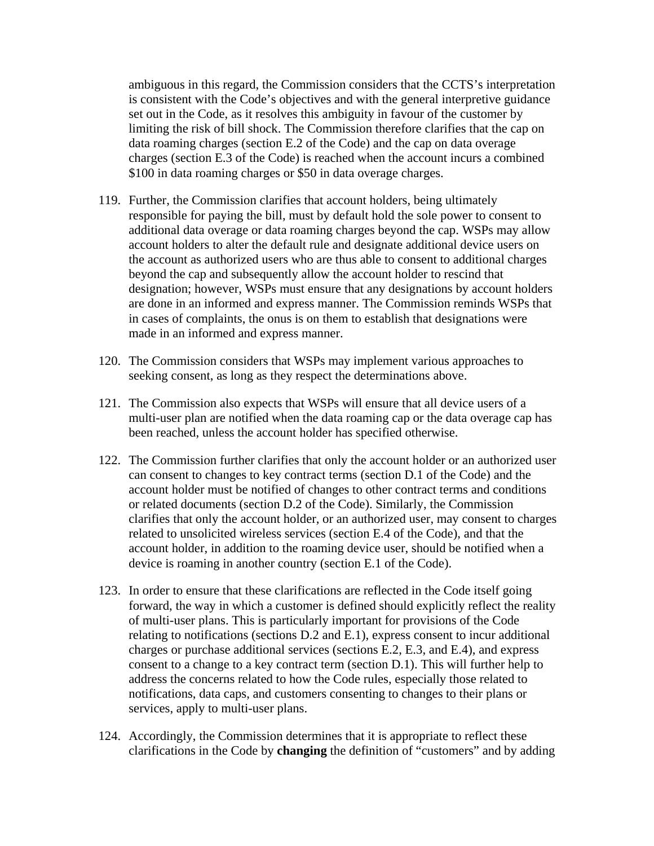ambiguous in this regard, the Commission considers that the CCTS's interpretation is consistent with the Code's objectives and with the general interpretive guidance set out in the Code, as it resolves this ambiguity in favour of the customer by limiting the risk of bill shock. The Commission therefore clarifies that the cap on data roaming charges (section E.2 of the Code) and the cap on data overage charges (section E.3 of the Code) is reached when the account incurs a combined \$100 in data roaming charges or \$50 in data overage charges.

- 119. Further, the Commission clarifies that account holders, being ultimately responsible for paying the bill, must by default hold the sole power to consent to additional data overage or data roaming charges beyond the cap. WSPs may allow account holders to alter the default rule and designate additional device users on the account as authorized users who are thus able to consent to additional charges beyond the cap and subsequently allow the account holder to rescind that designation; however, WSPs must ensure that any designations by account holders are done in an informed and express manner. The Commission reminds WSPs that in cases of complaints, the onus is on them to establish that designations were made in an informed and express manner.
- 120. The Commission considers that WSPs may implement various approaches to seeking consent, as long as they respect the determinations above.
- 121. The Commission also expects that WSPs will ensure that all device users of a multi-user plan are notified when the data roaming cap or the data overage cap has been reached, unless the account holder has specified otherwise.
- 122. The Commission further clarifies that only the account holder or an authorized user can consent to changes to key contract terms (section D.1 of the Code) and the account holder must be notified of changes to other contract terms and conditions or related documents (section D.2 of the Code). Similarly, the Commission clarifies that only the account holder, or an authorized user, may consent to charges related to unsolicited wireless services (section E.4 of the Code), and that the account holder, in addition to the roaming device user, should be notified when a device is roaming in another country (section E.1 of the Code).
- 123. In order to ensure that these clarifications are reflected in the Code itself going forward, the way in which a customer is defined should explicitly reflect the reality of multi-user plans. This is particularly important for provisions of the Code relating to notifications (sections D.2 and E.1), express consent to incur additional charges or purchase additional services (sections E.2, E.3, and E.4), and express consent to a change to a key contract term (section D.1). This will further help to address the concerns related to how the Code rules, especially those related to notifications, data caps, and customers consenting to changes to their plans or services, apply to multi-user plans.
- 124. Accordingly, the Commission determines that it is appropriate to reflect these clarifications in the Code by **changing** the definition of "customers" and by adding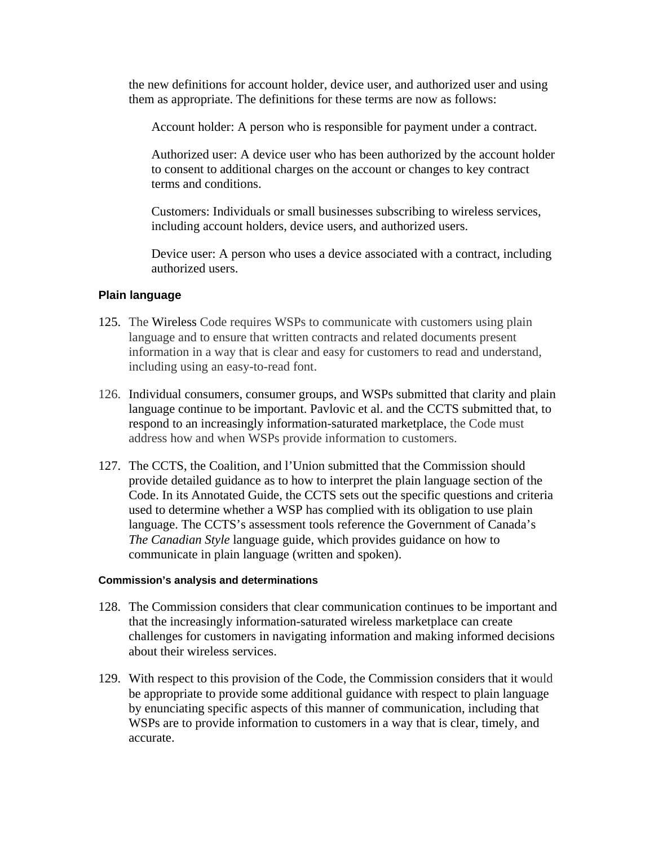the new definitions for account holder, device user, and authorized user and using them as appropriate. The definitions for these terms are now as follows:

Account holder: A person who is responsible for payment under a contract.

Authorized user: A device user who has been authorized by the account holder to consent to additional charges on the account or changes to key contract terms and conditions.

Customers: Individuals or small businesses subscribing to wireless services, including account holders, device users, and authorized users.

Device user: A person who uses a device associated with a contract, including authorized users.

#### **Plain language**

- 125. The Wireless Code requires WSPs to communicate with customers using plain language and to ensure that written contracts and related documents present information in a way that is clear and easy for customers to read and understand, including using an easy-to-read font.
- 126. Individual consumers, consumer groups, and WSPs submitted that clarity and plain language continue to be important. Pavlovic et al. and the CCTS submitted that, to respond to an increasingly information-saturated marketplace, the Code must address how and when WSPs provide information to customers.
- 127. The CCTS, the Coalition, and l'Union submitted that the Commission should provide detailed guidance as to how to interpret the plain language section of the Code. In its Annotated Guide, the CCTS sets out the specific questions and criteria used to determine whether a WSP has complied with its obligation to use plain language. The CCTS's assessment tools reference the Government of Canada's *The Canadian Style* language guide, which provides guidance on how to communicate in plain language (written and spoken).

- 128. The Commission considers that clear communication continues to be important and that the increasingly information-saturated wireless marketplace can create challenges for customers in navigating information and making informed decisions about their wireless services.
- 129. With respect to this provision of the Code, the Commission considers that it would be appropriate to provide some additional guidance with respect to plain language by enunciating specific aspects of this manner of communication, including that WSPs are to provide information to customers in a way that is clear, timely, and accurate.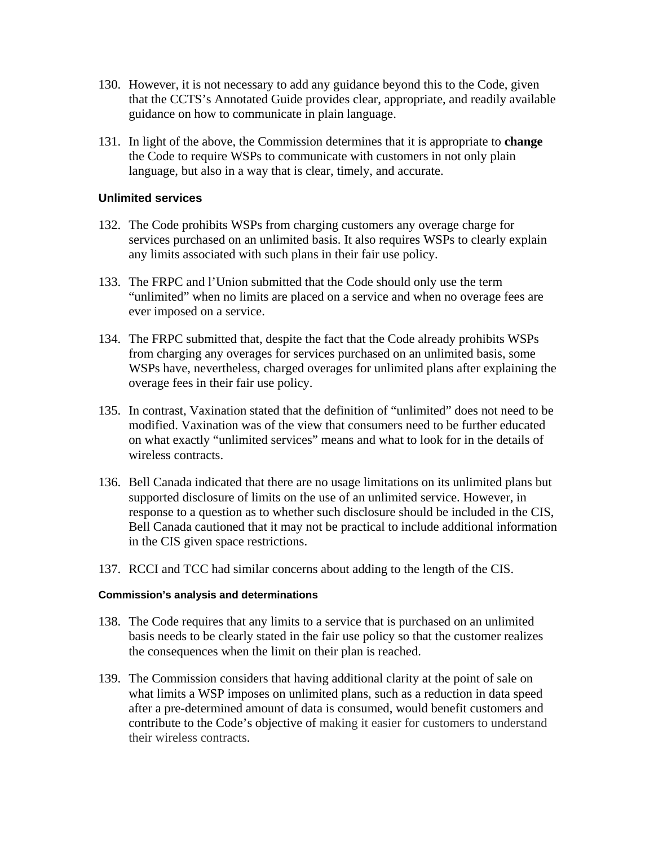- 130. However, it is not necessary to add any guidance beyond this to the Code, given that the CCTS's Annotated Guide provides clear, appropriate, and readily available guidance on how to communicate in plain language.
- 131. In light of the above, the Commission determines that it is appropriate to **change** the Code to require WSPs to communicate with customers in not only plain language, but also in a way that is clear, timely, and accurate.

#### **Unlimited services**

- 132. The Code prohibits WSPs from charging customers any overage charge for services purchased on an unlimited basis. It also requires WSPs to clearly explain any limits associated with such plans in their fair use policy.
- 133. The FRPC and l'Union submitted that the Code should only use the term "unlimited" when no limits are placed on a service and when no overage fees are ever imposed on a service.
- 134. The FRPC submitted that, despite the fact that the Code already prohibits WSPs from charging any overages for services purchased on an unlimited basis, some WSPs have, nevertheless, charged overages for unlimited plans after explaining the overage fees in their fair use policy.
- 135. In contrast, Vaxination stated that the definition of "unlimited" does not need to be modified. Vaxination was of the view that consumers need to be further educated on what exactly "unlimited services" means and what to look for in the details of wireless contracts.
- 136. Bell Canada indicated that there are no usage limitations on its unlimited plans but supported disclosure of limits on the use of an unlimited service. However, in response to a question as to whether such disclosure should be included in the CIS, Bell Canada cautioned that it may not be practical to include additional information in the CIS given space restrictions.
- 137. RCCI and TCC had similar concerns about adding to the length of the CIS.

- 138. The Code requires that any limits to a service that is purchased on an unlimited basis needs to be clearly stated in the fair use policy so that the customer realizes the consequences when the limit on their plan is reached.
- 139. The Commission considers that having additional clarity at the point of sale on what limits a WSP imposes on unlimited plans, such as a reduction in data speed after a pre-determined amount of data is consumed, would benefit customers and contribute to the Code's objective of making it easier for customers to understand their wireless contracts.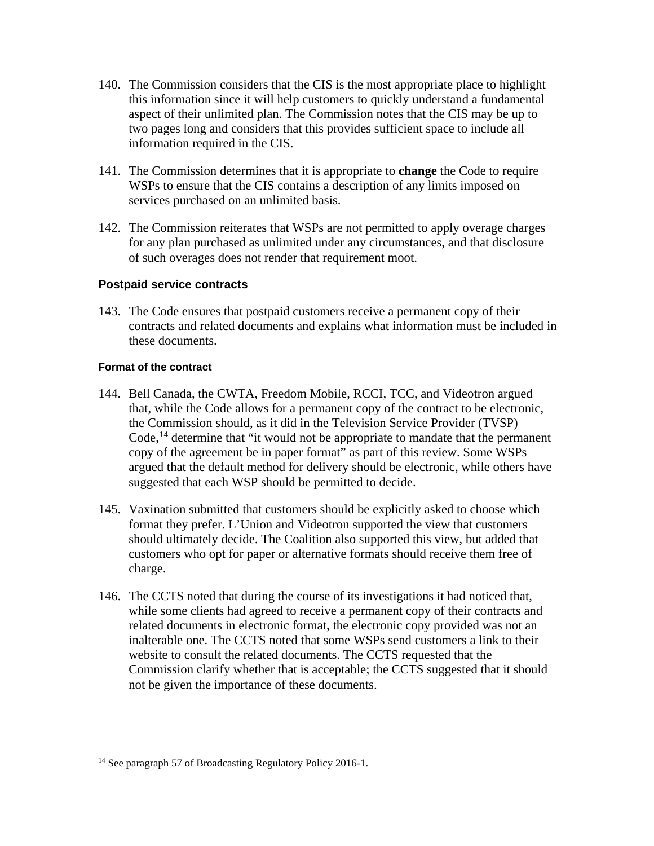- 140. The Commission considers that the CIS is the most appropriate place to highlight this information since it will help customers to quickly understand a fundamental aspect of their unlimited plan. The Commission notes that the CIS may be up to two pages long and considers that this provides sufficient space to include all information required in the CIS.
- 141. The Commission determines that it is appropriate to **change** the Code to require WSPs to ensure that the CIS contains a description of any limits imposed on services purchased on an unlimited basis.
- 142. The Commission reiterates that WSPs are not permitted to apply overage charges for any plan purchased as unlimited under any circumstances, and that disclosure of such overages does not render that requirement moot.

#### **Postpaid service contracts**

143. The Code ensures that postpaid customers receive a permanent copy of their contracts and related documents and explains what information must be included in these documents.

#### **Format of the contract**

- 144. Bell Canada, the CWTA, Freedom Mobile, RCCI, TCC, and Videotron argued that, while the Code allows for a permanent copy of the contract to be electronic, the Commission should, as it did in the Television Service Provider (TVSP) Code,<sup>[14](#page-24-0)</sup> determine that "it would not be appropriate to mandate that the permanent copy of the agreement be in paper format" as part of this review. Some WSPs argued that the default method for delivery should be electronic, while others have suggested that each WSP should be permitted to decide.
- 145. Vaxination submitted that customers should be explicitly asked to choose which format they prefer. L'Union and Videotron supported the view that customers should ultimately decide. The Coalition also supported this view, but added that customers who opt for paper or alternative formats should receive them free of charge.
- 146. The CCTS noted that during the course of its investigations it had noticed that, while some clients had agreed to receive a permanent copy of their contracts and related documents in electronic format, the electronic copy provided was not an inalterable one. The CCTS noted that some WSPs send customers a link to their website to consult the related documents. The CCTS requested that the Commission clarify whether that is acceptable; the CCTS suggested that it should not be given the importance of these documents.

<span id="page-24-0"></span><sup>&</sup>lt;sup>14</sup> See paragraph 57 of Broadcasting Regulatory Policy 2016-1.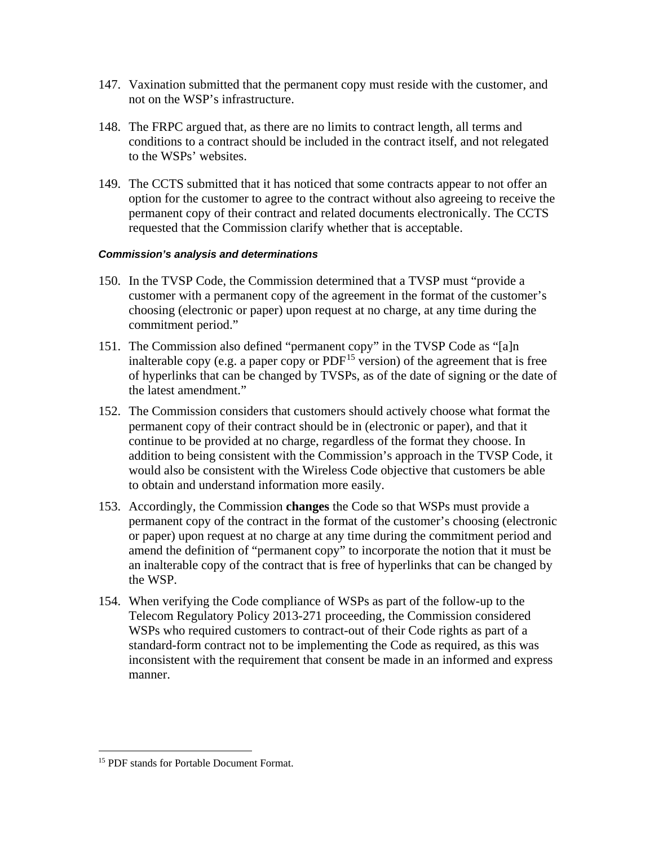- 147. Vaxination submitted that the permanent copy must reside with the customer, and not on the WSP's infrastructure.
- 148. The FRPC argued that, as there are no limits to contract length, all terms and conditions to a contract should be included in the contract itself, and not relegated to the WSPs' websites.
- 149. The CCTS submitted that it has noticed that some contracts appear to not offer an option for the customer to agree to the contract without also agreeing to receive the permanent copy of their contract and related documents electronically. The CCTS requested that the Commission clarify whether that is acceptable.

- 150. In the TVSP Code, the Commission determined that a TVSP must "provide a customer with a permanent copy of the agreement in the format of the customer's choosing (electronic or paper) upon request at no charge, at any time during the commitment period."
- 151. The Commission also defined "permanent copy" in the TVSP Code as "[a]n inalterable copy (e.g. a paper copy or  $PDF<sup>15</sup>$  $PDF<sup>15</sup>$  $PDF<sup>15</sup>$  version) of the agreement that is free of hyperlinks that can be changed by TVSPs, as of the date of signing or the date of the latest amendment."
- 152. The Commission considers that customers should actively choose what format the permanent copy of their contract should be in (electronic or paper), and that it continue to be provided at no charge, regardless of the format they choose. In addition to being consistent with the Commission's approach in the TVSP Code, it would also be consistent with the Wireless Code objective that customers be able to obtain and understand information more easily.
- 153. Accordingly, the Commission **changes** the Code so that WSPs must provide a permanent copy of the contract in the format of the customer's choosing (electronic or paper) upon request at no charge at any time during the commitment period and amend the definition of "permanent copy" to incorporate the notion that it must be an inalterable copy of the contract that is free of hyperlinks that can be changed by the WSP.
- 154. When verifying the Code compliance of WSPs as part of the follow-up to the Telecom Regulatory Policy 2013-271 proceeding, the Commission considered WSPs who required customers to contract-out of their Code rights as part of a standard-form contract not to be implementing the Code as required, as this was inconsistent with the requirement that consent be made in an informed and express manner.

<span id="page-25-0"></span><sup>&</sup>lt;sup>15</sup> PDF stands for Portable Document Format.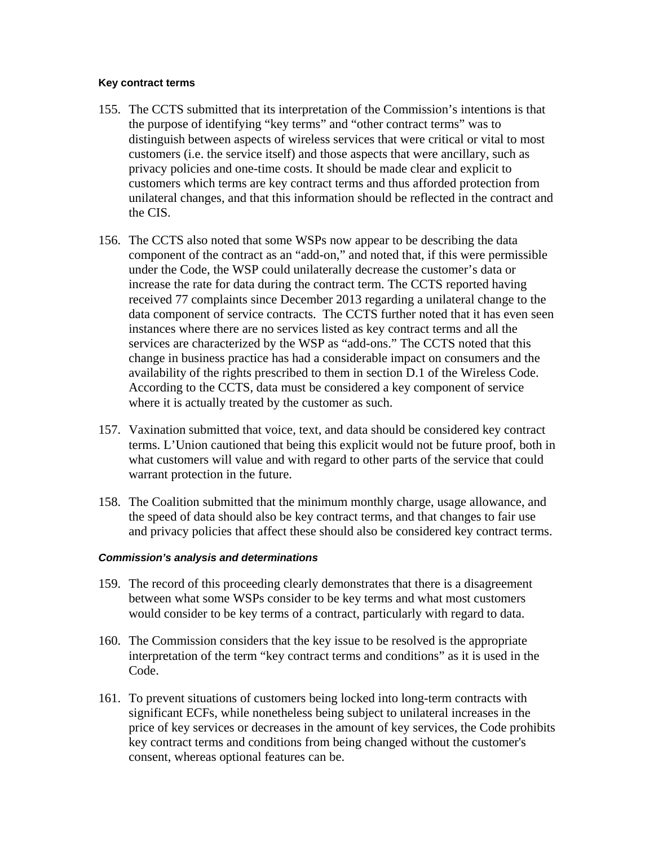#### **Key contract terms**

- 155. The CCTS submitted that its interpretation of the Commission's intentions is that the purpose of identifying "key terms" and "other contract terms" was to distinguish between aspects of wireless services that were critical or vital to most customers (i.e. the service itself) and those aspects that were ancillary, such as privacy policies and one-time costs. It should be made clear and explicit to customers which terms are key contract terms and thus afforded protection from unilateral changes, and that this information should be reflected in the contract and the CIS.
- 156. The CCTS also noted that some WSPs now appear to be describing the data component of the contract as an "add-on," and noted that, if this were permissible under the Code, the WSP could unilaterally decrease the customer's data or increase the rate for data during the contract term. The CCTS reported having received 77 complaints since December 2013 regarding a unilateral change to the data component of service contracts. The CCTS further noted that it has even seen instances where there are no services listed as key contract terms and all the services are characterized by the WSP as "add-ons." The CCTS noted that this change in business practice has had a considerable impact on consumers and the availability of the rights prescribed to them in section D.1 of the Wireless Code. According to the CCTS, data must be considered a key component of service where it is actually treated by the customer as such.
- 157. Vaxination submitted that voice, text, and data should be considered key contract terms. L'Union cautioned that being this explicit would not be future proof, both in what customers will value and with regard to other parts of the service that could warrant protection in the future.
- 158. The Coalition submitted that the minimum monthly charge, usage allowance, and the speed of data should also be key contract terms, and that changes to fair use and privacy policies that affect these should also be considered key contract terms.

- 159. The record of this proceeding clearly demonstrates that there is a disagreement between what some WSPs consider to be key terms and what most customers would consider to be key terms of a contract, particularly with regard to data.
- 160. The Commission considers that the key issue to be resolved is the appropriate interpretation of the term "key contract terms and conditions" as it is used in the Code.
- 161. To prevent situations of customers being locked into long-term contracts with significant ECFs, while nonetheless being subject to unilateral increases in the price of key services or decreases in the amount of key services, the Code prohibits key contract terms and conditions from being changed without the customer's consent, whereas optional features can be.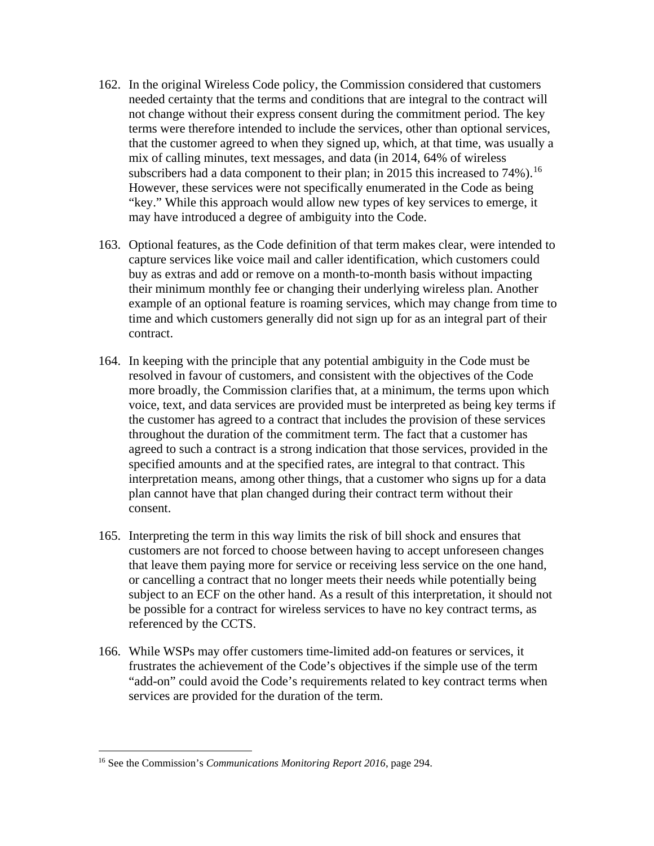- 162. In the original Wireless Code policy, the Commission considered that customers needed certainty that the terms and conditions that are integral to the contract will not change without their express consent during the commitment period. The key terms were therefore intended to include the services, other than optional services, that the customer agreed to when they signed up, which, at that time, was usually a mix of calling minutes, text messages, and data (in 2014, 64% of wireless subscribers had a data component to their plan; in 2015 this increased to 74%).<sup>[16](#page-27-0)</sup> However, these services were not specifically enumerated in the Code as being "key." While this approach would allow new types of key services to emerge, it may have introduced a degree of ambiguity into the Code.
- 163. Optional features, as the Code definition of that term makes clear, were intended to capture services like voice mail and caller identification, which customers could buy as extras and add or remove on a month-to-month basis without impacting their minimum monthly fee or changing their underlying wireless plan. Another example of an optional feature is roaming services, which may change from time to time and which customers generally did not sign up for as an integral part of their contract.
- 164. In keeping with the principle that any potential ambiguity in the Code must be resolved in favour of customers, and consistent with the objectives of the Code more broadly, the Commission clarifies that, at a minimum, the terms upon which voice, text, and data services are provided must be interpreted as being key terms if the customer has agreed to a contract that includes the provision of these services throughout the duration of the commitment term. The fact that a customer has agreed to such a contract is a strong indication that those services, provided in the specified amounts and at the specified rates, are integral to that contract. This interpretation means, among other things, that a customer who signs up for a data plan cannot have that plan changed during their contract term without their consent.
- 165. Interpreting the term in this way limits the risk of bill shock and ensures that customers are not forced to choose between having to accept unforeseen changes that leave them paying more for service or receiving less service on the one hand, or cancelling a contract that no longer meets their needs while potentially being subject to an ECF on the other hand. As a result of this interpretation, it should not be possible for a contract for wireless services to have no key contract terms, as referenced by the CCTS.
- 166. While WSPs may offer customers time-limited add-on features or services, it frustrates the achievement of the Code's objectives if the simple use of the term "add-on" could avoid the Code's requirements related to key contract terms when services are provided for the duration of the term.

<span id="page-27-0"></span> <sup>16</sup> See the Commission's *Communications Monitoring Report <sup>2016</sup>*, page 294.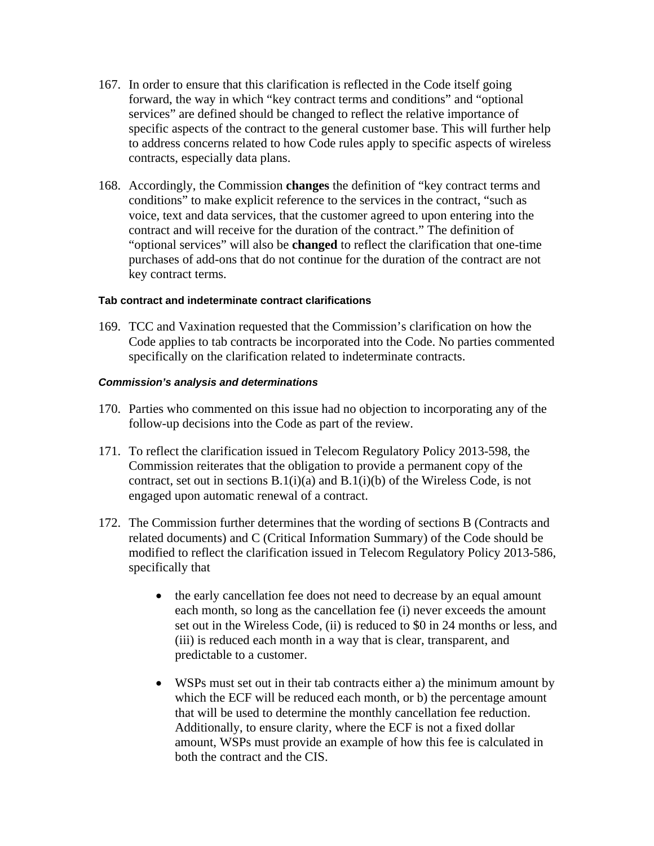- 167. In order to ensure that this clarification is reflected in the Code itself going forward, the way in which "key contract terms and conditions" and "optional services" are defined should be changed to reflect the relative importance of specific aspects of the contract to the general customer base. This will further help to address concerns related to how Code rules apply to specific aspects of wireless contracts, especially data plans.
- 168. Accordingly, the Commission **changes** the definition of "key contract terms and conditions" to make explicit reference to the services in the contract, "such as voice, text and data services, that the customer agreed to upon entering into the contract and will receive for the duration of the contract." The definition of "optional services" will also be **changed** to reflect the clarification that one-time purchases of add-ons that do not continue for the duration of the contract are not key contract terms.

#### **Tab contract and indeterminate contract clarifications**

169. TCC and Vaxination requested that the Commission's clarification on how the Code applies to tab contracts be incorporated into the Code. No parties commented specifically on the clarification related to indeterminate contracts.

- 170. Parties who commented on this issue had no objection to incorporating any of the follow-up decisions into the Code as part of the review.
- 171. To reflect the clarification issued in Telecom Regulatory Policy 2013-598, the Commission reiterates that the obligation to provide a permanent copy of the contract, set out in sections  $B(1(i)(a))$  and  $B(1(i)(b))$  of the Wireless Code, is not engaged upon automatic renewal of a contract.
- 172. The Commission further determines that the wording of sections B (Contracts and related documents) and C (Critical Information Summary) of the Code should be modified to reflect the clarification issued in Telecom Regulatory Policy 2013-586, specifically that
	- the early cancellation fee does not need to decrease by an equal amount each month, so long as the cancellation fee (i) never exceeds the amount set out in the Wireless Code, (ii) is reduced to \$0 in 24 months or less, and (iii) is reduced each month in a way that is clear, transparent, and predictable to a customer.
	- WSPs must set out in their tab contracts either a) the minimum amount by which the ECF will be reduced each month, or b) the percentage amount that will be used to determine the monthly cancellation fee reduction. Additionally, to ensure clarity, where the ECF is not a fixed dollar amount, WSPs must provide an example of how this fee is calculated in both the contract and the CIS.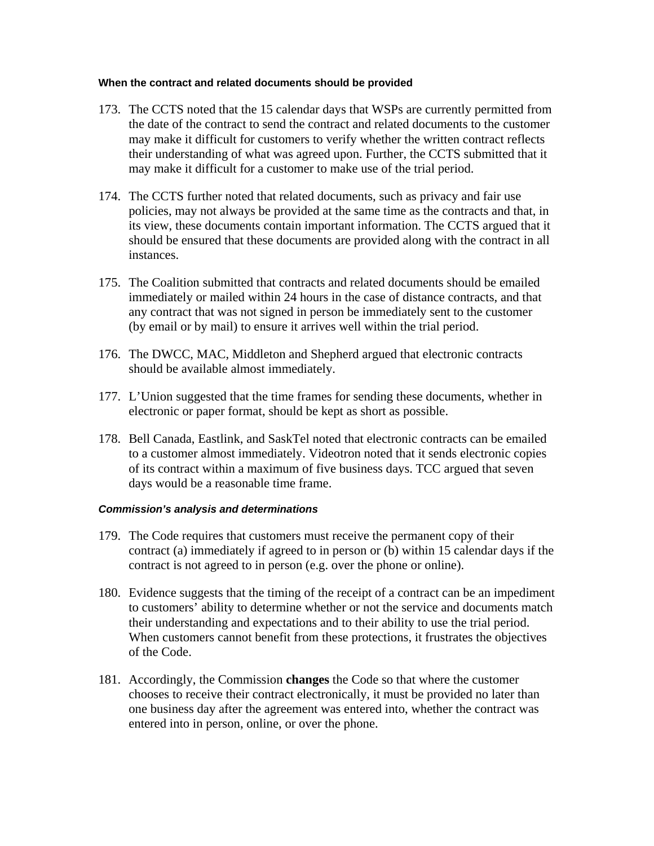#### **When the contract and related documents should be provided**

- 173. The CCTS noted that the 15 calendar days that WSPs are currently permitted from the date of the contract to send the contract and related documents to the customer may make it difficult for customers to verify whether the written contract reflects their understanding of what was agreed upon. Further, the CCTS submitted that it may make it difficult for a customer to make use of the trial period.
- 174. The CCTS further noted that related documents, such as privacy and fair use policies, may not always be provided at the same time as the contracts and that, in its view, these documents contain important information. The CCTS argued that it should be ensured that these documents are provided along with the contract in all instances.
- 175. The Coalition submitted that contracts and related documents should be emailed immediately or mailed within 24 hours in the case of distance contracts, and that any contract that was not signed in person be immediately sent to the customer (by email or by mail) to ensure it arrives well within the trial period.
- 176. The DWCC, MAC, Middleton and Shepherd argued that electronic contracts should be available almost immediately.
- 177. L'Union suggested that the time frames for sending these documents, whether in electronic or paper format, should be kept as short as possible.
- 178. Bell Canada, Eastlink, and SaskTel noted that electronic contracts can be emailed to a customer almost immediately. Videotron noted that it sends electronic copies of its contract within a maximum of five business days. TCC argued that seven days would be a reasonable time frame.

- 179. The Code requires that customers must receive the permanent copy of their contract (a) immediately if agreed to in person or (b) within 15 calendar days if the contract is not agreed to in person (e.g. over the phone or online).
- 180. Evidence suggests that the timing of the receipt of a contract can be an impediment to customers' ability to determine whether or not the service and documents match their understanding and expectations and to their ability to use the trial period. When customers cannot benefit from these protections, it frustrates the objectives of the Code.
- 181. Accordingly, the Commission **changes** the Code so that where the customer chooses to receive their contract electronically, it must be provided no later than one business day after the agreement was entered into, whether the contract was entered into in person, online, or over the phone.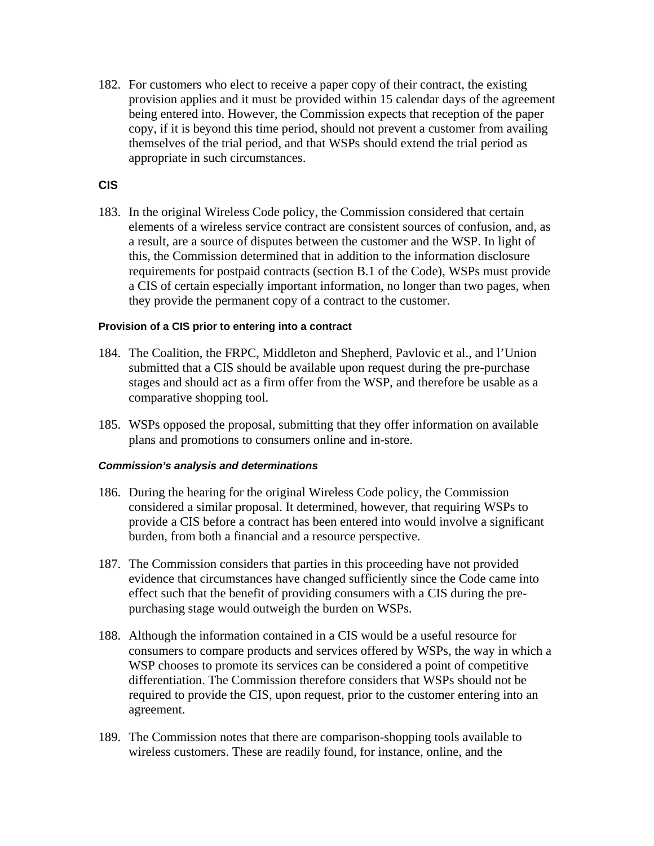182. For customers who elect to receive a paper copy of their contract, the existing provision applies and it must be provided within 15 calendar days of the agreement being entered into. However, the Commission expects that reception of the paper copy, if it is beyond this time period, should not prevent a customer from availing themselves of the trial period, and that WSPs should extend the trial period as appropriate in such circumstances.

#### **CIS**

183. In the original Wireless Code policy, the Commission considered that certain elements of a wireless service contract are consistent sources of confusion, and, as a result, are a source of disputes between the customer and the WSP. In light of this, the Commission determined that in addition to the information disclosure requirements for postpaid contracts (section B.1 of the Code), WSPs must provide a CIS of certain especially important information, no longer than two pages, when they provide the permanent copy of a contract to the customer.

#### **Provision of a CIS prior to entering into a contract**

- 184. The Coalition, the FRPC, Middleton and Shepherd, Pavlovic et al., and l'Union submitted that a CIS should be available upon request during the pre-purchase stages and should act as a firm offer from the WSP, and therefore be usable as a comparative shopping tool.
- 185. WSPs opposed the proposal, submitting that they offer information on available plans and promotions to consumers online and in-store.

- 186. During the hearing for the original Wireless Code policy, the Commission considered a similar proposal. It determined, however, that requiring WSPs to provide a CIS before a contract has been entered into would involve a significant burden, from both a financial and a resource perspective.
- 187. The Commission considers that parties in this proceeding have not provided evidence that circumstances have changed sufficiently since the Code came into effect such that the benefit of providing consumers with a CIS during the prepurchasing stage would outweigh the burden on WSPs.
- 188. Although the information contained in a CIS would be a useful resource for consumers to compare products and services offered by WSPs, the way in which a WSP chooses to promote its services can be considered a point of competitive differentiation. The Commission therefore considers that WSPs should not be required to provide the CIS, upon request, prior to the customer entering into an agreement.
- 189. The Commission notes that there are comparison-shopping tools available to wireless customers. These are readily found, for instance, online, and the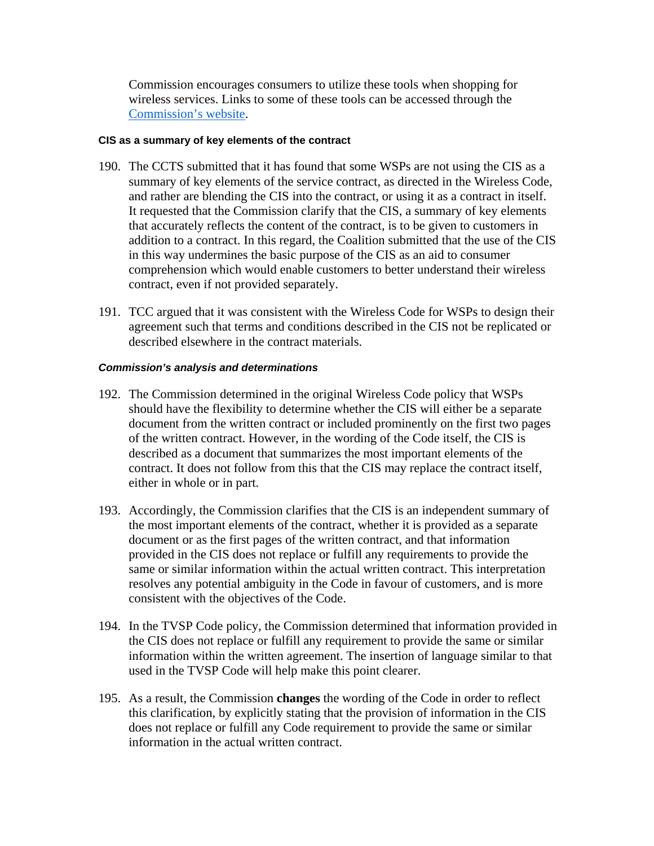Commission encourages consumers to utilize these tools when shopping for wireless services. Links to some of these tools can be accessed through the [Commission's](http://www.crtc.gc.ca/eng/comm/compar.htm) website.

#### **CIS as a summary of key elements of the contract**

- 190. The CCTS submitted that it has found that some WSPs are not using the CIS as a summary of key elements of the service contract, as directed in the Wireless Code, and rather are blending the CIS into the contract, or using it as a contract in itself. It requested that the Commission clarify that the CIS, a summary of key elements that accurately reflects the content of the contract, is to be given to customers in addition to a contract. In this regard, the Coalition submitted that the use of the CIS in this way undermines the basic purpose of the CIS as an aid to consumer comprehension which would enable customers to better understand their wireless contract, even if not provided separately.
- 191. TCC argued that it was consistent with the Wireless Code for WSPs to design their agreement such that terms and conditions described in the CIS not be replicated or described elsewhere in the contract materials.

- 192. The Commission determined in the original Wireless Code policy that WSPs should have the flexibility to determine whether the CIS will either be a separate document from the written contract or included prominently on the first two pages of the written contract. However, in the wording of the Code itself, the CIS is described as a document that summarizes the most important elements of the contract. It does not follow from this that the CIS may replace the contract itself, either in whole or in part.
- 193. Accordingly, the Commission clarifies that the CIS is an independent summary of the most important elements of the contract, whether it is provided as a separate document or as the first pages of the written contract, and that information provided in the CIS does not replace or fulfill any requirements to provide the same or similar information within the actual written contract. This interpretation resolves any potential ambiguity in the Code in favour of customers, and is more consistent with the objectives of the Code.
- 194. In the TVSP Code policy, the Commission determined that information provided in the CIS does not replace or fulfill any requirement to provide the same or similar information within the written agreement. The insertion of language similar to that used in the TVSP Code will help make this point clearer.
- 195. As a result, the Commission **changes** the wording of the Code in order to reflect this clarification, by explicitly stating that the provision of information in the CIS does not replace or fulfill any Code requirement to provide the same or similar information in the actual written contract.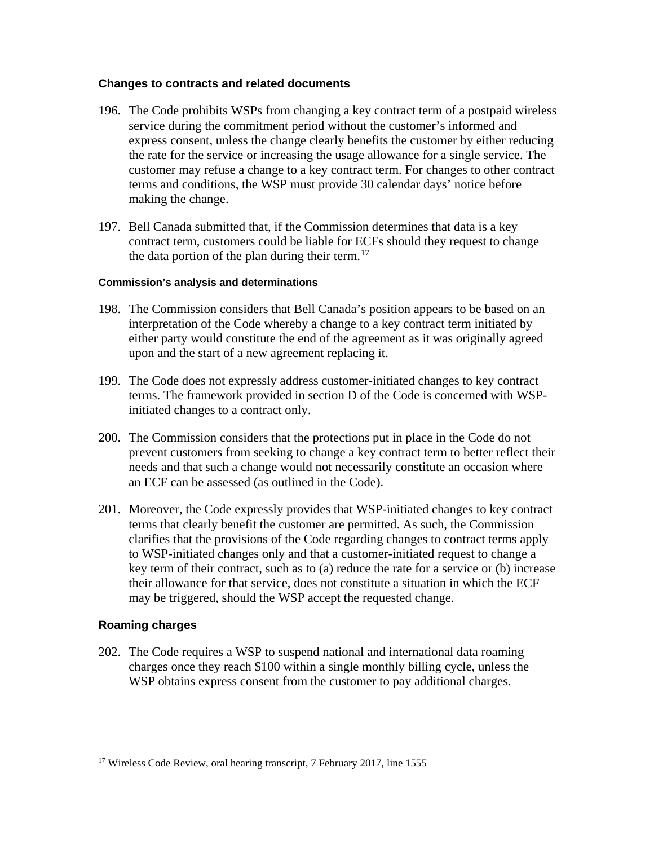#### **Changes to contracts and related documents**

- 196. The Code prohibits WSPs from changing a key contract term of a postpaid wireless service during the commitment period without the customer's informed and express consent, unless the change clearly benefits the customer by either reducing the rate for the service or increasing the usage allowance for a single service. The customer may refuse a change to a key contract term. For changes to other contract terms and conditions, the WSP must provide 30 calendar days' notice before making the change.
- 197. Bell Canada submitted that, if the Commission determines that data is a key contract term, customers could be liable for ECFs should they request to change the data portion of the plan during their term.<sup>[17](#page-32-0)</sup>

#### **Commission's analysis and determinations**

- 198. The Commission considers that Bell Canada's position appears to be based on an interpretation of the Code whereby a change to a key contract term initiated by either party would constitute the end of the agreement as it was originally agreed upon and the start of a new agreement replacing it.
- 199. The Code does not expressly address customer-initiated changes to key contract terms. The framework provided in section D of the Code is concerned with WSPinitiated changes to a contract only.
- 200. The Commission considers that the protections put in place in the Code do not prevent customers from seeking to change a key contract term to better reflect their needs and that such a change would not necessarily constitute an occasion where an ECF can be assessed (as outlined in the Code).
- 201. Moreover, the Code expressly provides that WSP-initiated changes to key contract terms that clearly benefit the customer are permitted. As such, the Commission clarifies that the provisions of the Code regarding changes to contract terms apply to WSP-initiated changes only and that a customer-initiated request to change a key term of their contract, such as to (a) reduce the rate for a service or (b) increase their allowance for that service, does not constitute a situation in which the ECF may be triggered, should the WSP accept the requested change.

#### **Roaming charges**

202. The Code requires a WSP to suspend national and international data roaming charges once they reach \$100 within a single monthly billing cycle, unless the WSP obtains express consent from the customer to pay additional charges.

<span id="page-32-0"></span><sup>&</sup>lt;sup>17</sup> Wireless Code Review, oral hearing transcript, 7 February 2017, line 1555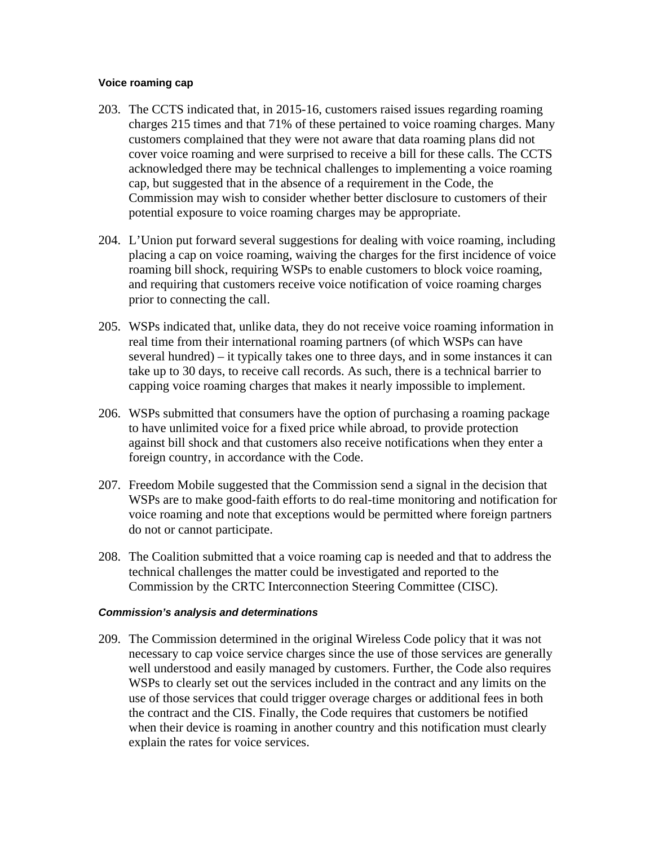#### **Voice roaming cap**

- 203. The CCTS indicated that, in 2015-16, customers raised issues regarding roaming charges 215 times and that 71% of these pertained to voice roaming charges. Many customers complained that they were not aware that data roaming plans did not cover voice roaming and were surprised to receive a bill for these calls. The CCTS acknowledged there may be technical challenges to implementing a voice roaming cap, but suggested that in the absence of a requirement in the Code, the Commission may wish to consider whether better disclosure to customers of their potential exposure to voice roaming charges may be appropriate.
- 204. L'Union put forward several suggestions for dealing with voice roaming, including placing a cap on voice roaming, waiving the charges for the first incidence of voice roaming bill shock, requiring WSPs to enable customers to block voice roaming, and requiring that customers receive voice notification of voice roaming charges prior to connecting the call.
- 205. WSPs indicated that, unlike data, they do not receive voice roaming information in real time from their international roaming partners (of which WSPs can have several hundred) – it typically takes one to three days, and in some instances it can take up to 30 days, to receive call records. As such, there is a technical barrier to capping voice roaming charges that makes it nearly impossible to implement.
- 206. WSPs submitted that consumers have the option of purchasing a roaming package to have unlimited voice for a fixed price while abroad, to provide protection against bill shock and that customers also receive notifications when they enter a foreign country, in accordance with the Code.
- 207. Freedom Mobile suggested that the Commission send a signal in the decision that WSPs are to make good-faith efforts to do real-time monitoring and notification for voice roaming and note that exceptions would be permitted where foreign partners do not or cannot participate.
- 208. The Coalition submitted that a voice roaming cap is needed and that to address the technical challenges the matter could be investigated and reported to the Commission by the CRTC Interconnection Steering Committee (CISC).

#### *Commission's analysis and determinations*

209. The Commission determined in the original Wireless Code policy that it was not necessary to cap voice service charges since the use of those services are generally well understood and easily managed by customers. Further, the Code also requires WSPs to clearly set out the services included in the contract and any limits on the use of those services that could trigger overage charges or additional fees in both the contract and the CIS. Finally, the Code requires that customers be notified when their device is roaming in another country and this notification must clearly explain the rates for voice services.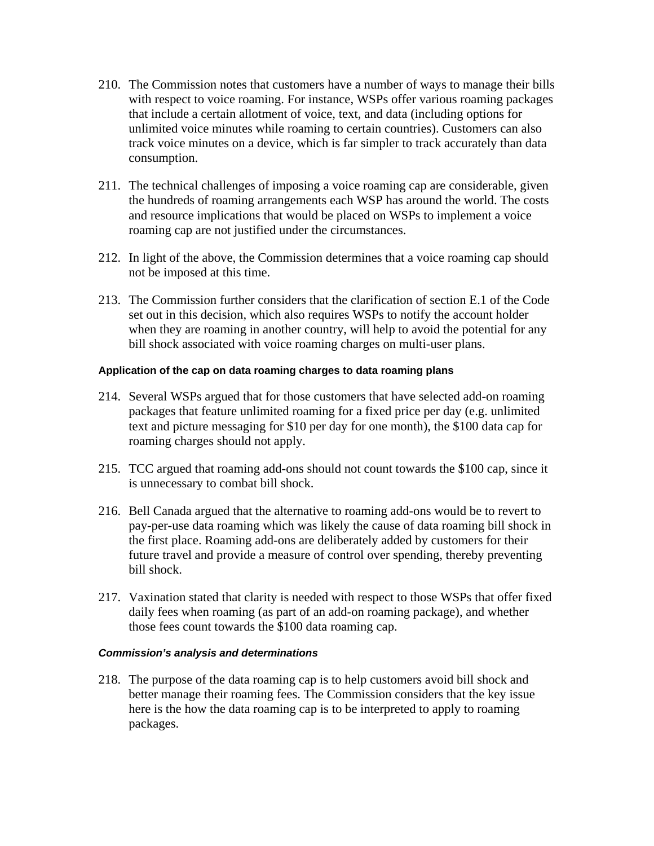- 210. The Commission notes that customers have a number of ways to manage their bills with respect to voice roaming. For instance, WSPs offer various roaming packages that include a certain allotment of voice, text, and data (including options for unlimited voice minutes while roaming to certain countries). Customers can also track voice minutes on a device, which is far simpler to track accurately than data consumption.
- 211. The technical challenges of imposing a voice roaming cap are considerable, given the hundreds of roaming arrangements each WSP has around the world. The costs and resource implications that would be placed on WSPs to implement a voice roaming cap are not justified under the circumstances.
- 212. In light of the above, the Commission determines that a voice roaming cap should not be imposed at this time.
- 213. The Commission further considers that the clarification of section E.1 of the Code set out in this decision, which also requires WSPs to notify the account holder when they are roaming in another country, will help to avoid the potential for any bill shock associated with voice roaming charges on multi-user plans.

#### **Application of the cap on data roaming charges to data roaming plans**

- 214. Several WSPs argued that for those customers that have selected add-on roaming packages that feature unlimited roaming for a fixed price per day (e.g. unlimited text and picture messaging for \$10 per day for one month), the \$100 data cap for roaming charges should not apply.
- 215. TCC argued that roaming add-ons should not count towards the \$100 cap, since it is unnecessary to combat bill shock.
- 216. Bell Canada argued that the alternative to roaming add-ons would be to revert to pay-per-use data roaming which was likely the cause of data roaming bill shock in the first place. Roaming add-ons are deliberately added by customers for their future travel and provide a measure of control over spending, thereby preventing bill shock.
- 217. Vaxination stated that clarity is needed with respect to those WSPs that offer fixed daily fees when roaming (as part of an add-on roaming package), and whether those fees count towards the \$100 data roaming cap.

#### *Commission's analysis and determinations*

218. The purpose of the data roaming cap is to help customers avoid bill shock and better manage their roaming fees. The Commission considers that the key issue here is the how the data roaming cap is to be interpreted to apply to roaming packages.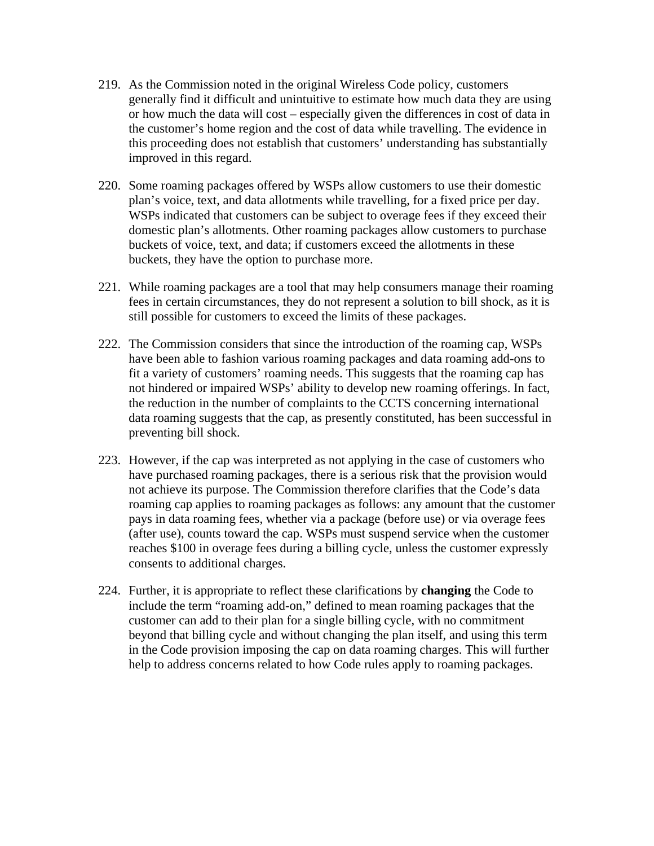- 219. As the Commission noted in the original Wireless Code policy, customers generally find it difficult and unintuitive to estimate how much data they are using or how much the data will cost – especially given the differences in cost of data in the customer's home region and the cost of data while travelling. The evidence in this proceeding does not establish that customers' understanding has substantially improved in this regard.
- 220. Some roaming packages offered by WSPs allow customers to use their domestic plan's voice, text, and data allotments while travelling, for a fixed price per day. WSPs indicated that customers can be subject to overage fees if they exceed their domestic plan's allotments. Other roaming packages allow customers to purchase buckets of voice, text, and data; if customers exceed the allotments in these buckets, they have the option to purchase more.
- 221. While roaming packages are a tool that may help consumers manage their roaming fees in certain circumstances, they do not represent a solution to bill shock, as it is still possible for customers to exceed the limits of these packages.
- 222. The Commission considers that since the introduction of the roaming cap, WSPs have been able to fashion various roaming packages and data roaming add-ons to fit a variety of customers' roaming needs. This suggests that the roaming cap has not hindered or impaired WSPs' ability to develop new roaming offerings. In fact, the reduction in the number of complaints to the CCTS concerning international data roaming suggests that the cap, as presently constituted, has been successful in preventing bill shock.
- 223. However, if the cap was interpreted as not applying in the case of customers who have purchased roaming packages, there is a serious risk that the provision would not achieve its purpose. The Commission therefore clarifies that the Code's data roaming cap applies to roaming packages as follows: any amount that the customer pays in data roaming fees, whether via a package (before use) or via overage fees (after use), counts toward the cap. WSPs must suspend service when the customer reaches \$100 in overage fees during a billing cycle, unless the customer expressly consents to additional charges.
- 224. Further, it is appropriate to reflect these clarifications by **changing** the Code to include the term "roaming add-on," defined to mean roaming packages that the customer can add to their plan for a single billing cycle, with no commitment beyond that billing cycle and without changing the plan itself, and using this term in the Code provision imposing the cap on data roaming charges. This will further help to address concerns related to how Code rules apply to roaming packages.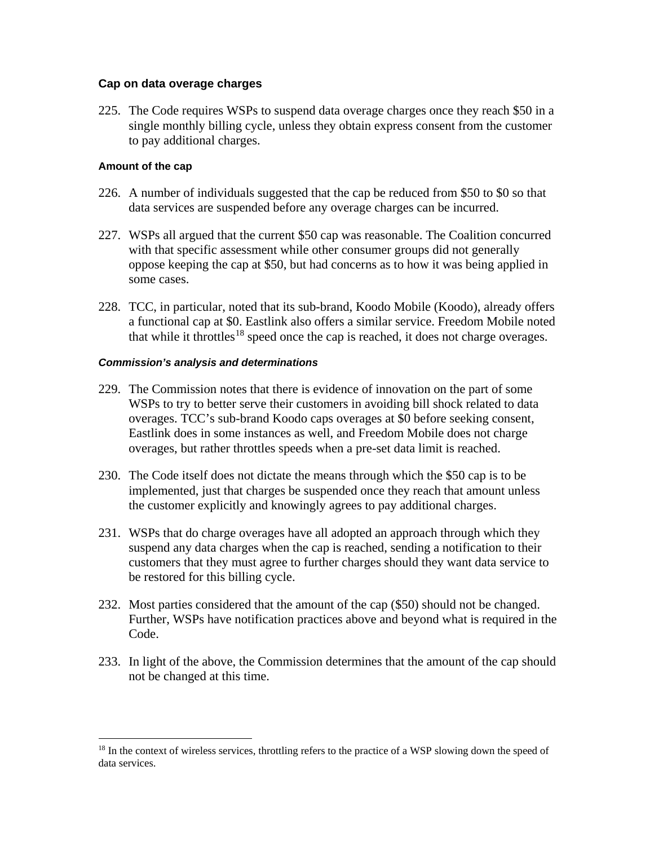### **Cap on data overage charges**

225. The Code requires WSPs to suspend data overage charges once they reach \$50 in a single monthly billing cycle, unless they obtain express consent from the customer to pay additional charges.

### **Amount of the cap**

- 226. A number of individuals suggested that the cap be reduced from \$50 to \$0 so that data services are suspended before any overage charges can be incurred.
- 227. WSPs all argued that the current \$50 cap was reasonable. The Coalition concurred with that specific assessment while other consumer groups did not generally oppose keeping the cap at \$50, but had concerns as to how it was being applied in some cases.
- 228. TCC, in particular, noted that its sub-brand, Koodo Mobile (Koodo), already offers a functional cap at \$0. Eastlink also offers a similar service. Freedom Mobile noted that while it throttles<sup>[18](#page-36-0)</sup> speed once the cap is reached, it does not charge overages.

- 229. The Commission notes that there is evidence of innovation on the part of some WSPs to try to better serve their customers in avoiding bill shock related to data overages. TCC's sub-brand Koodo caps overages at \$0 before seeking consent, Eastlink does in some instances as well, and Freedom Mobile does not charge overages, but rather throttles speeds when a pre-set data limit is reached.
- 230. The Code itself does not dictate the means through which the \$50 cap is to be implemented, just that charges be suspended once they reach that amount unless the customer explicitly and knowingly agrees to pay additional charges.
- 231. WSPs that do charge overages have all adopted an approach through which they suspend any data charges when the cap is reached, sending a notification to their customers that they must agree to further charges should they want data service to be restored for this billing cycle.
- 232. Most parties considered that the amount of the cap (\$50) should not be changed. Further, WSPs have notification practices above and beyond what is required in the Code.
- 233. In light of the above, the Commission determines that the amount of the cap should not be changed at this time.

<span id="page-36-0"></span><sup>&</sup>lt;sup>18</sup> In the context of wireless services, throttling refers to the practice of a WSP slowing down the speed of data services.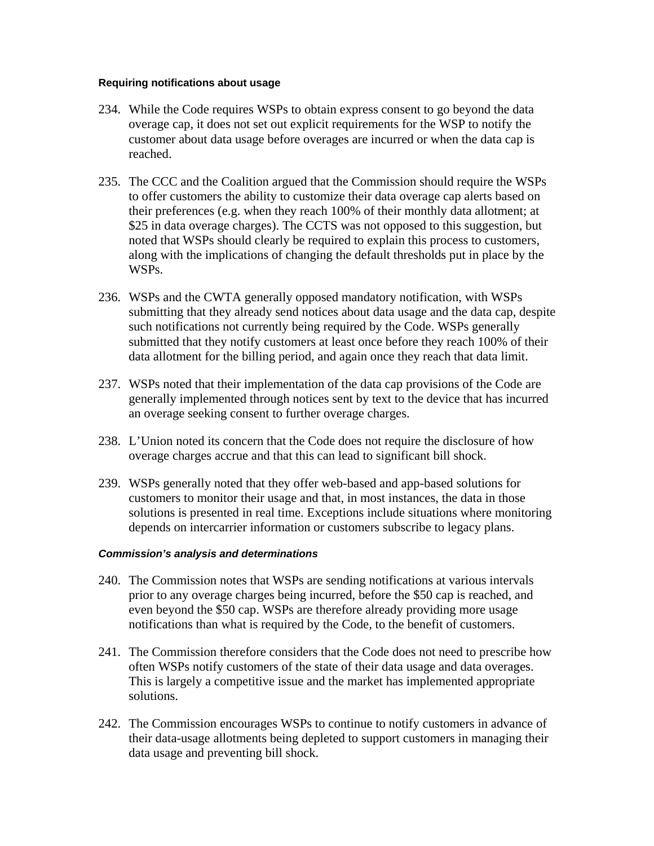#### **Requiring notifications about usage**

- 234. While the Code requires WSPs to obtain express consent to go beyond the data overage cap, it does not set out explicit requirements for the WSP to notify the customer about data usage before overages are incurred or when the data cap is reached.
- 235. The CCC and the Coalition argued that the Commission should require the WSPs to offer customers the ability to customize their data overage cap alerts based on their preferences (e.g. when they reach 100% of their monthly data allotment; at \$25 in data overage charges). The CCTS was not opposed to this suggestion, but noted that WSPs should clearly be required to explain this process to customers, along with the implications of changing the default thresholds put in place by the WSPs.
- 236. WSPs and the CWTA generally opposed mandatory notification, with WSPs submitting that they already send notices about data usage and the data cap, despite such notifications not currently being required by the Code. WSPs generally submitted that they notify customers at least once before they reach 100% of their data allotment for the billing period, and again once they reach that data limit.
- 237. WSPs noted that their implementation of the data cap provisions of the Code are generally implemented through notices sent by text to the device that has incurred an overage seeking consent to further overage charges.
- 238. L'Union noted its concern that the Code does not require the disclosure of how overage charges accrue and that this can lead to significant bill shock.
- 239. WSPs generally noted that they offer web-based and app-based solutions for customers to monitor their usage and that, in most instances, the data in those solutions is presented in real time. Exceptions include situations where monitoring depends on intercarrier information or customers subscribe to legacy plans.

- 240. The Commission notes that WSPs are sending notifications at various intervals prior to any overage charges being incurred, before the \$50 cap is reached, and even beyond the \$50 cap. WSPs are therefore already providing more usage notifications than what is required by the Code, to the benefit of customers.
- 241. The Commission therefore considers that the Code does not need to prescribe how often WSPs notify customers of the state of their data usage and data overages. This is largely a competitive issue and the market has implemented appropriate solutions.
- 242. The Commission encourages WSPs to continue to notify customers in advance of their data-usage allotments being depleted to support customers in managing their data usage and preventing bill shock.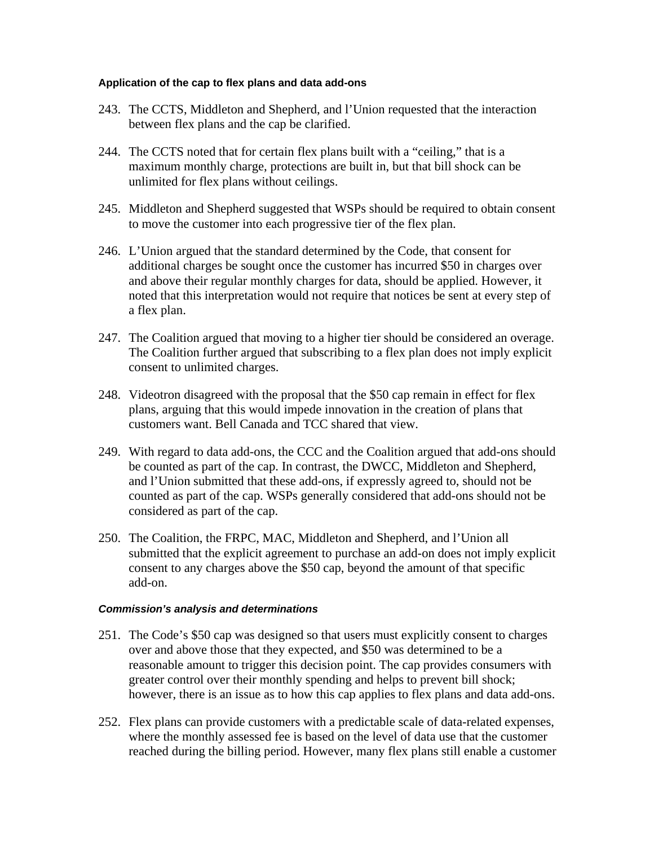### **Application of the cap to flex plans and data add-ons**

- 243. The CCTS, Middleton and Shepherd, and l'Union requested that the interaction between flex plans and the cap be clarified.
- 244. The CCTS noted that for certain flex plans built with a "ceiling," that is a maximum monthly charge, protections are built in, but that bill shock can be unlimited for flex plans without ceilings.
- 245. Middleton and Shepherd suggested that WSPs should be required to obtain consent to move the customer into each progressive tier of the flex plan.
- 246. L'Union argued that the standard determined by the Code, that consent for additional charges be sought once the customer has incurred \$50 in charges over and above their regular monthly charges for data, should be applied. However, it noted that this interpretation would not require that notices be sent at every step of a flex plan.
- 247. The Coalition argued that moving to a higher tier should be considered an overage. The Coalition further argued that subscribing to a flex plan does not imply explicit consent to unlimited charges.
- 248. Videotron disagreed with the proposal that the \$50 cap remain in effect for flex plans, arguing that this would impede innovation in the creation of plans that customers want. Bell Canada and TCC shared that view.
- 249. With regard to data add-ons, the CCC and the Coalition argued that add-ons should be counted as part of the cap. In contrast, the DWCC, Middleton and Shepherd, and l'Union submitted that these add-ons, if expressly agreed to, should not be counted as part of the cap. WSPs generally considered that add-ons should not be considered as part of the cap.
- 250. The Coalition, the FRPC, MAC, Middleton and Shepherd, and l'Union all submitted that the explicit agreement to purchase an add-on does not imply explicit consent to any charges above the \$50 cap, beyond the amount of that specific add-on.

- 251. The Code's \$50 cap was designed so that users must explicitly consent to charges over and above those that they expected, and \$50 was determined to be a reasonable amount to trigger this decision point. The cap provides consumers with greater control over their monthly spending and helps to prevent bill shock; however, there is an issue as to how this cap applies to flex plans and data add-ons.
- 252. Flex plans can provide customers with a predictable scale of data-related expenses, where the monthly assessed fee is based on the level of data use that the customer reached during the billing period. However, many flex plans still enable a customer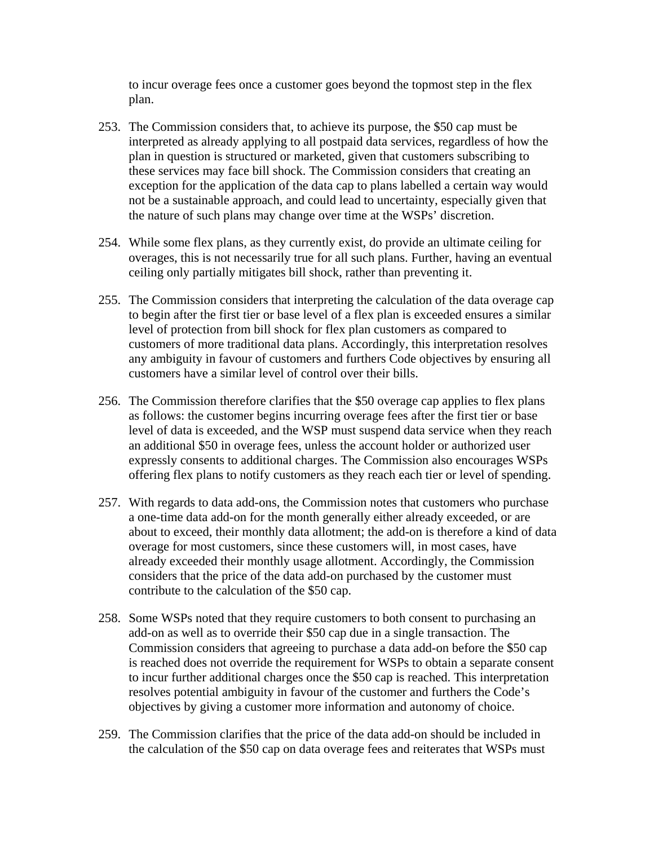to incur overage fees once a customer goes beyond the topmost step in the flex plan.

- 253. The Commission considers that, to achieve its purpose, the \$50 cap must be interpreted as already applying to all postpaid data services, regardless of how the plan in question is structured or marketed, given that customers subscribing to these services may face bill shock. The Commission considers that creating an exception for the application of the data cap to plans labelled a certain way would not be a sustainable approach, and could lead to uncertainty, especially given that the nature of such plans may change over time at the WSPs' discretion.
- 254. While some flex plans, as they currently exist, do provide an ultimate ceiling for overages, this is not necessarily true for all such plans. Further, having an eventual ceiling only partially mitigates bill shock, rather than preventing it.
- 255. The Commission considers that interpreting the calculation of the data overage cap to begin after the first tier or base level of a flex plan is exceeded ensures a similar level of protection from bill shock for flex plan customers as compared to customers of more traditional data plans. Accordingly, this interpretation resolves any ambiguity in favour of customers and furthers Code objectives by ensuring all customers have a similar level of control over their bills.
- 256. The Commission therefore clarifies that the \$50 overage cap applies to flex plans as follows: the customer begins incurring overage fees after the first tier or base level of data is exceeded, and the WSP must suspend data service when they reach an additional \$50 in overage fees, unless the account holder or authorized user expressly consents to additional charges. The Commission also encourages WSPs offering flex plans to notify customers as they reach each tier or level of spending.
- 257. With regards to data add-ons, the Commission notes that customers who purchase a one-time data add-on for the month generally either already exceeded, or are about to exceed, their monthly data allotment; the add-on is therefore a kind of data overage for most customers, since these customers will, in most cases, have already exceeded their monthly usage allotment. Accordingly, the Commission considers that the price of the data add-on purchased by the customer must contribute to the calculation of the \$50 cap.
- 258. Some WSPs noted that they require customers to both consent to purchasing an add-on as well as to override their \$50 cap due in a single transaction. The Commission considers that agreeing to purchase a data add-on before the \$50 cap is reached does not override the requirement for WSPs to obtain a separate consent to incur further additional charges once the \$50 cap is reached. This interpretation resolves potential ambiguity in favour of the customer and furthers the Code's objectives by giving a customer more information and autonomy of choice.
- 259. The Commission clarifies that the price of the data add-on should be included in the calculation of the \$50 cap on data overage fees and reiterates that WSPs must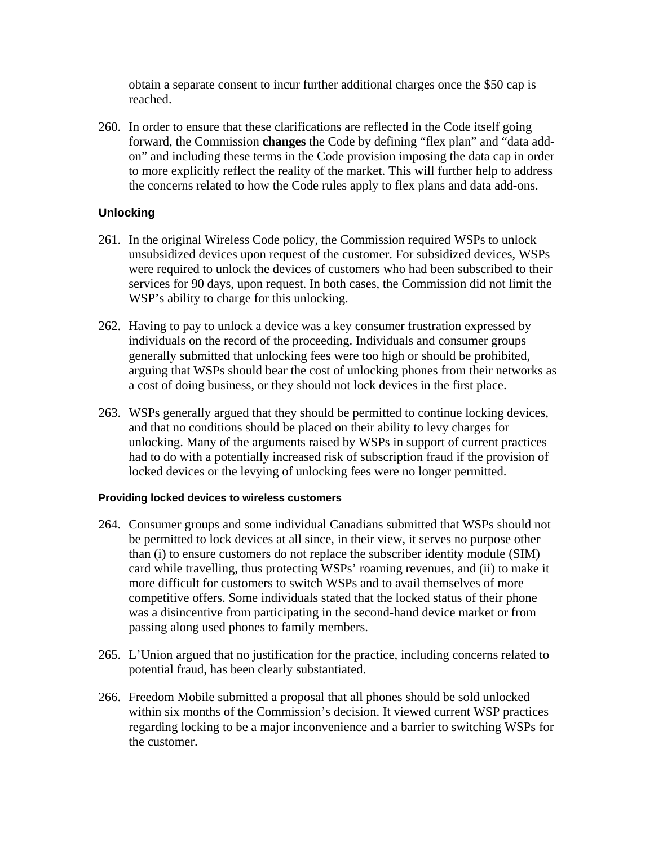obtain a separate consent to incur further additional charges once the \$50 cap is reached.

260. In order to ensure that these clarifications are reflected in the Code itself going forward, the Commission **changes** the Code by defining "flex plan" and "data addon" and including these terms in the Code provision imposing the data cap in order to more explicitly reflect the reality of the market. This will further help to address the concerns related to how the Code rules apply to flex plans and data add-ons.

# **Unlocking**

- 261. In the original Wireless Code policy, the Commission required WSPs to unlock unsubsidized devices upon request of the customer. For subsidized devices, WSPs were required to unlock the devices of customers who had been subscribed to their services for 90 days, upon request. In both cases, the Commission did not limit the WSP's ability to charge for this unlocking.
- 262. Having to pay to unlock a device was a key consumer frustration expressed by individuals on the record of the proceeding. Individuals and consumer groups generally submitted that unlocking fees were too high or should be prohibited, arguing that WSPs should bear the cost of unlocking phones from their networks as a cost of doing business, or they should not lock devices in the first place.
- 263. WSPs generally argued that they should be permitted to continue locking devices, and that no conditions should be placed on their ability to levy charges for unlocking. Many of the arguments raised by WSPs in support of current practices had to do with a potentially increased risk of subscription fraud if the provision of locked devices or the levying of unlocking fees were no longer permitted.

# **Providing locked devices to wireless customers**

- 264. Consumer groups and some individual Canadians submitted that WSPs should not be permitted to lock devices at all since, in their view, it serves no purpose other than (i) to ensure customers do not replace the subscriber identity module (SIM) card while travelling, thus protecting WSPs' roaming revenues, and (ii) to make it more difficult for customers to switch WSPs and to avail themselves of more competitive offers. Some individuals stated that the locked status of their phone was a disincentive from participating in the second-hand device market or from passing along used phones to family members.
- 265. L'Union argued that no justification for the practice, including concerns related to potential fraud, has been clearly substantiated.
- 266. Freedom Mobile submitted a proposal that all phones should be sold unlocked within six months of the Commission's decision. It viewed current WSP practices regarding locking to be a major inconvenience and a barrier to switching WSPs for the customer.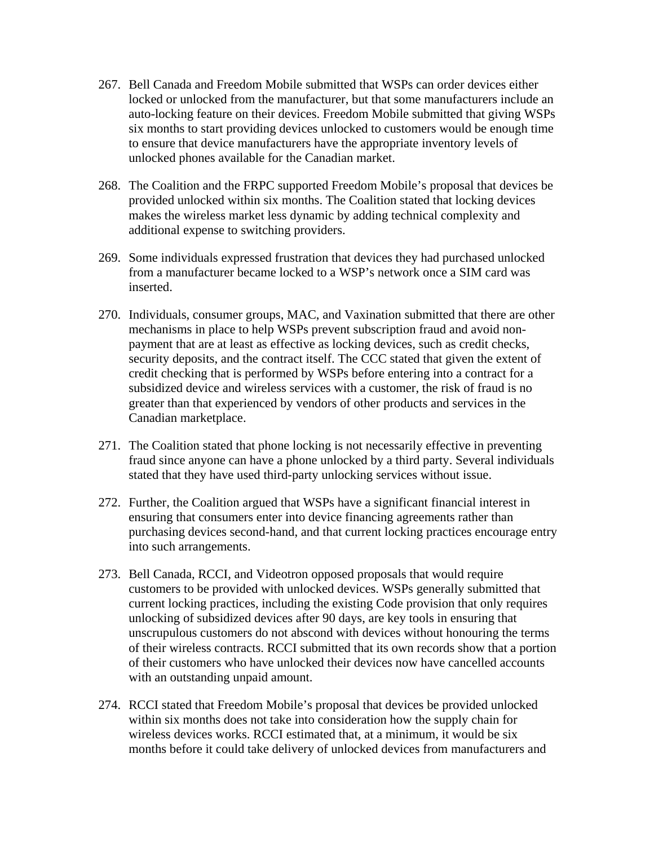- 267. Bell Canada and Freedom Mobile submitted that WSPs can order devices either locked or unlocked from the manufacturer, but that some manufacturers include an auto-locking feature on their devices. Freedom Mobile submitted that giving WSPs six months to start providing devices unlocked to customers would be enough time to ensure that device manufacturers have the appropriate inventory levels of unlocked phones available for the Canadian market.
- 268. The Coalition and the FRPC supported Freedom Mobile's proposal that devices be provided unlocked within six months. The Coalition stated that locking devices makes the wireless market less dynamic by adding technical complexity and additional expense to switching providers.
- 269. Some individuals expressed frustration that devices they had purchased unlocked from a manufacturer became locked to a WSP's network once a SIM card was inserted.
- 270. Individuals, consumer groups, MAC, and Vaxination submitted that there are other mechanisms in place to help WSPs prevent subscription fraud and avoid nonpayment that are at least as effective as locking devices, such as credit checks, security deposits, and the contract itself. The CCC stated that given the extent of credit checking that is performed by WSPs before entering into a contract for a subsidized device and wireless services with a customer, the risk of fraud is no greater than that experienced by vendors of other products and services in the Canadian marketplace.
- 271. The Coalition stated that phone locking is not necessarily effective in preventing fraud since anyone can have a phone unlocked by a third party. Several individuals stated that they have used third-party unlocking services without issue.
- 272. Further, the Coalition argued that WSPs have a significant financial interest in ensuring that consumers enter into device financing agreements rather than purchasing devices second-hand, and that current locking practices encourage entry into such arrangements.
- 273. Bell Canada, RCCI, and Videotron opposed proposals that would require customers to be provided with unlocked devices. WSPs generally submitted that current locking practices, including the existing Code provision that only requires unlocking of subsidized devices after 90 days, are key tools in ensuring that unscrupulous customers do not abscond with devices without honouring the terms of their wireless contracts. RCCI submitted that its own records show that a portion of their customers who have unlocked their devices now have cancelled accounts with an outstanding unpaid amount.
- 274. RCCI stated that Freedom Mobile's proposal that devices be provided unlocked within six months does not take into consideration how the supply chain for wireless devices works. RCCI estimated that, at a minimum, it would be six months before it could take delivery of unlocked devices from manufacturers and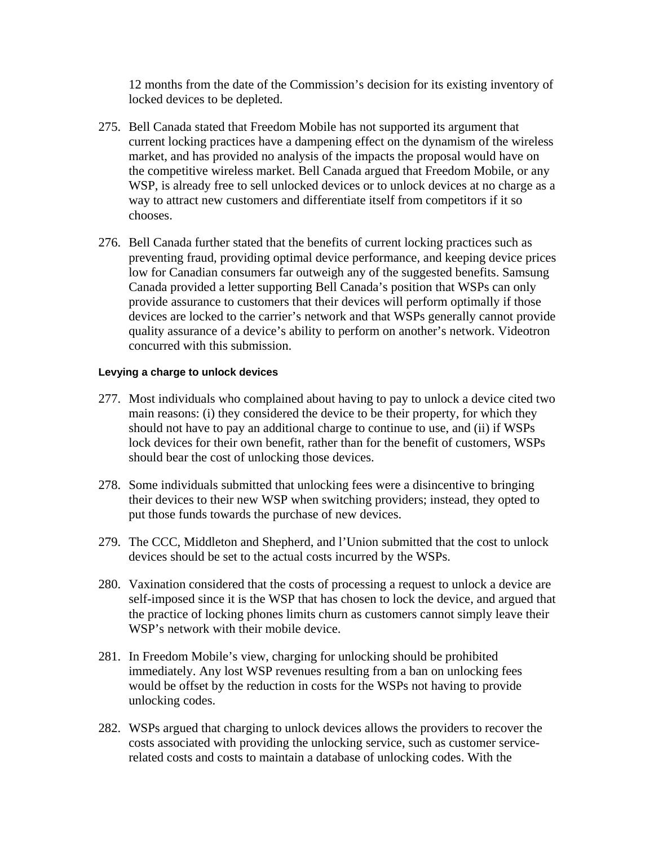12 months from the date of the Commission's decision for its existing inventory of locked devices to be depleted.

- 275. Bell Canada stated that Freedom Mobile has not supported its argument that current locking practices have a dampening effect on the dynamism of the wireless market, and has provided no analysis of the impacts the proposal would have on the competitive wireless market. Bell Canada argued that Freedom Mobile, or any WSP, is already free to sell unlocked devices or to unlock devices at no charge as a way to attract new customers and differentiate itself from competitors if it so chooses.
- 276. Bell Canada further stated that the benefits of current locking practices such as preventing fraud, providing optimal device performance, and keeping device prices low for Canadian consumers far outweigh any of the suggested benefits. Samsung Canada provided a letter supporting Bell Canada's position that WSPs can only provide assurance to customers that their devices will perform optimally if those devices are locked to the carrier's network and that WSPs generally cannot provide quality assurance of a device's ability to perform on another's network. Videotron concurred with this submission.

#### **Levying a charge to unlock devices**

- 277. Most individuals who complained about having to pay to unlock a device cited two main reasons: (i) they considered the device to be their property, for which they should not have to pay an additional charge to continue to use, and (ii) if WSPs lock devices for their own benefit, rather than for the benefit of customers, WSPs should bear the cost of unlocking those devices.
- 278. Some individuals submitted that unlocking fees were a disincentive to bringing their devices to their new WSP when switching providers; instead, they opted to put those funds towards the purchase of new devices.
- 279. The CCC, Middleton and Shepherd, and l'Union submitted that the cost to unlock devices should be set to the actual costs incurred by the WSPs.
- 280. Vaxination considered that the costs of processing a request to unlock a device are self-imposed since it is the WSP that has chosen to lock the device, and argued that the practice of locking phones limits churn as customers cannot simply leave their WSP's network with their mobile device.
- 281. In Freedom Mobile's view, charging for unlocking should be prohibited immediately. Any lost WSP revenues resulting from a ban on unlocking fees would be offset by the reduction in costs for the WSPs not having to provide unlocking codes.
- 282. WSPs argued that charging to unlock devices allows the providers to recover the costs associated with providing the unlocking service, such as customer servicerelated costs and costs to maintain a database of unlocking codes. With the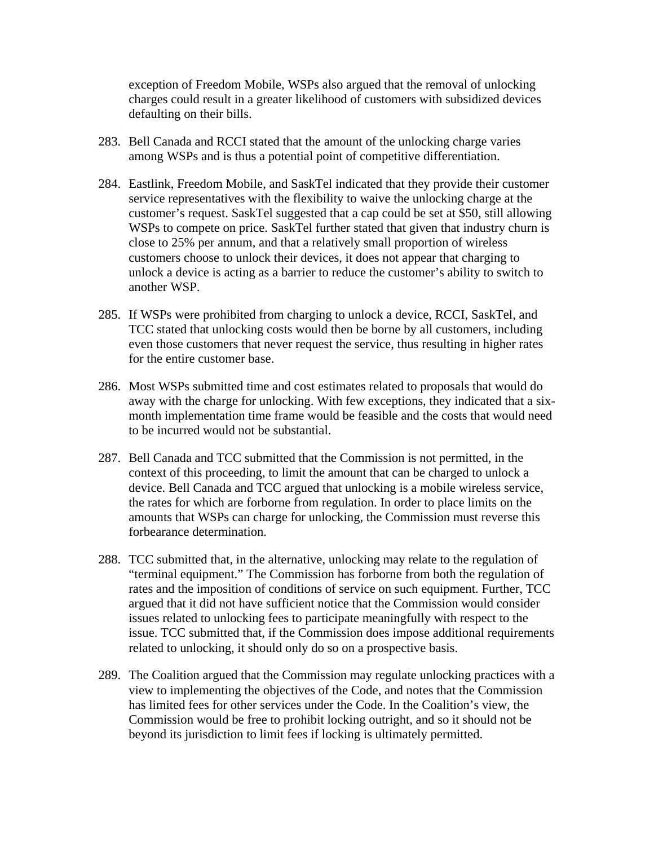exception of Freedom Mobile, WSPs also argued that the removal of unlocking charges could result in a greater likelihood of customers with subsidized devices defaulting on their bills.

- 283. Bell Canada and RCCI stated that the amount of the unlocking charge varies among WSPs and is thus a potential point of competitive differentiation.
- 284. Eastlink, Freedom Mobile, and SaskTel indicated that they provide their customer service representatives with the flexibility to waive the unlocking charge at the customer's request. SaskTel suggested that a cap could be set at \$50, still allowing WSPs to compete on price. SaskTel further stated that given that industry churn is close to 25% per annum, and that a relatively small proportion of wireless customers choose to unlock their devices, it does not appear that charging to unlock a device is acting as a barrier to reduce the customer's ability to switch to another WSP.
- 285. If WSPs were prohibited from charging to unlock a device, RCCI, SaskTel, and TCC stated that unlocking costs would then be borne by all customers, including even those customers that never request the service, thus resulting in higher rates for the entire customer base.
- 286. Most WSPs submitted time and cost estimates related to proposals that would do away with the charge for unlocking. With few exceptions, they indicated that a sixmonth implementation time frame would be feasible and the costs that would need to be incurred would not be substantial.
- 287. Bell Canada and TCC submitted that the Commission is not permitted, in the context of this proceeding, to limit the amount that can be charged to unlock a device. Bell Canada and TCC argued that unlocking is a mobile wireless service, the rates for which are forborne from regulation. In order to place limits on the amounts that WSPs can charge for unlocking, the Commission must reverse this forbearance determination.
- 288. TCC submitted that, in the alternative, unlocking may relate to the regulation of "terminal equipment." The Commission has forborne from both the regulation of rates and the imposition of conditions of service on such equipment. Further, TCC argued that it did not have sufficient notice that the Commission would consider issues related to unlocking fees to participate meaningfully with respect to the issue. TCC submitted that, if the Commission does impose additional requirements related to unlocking, it should only do so on a prospective basis.
- 289. The Coalition argued that the Commission may regulate unlocking practices with a view to implementing the objectives of the Code, and notes that the Commission has limited fees for other services under the Code. In the Coalition's view, the Commission would be free to prohibit locking outright, and so it should not be beyond its jurisdiction to limit fees if locking is ultimately permitted.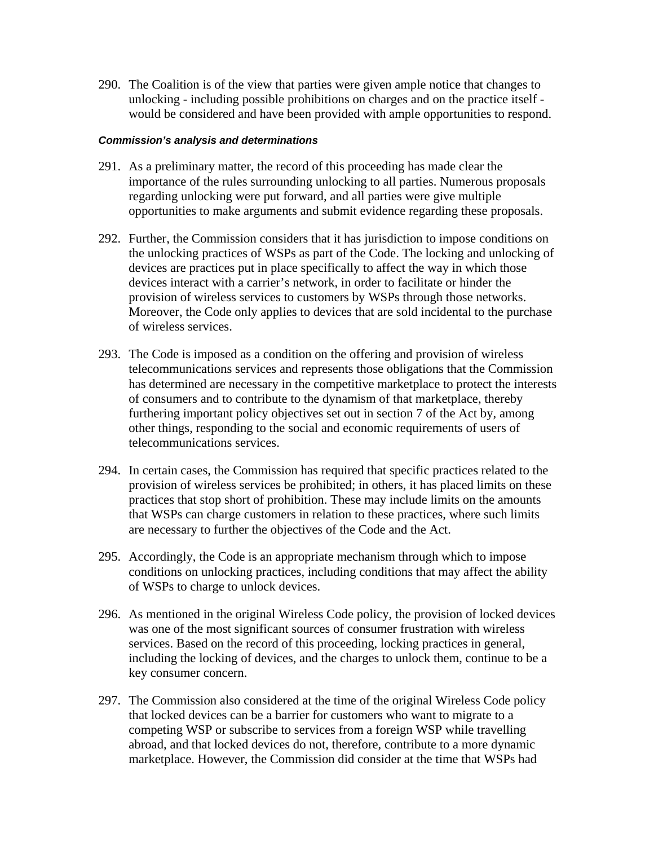290. The Coalition is of the view that parties were given ample notice that changes to unlocking - including possible prohibitions on charges and on the practice itself would be considered and have been provided with ample opportunities to respond.

- 291. As a preliminary matter, the record of this proceeding has made clear the importance of the rules surrounding unlocking to all parties. Numerous proposals regarding unlocking were put forward, and all parties were give multiple opportunities to make arguments and submit evidence regarding these proposals.
- 292. Further, the Commission considers that it has jurisdiction to impose conditions on the unlocking practices of WSPs as part of the Code. The locking and unlocking of devices are practices put in place specifically to affect the way in which those devices interact with a carrier's network, in order to facilitate or hinder the provision of wireless services to customers by WSPs through those networks. Moreover, the Code only applies to devices that are sold incidental to the purchase of wireless services.
- 293. The Code is imposed as a condition on the offering and provision of wireless telecommunications services and represents those obligations that the Commission has determined are necessary in the competitive marketplace to protect the interests of consumers and to contribute to the dynamism of that marketplace, thereby furthering important policy objectives set out in section 7 of the Act by, among other things, responding to the social and economic requirements of users of telecommunications services.
- 294. In certain cases, the Commission has required that specific practices related to the provision of wireless services be prohibited; in others, it has placed limits on these practices that stop short of prohibition. These may include limits on the amounts that WSPs can charge customers in relation to these practices, where such limits are necessary to further the objectives of the Code and the Act.
- 295. Accordingly, the Code is an appropriate mechanism through which to impose conditions on unlocking practices, including conditions that may affect the ability of WSPs to charge to unlock devices.
- 296. As mentioned in the original Wireless Code policy, the provision of locked devices was one of the most significant sources of consumer frustration with wireless services. Based on the record of this proceeding, locking practices in general, including the locking of devices, and the charges to unlock them, continue to be a key consumer concern.
- 297. The Commission also considered at the time of the original Wireless Code policy that locked devices can be a barrier for customers who want to migrate to a competing WSP or subscribe to services from a foreign WSP while travelling abroad, and that locked devices do not, therefore, contribute to a more dynamic marketplace. However, the Commission did consider at the time that WSPs had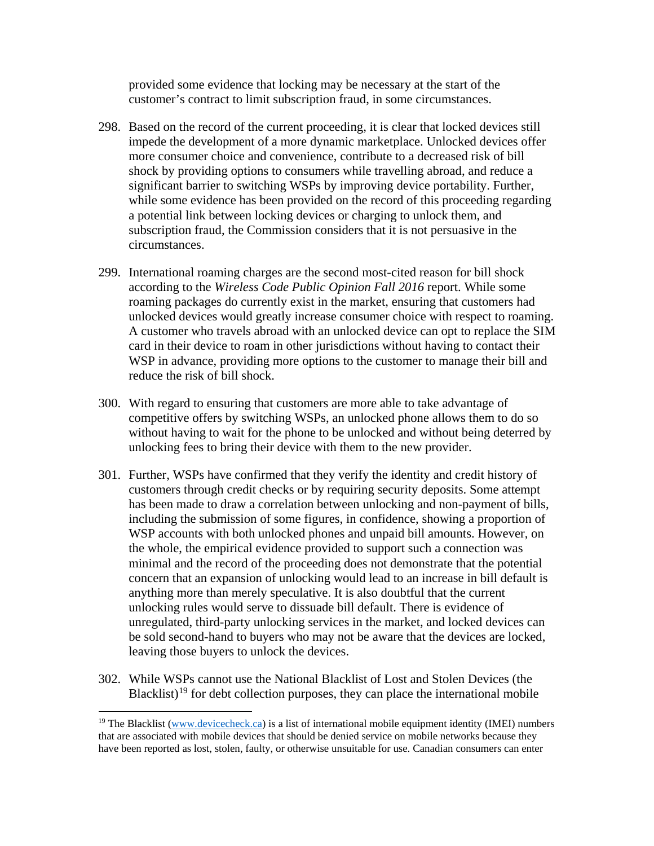provided some evidence that locking may be necessary at the start of the customer's contract to limit subscription fraud, in some circumstances.

- 298. Based on the record of the current proceeding, it is clear that locked devices still impede the development of a more dynamic marketplace. Unlocked devices offer more consumer choice and convenience, contribute to a decreased risk of bill shock by providing options to consumers while travelling abroad, and reduce a significant barrier to switching WSPs by improving device portability. Further, while some evidence has been provided on the record of this proceeding regarding a potential link between locking devices or charging to unlock them, and subscription fraud, the Commission considers that it is not persuasive in the circumstances.
- 299. International roaming charges are the second most-cited reason for bill shock according to the *Wireless Code Public Opinion Fall 2016* report. While some roaming packages do currently exist in the market, ensuring that customers had unlocked devices would greatly increase consumer choice with respect to roaming. A customer who travels abroad with an unlocked device can opt to replace the SIM card in their device to roam in other jurisdictions without having to contact their WSP in advance, providing more options to the customer to manage their bill and reduce the risk of bill shock.
- 300. With regard to ensuring that customers are more able to take advantage of competitive offers by switching WSPs, an unlocked phone allows them to do so without having to wait for the phone to be unlocked and without being deterred by unlocking fees to bring their device with them to the new provider.
- 301. Further, WSPs have confirmed that they verify the identity and credit history of customers through credit checks or by requiring security deposits. Some attempt has been made to draw a correlation between unlocking and non-payment of bills, including the submission of some figures, in confidence, showing a proportion of WSP accounts with both unlocked phones and unpaid bill amounts. However, on the whole, the empirical evidence provided to support such a connection was minimal and the record of the proceeding does not demonstrate that the potential concern that an expansion of unlocking would lead to an increase in bill default is anything more than merely speculative. It is also doubtful that the current unlocking rules would serve to dissuade bill default. There is evidence of unregulated, third-party unlocking services in the market, and locked devices can be sold second-hand to buyers who may not be aware that the devices are locked, leaving those buyers to unlock the devices.
- 302. While WSPs cannot use the National Blacklist of Lost and Stolen Devices (the Blacklist)<sup>[19](#page-45-0)</sup> for debt collection purposes, they can place the international mobile

<span id="page-45-0"></span><sup>&</sup>lt;sup>19</sup> The Blacklist [\(www.devicecheck.ca\)](http://www.devicecheck.ca/) is a list of international mobile equipment identity (IMEI) numbers that are associated with mobile devices that should be denied service on mobile networks because they have been reported as lost, stolen, faulty, or otherwise unsuitable for use. Canadian consumers can enter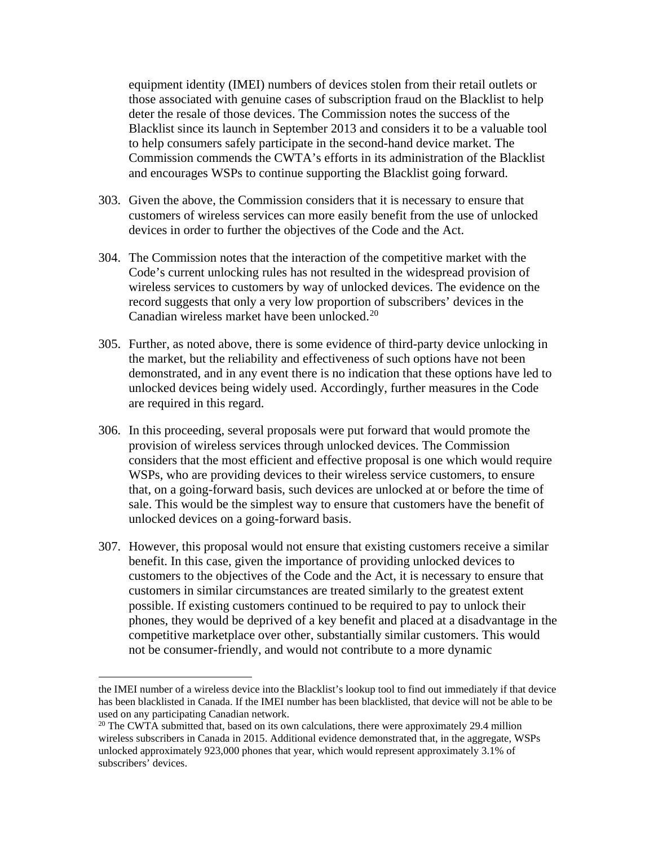equipment identity (IMEI) numbers of devices stolen from their retail outlets or those associated with genuine cases of subscription fraud on the Blacklist to help deter the resale of those devices. The Commission notes the success of the Blacklist since its launch in September 2013 and considers it to be a valuable tool to help consumers safely participate in the second-hand device market. The Commission commends the CWTA's efforts in its administration of the Blacklist and encourages WSPs to continue supporting the Blacklist going forward.

- 303. Given the above, the Commission considers that it is necessary to ensure that customers of wireless services can more easily benefit from the use of unlocked devices in order to further the objectives of the Code and the Act.
- 304. The Commission notes that the interaction of the competitive market with the Code's current unlocking rules has not resulted in the widespread provision of wireless services to customers by way of unlocked devices. The evidence on the record suggests that only a very low proportion of subscribers' devices in the Canadian wireless market have been unlocked.[20](#page-46-0)
- 305. Further, as noted above, there is some evidence of third-party device unlocking in the market, but the reliability and effectiveness of such options have not been demonstrated, and in any event there is no indication that these options have led to unlocked devices being widely used. Accordingly, further measures in the Code are required in this regard.
- 306. In this proceeding, several proposals were put forward that would promote the provision of wireless services through unlocked devices. The Commission considers that the most efficient and effective proposal is one which would require WSPs, who are providing devices to their wireless service customers, to ensure that, on a going-forward basis, such devices are unlocked at or before the time of sale. This would be the simplest way to ensure that customers have the benefit of unlocked devices on a going-forward basis.
- 307. However, this proposal would not ensure that existing customers receive a similar benefit. In this case, given the importance of providing unlocked devices to customers to the objectives of the Code and the Act, it is necessary to ensure that customers in similar circumstances are treated similarly to the greatest extent possible. If existing customers continued to be required to pay to unlock their phones, they would be deprived of a key benefit and placed at a disadvantage in the competitive marketplace over other, substantially similar customers. This would not be consumer-friendly, and would not contribute to a more dynamic

the IMEI number of a wireless device into the Blacklist's lookup tool to find out immediately if that device has been blacklisted in Canada. If the IMEI number has been blacklisted, that device will not be able to be used on any participating Canadian network.

<span id="page-46-0"></span> $20$  The CWTA submitted that, based on its own calculations, there were approximately 29.4 million wireless subscribers in Canada in 2015. Additional evidence demonstrated that, in the aggregate, WSPs unlocked approximately 923,000 phones that year, which would represent approximately 3.1% of subscribers' devices.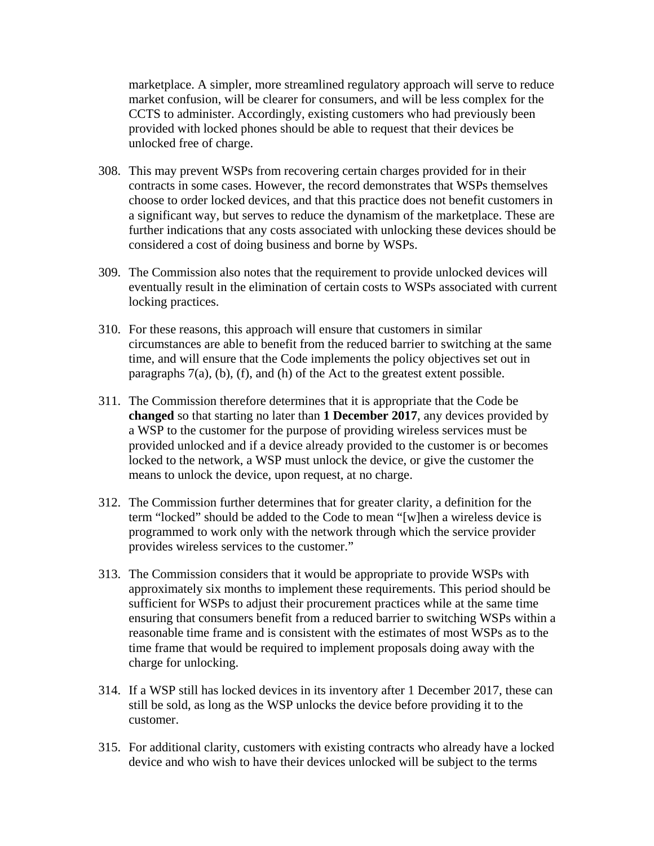marketplace. A simpler, more streamlined regulatory approach will serve to reduce market confusion, will be clearer for consumers, and will be less complex for the CCTS to administer. Accordingly, existing customers who had previously been provided with locked phones should be able to request that their devices be unlocked free of charge.

- 308. This may prevent WSPs from recovering certain charges provided for in their contracts in some cases. However, the record demonstrates that WSPs themselves choose to order locked devices, and that this practice does not benefit customers in a significant way, but serves to reduce the dynamism of the marketplace. These are further indications that any costs associated with unlocking these devices should be considered a cost of doing business and borne by WSPs.
- 309. The Commission also notes that the requirement to provide unlocked devices will eventually result in the elimination of certain costs to WSPs associated with current locking practices.
- 310. For these reasons, this approach will ensure that customers in similar circumstances are able to benefit from the reduced barrier to switching at the same time, and will ensure that the Code implements the policy objectives set out in paragraphs 7(a), (b), (f), and (h) of the Act to the greatest extent possible.
- 311. The Commission therefore determines that it is appropriate that the Code be **changed** so that starting no later than **1 December 2017**, any devices provided by a WSP to the customer for the purpose of providing wireless services must be provided unlocked and if a device already provided to the customer is or becomes locked to the network, a WSP must unlock the device, or give the customer the means to unlock the device, upon request, at no charge.
- 312. The Commission further determines that for greater clarity, a definition for the term "locked" should be added to the Code to mean "[w]hen a wireless device is programmed to work only with the network through which the service provider provides wireless services to the customer."
- 313. The Commission considers that it would be appropriate to provide WSPs with approximately six months to implement these requirements. This period should be sufficient for WSPs to adjust their procurement practices while at the same time ensuring that consumers benefit from a reduced barrier to switching WSPs within a reasonable time frame and is consistent with the estimates of most WSPs as to the time frame that would be required to implement proposals doing away with the charge for unlocking.
- 314. If a WSP still has locked devices in its inventory after 1 December 2017, these can still be sold, as long as the WSP unlocks the device before providing it to the customer.
- 315. For additional clarity, customers with existing contracts who already have a locked device and who wish to have their devices unlocked will be subject to the terms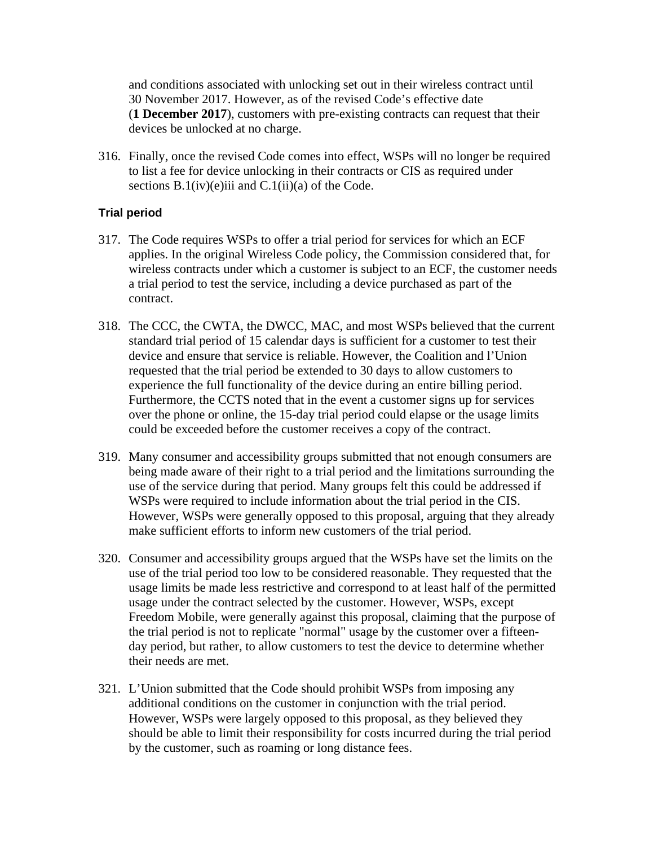and conditions associated with unlocking set out in their wireless contract until 30 November 2017. However, as of the revised Code's effective date (**1 December 2017**), customers with pre-existing contracts can request that their devices be unlocked at no charge.

316. Finally, once the revised Code comes into effect, WSPs will no longer be required to list a fee for device unlocking in their contracts or CIS as required under sections  $B.1(iv)(e)$ iii and  $C.1(i)$ (a) of the Code.

# **Trial period**

- 317. The Code requires WSPs to offer a trial period for services for which an ECF applies. In the original Wireless Code policy, the Commission considered that, for wireless contracts under which a customer is subject to an ECF, the customer needs a trial period to test the service, including a device purchased as part of the contract.
- 318. The CCC, the CWTA, the DWCC, MAC, and most WSPs believed that the current standard trial period of 15 calendar days is sufficient for a customer to test their device and ensure that service is reliable. However, the Coalition and l'Union requested that the trial period be extended to 30 days to allow customers to experience the full functionality of the device during an entire billing period. Furthermore, the CCTS noted that in the event a customer signs up for services over the phone or online, the 15-day trial period could elapse or the usage limits could be exceeded before the customer receives a copy of the contract.
- 319. Many consumer and accessibility groups submitted that not enough consumers are being made aware of their right to a trial period and the limitations surrounding the use of the service during that period. Many groups felt this could be addressed if WSPs were required to include information about the trial period in the CIS. However, WSPs were generally opposed to this proposal, arguing that they already make sufficient efforts to inform new customers of the trial period.
- 320. Consumer and accessibility groups argued that the WSPs have set the limits on the use of the trial period too low to be considered reasonable. They requested that the usage limits be made less restrictive and correspond to at least half of the permitted usage under the contract selected by the customer. However, WSPs, except Freedom Mobile, were generally against this proposal, claiming that the purpose of the trial period is not to replicate "normal" usage by the customer over a fifteenday period, but rather, to allow customers to test the device to determine whether their needs are met.
- 321. L'Union submitted that the Code should prohibit WSPs from imposing any additional conditions on the customer in conjunction with the trial period. However, WSPs were largely opposed to this proposal, as they believed they should be able to limit their responsibility for costs incurred during the trial period by the customer, such as roaming or long distance fees.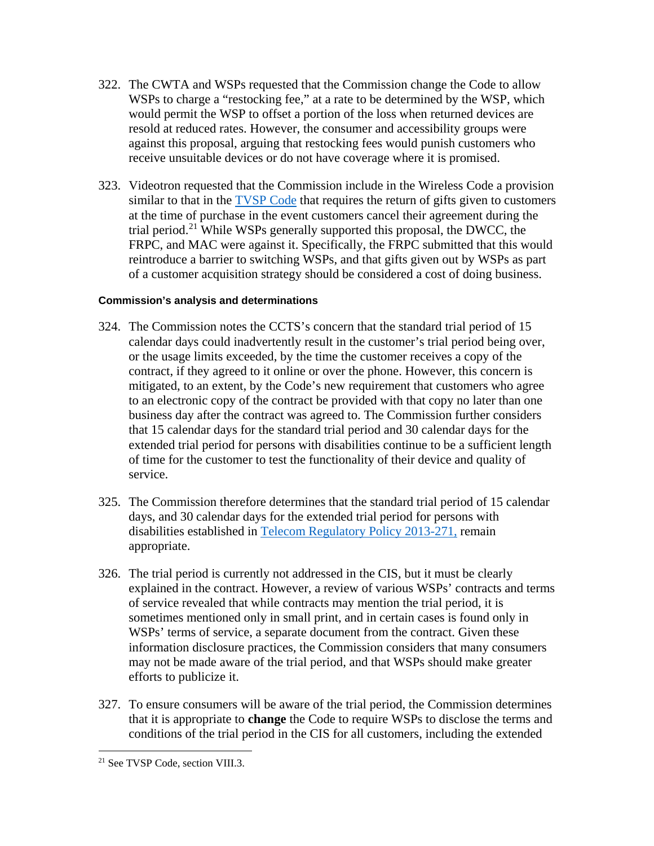- 322. The CWTA and WSPs requested that the Commission change the Code to allow WSPs to charge a "restocking fee," at a rate to be determined by the WSP, which would permit the WSP to offset a portion of the loss when returned devices are resold at reduced rates. However, the consumer and accessibility groups were against this proposal, arguing that restocking fees would punish customers who receive unsuitable devices or do not have coverage where it is promised.
- 323. Videotron requested that the Commission include in the Wireless Code a provision similar to that in the [TVSP Code](http://www.crtc.gc.ca/eng/archive/2016/2016-1.htm) that requires the return of gifts given to customers at the time of purchase in the event customers cancel their agreement during the trial period.<sup>[21](#page-49-0)</sup> While WSPs generally supported this proposal, the DWCC, the FRPC, and MAC were against it. Specifically, the FRPC submitted that this would reintroduce a barrier to switching WSPs, and that gifts given out by WSPs as part of a customer acquisition strategy should be considered a cost of doing business.

- 324. The Commission notes the CCTS's concern that the standard trial period of 15 calendar days could inadvertently result in the customer's trial period being over, or the usage limits exceeded, by the time the customer receives a copy of the contract, if they agreed to it online or over the phone. However, this concern is mitigated, to an extent, by the Code's new requirement that customers who agree to an electronic copy of the contract be provided with that copy no later than one business day after the contract was agreed to. The Commission further considers that 15 calendar days for the standard trial period and 30 calendar days for the extended trial period for persons with disabilities continue to be a sufficient length of time for the customer to test the functionality of their device and quality of service.
- 325. The Commission therefore determines that the standard trial period of 15 calendar days, and 30 calendar days for the extended trial period for persons with disabilities established in [Telecom Regulatory Policy 2013-271,](http://crtc.gc.ca/eng/archive/2013/2013-271.htm) remain appropriate.
- 326. The trial period is currently not addressed in the CIS, but it must be clearly explained in the contract. However, a review of various WSPs' contracts and terms of service revealed that while contracts may mention the trial period, it is sometimes mentioned only in small print, and in certain cases is found only in WSPs' terms of service, a separate document from the contract. Given these information disclosure practices, the Commission considers that many consumers may not be made aware of the trial period, and that WSPs should make greater efforts to publicize it.
- 327. To ensure consumers will be aware of the trial period, the Commission determines that it is appropriate to **change** the Code to require WSPs to disclose the terms and conditions of the trial period in the CIS for all customers, including the extended

<span id="page-49-0"></span> <sup>21</sup> See TVSP Code, section VIII.3.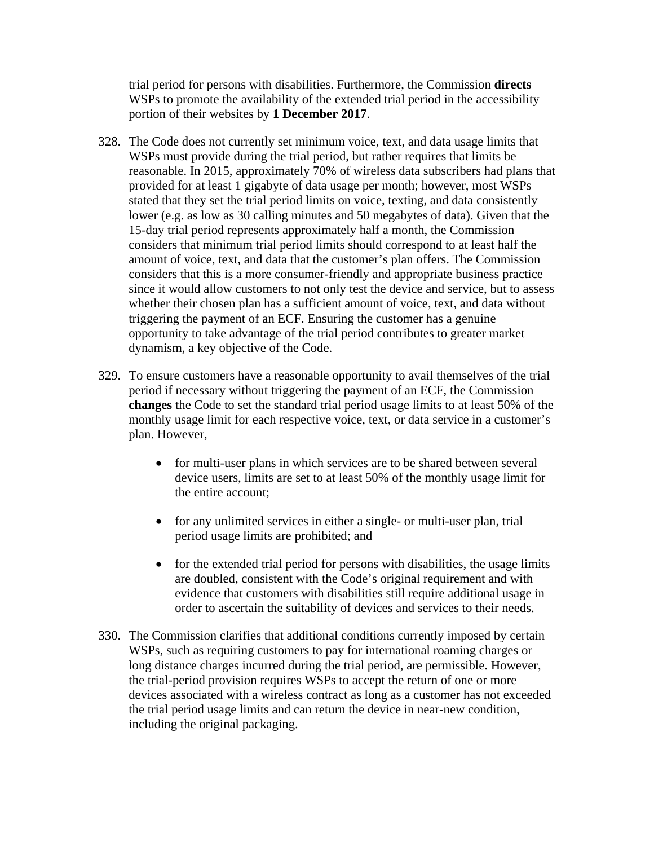trial period for persons with disabilities. Furthermore, the Commission **directs** WSPs to promote the availability of the extended trial period in the accessibility portion of their websites by **1 December 2017**.

- 328. The Code does not currently set minimum voice, text, and data usage limits that WSPs must provide during the trial period, but rather requires that limits be reasonable. In 2015, approximately 70% of wireless data subscribers had plans that provided for at least 1 gigabyte of data usage per month; however, most WSPs stated that they set the trial period limits on voice, texting, and data consistently lower (e.g. as low as 30 calling minutes and 50 megabytes of data). Given that the 15-day trial period represents approximately half a month, the Commission considers that minimum trial period limits should correspond to at least half the amount of voice, text, and data that the customer's plan offers. The Commission considers that this is a more consumer-friendly and appropriate business practice since it would allow customers to not only test the device and service, but to assess whether their chosen plan has a sufficient amount of voice, text, and data without triggering the payment of an ECF. Ensuring the customer has a genuine opportunity to take advantage of the trial period contributes to greater market dynamism, a key objective of the Code.
- 329. To ensure customers have a reasonable opportunity to avail themselves of the trial period if necessary without triggering the payment of an ECF, the Commission **changes** the Code to set the standard trial period usage limits to at least 50% of the monthly usage limit for each respective voice, text, or data service in a customer's plan. However,
	- for multi-user plans in which services are to be shared between several device users, limits are set to at least 50% of the monthly usage limit for the entire account;
	- for any unlimited services in either a single- or multi-user plan, trial period usage limits are prohibited; and
	- for the extended trial period for persons with disabilities, the usage limits are doubled, consistent with the Code's original requirement and with evidence that customers with disabilities still require additional usage in order to ascertain the suitability of devices and services to their needs.
- 330. The Commission clarifies that additional conditions currently imposed by certain WSPs, such as requiring customers to pay for international roaming charges or long distance charges incurred during the trial period, are permissible. However, the trial-period provision requires WSPs to accept the return of one or more devices associated with a wireless contract as long as a customer has not exceeded the trial period usage limits and can return the device in near-new condition, including the original packaging.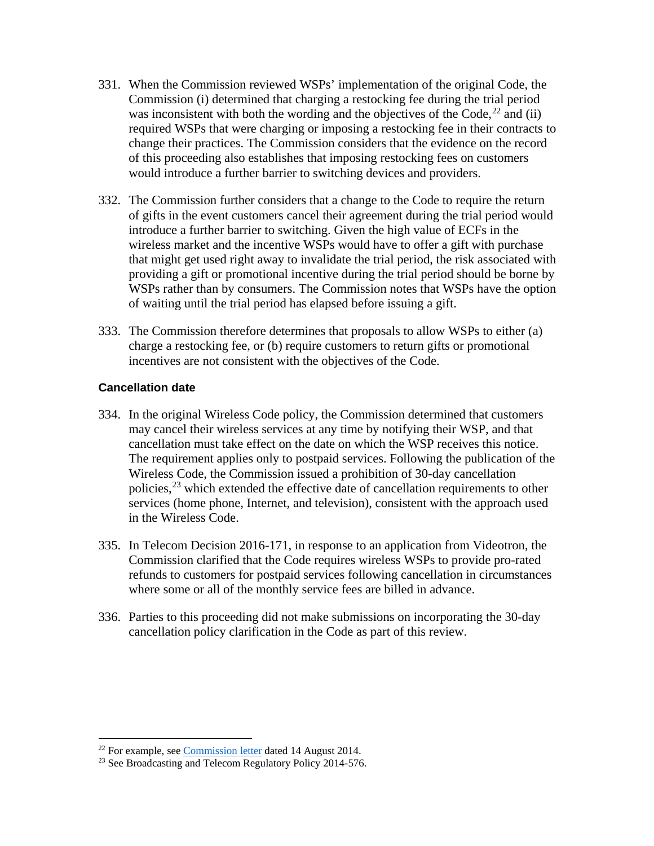- 331. When the Commission reviewed WSPs' implementation of the original Code, the Commission (i) determined that charging a restocking fee during the trial period was inconsistent with both the wording and the objectives of the Code,  $^{22}$  $^{22}$  $^{22}$  and (ii) required WSPs that were charging or imposing a restocking fee in their contracts to change their practices. The Commission considers that the evidence on the record of this proceeding also establishes that imposing restocking fees on customers would introduce a further barrier to switching devices and providers.
- 332. The Commission further considers that a change to the Code to require the return of gifts in the event customers cancel their agreement during the trial period would introduce a further barrier to switching. Given the high value of ECFs in the wireless market and the incentive WSPs would have to offer a gift with purchase that might get used right away to invalidate the trial period, the risk associated with providing a gift or promotional incentive during the trial period should be borne by WSPs rather than by consumers. The Commission notes that WSPs have the option of waiting until the trial period has elapsed before issuing a gift.
- 333. The Commission therefore determines that proposals to allow WSPs to either (a) charge a restocking fee, or (b) require customers to return gifts or promotional incentives are not consistent with the objectives of the Code.

# **Cancellation date**

- 334. In the original Wireless Code policy, the Commission determined that customers may cancel their wireless services at any time by notifying their WSP, and that cancellation must take effect on the date on which the WSP receives this notice. The requirement applies only to postpaid services. Following the publication of the Wireless Code, the Commission issued a prohibition of 30-day cancellation policies,<sup>[23](#page-51-1)</sup> which extended the effective date of cancellation requirements to other services (home phone, Internet, and television), consistent with the approach used in the Wireless Code.
- 335. In Telecom Decision 2016-171, in response to an application from Videotron, the Commission clarified that the Code requires wireless WSPs to provide pro-rated refunds to customers for postpaid services following cancellation in circumstances where some or all of the monthly service fees are billed in advance.
- 336. Parties to this proceeding did not make submissions on incorporating the 30-day cancellation policy clarification in the Code as part of this review.

<span id="page-51-1"></span><span id="page-51-0"></span><sup>&</sup>lt;sup>22</sup> For example, see *Commission letter* [d](http://www.crtc.gc.ca/eng/archive/2014/lt140814i.htm)ated 14 August 2014.<br><sup>23</sup> See Broadcasting and Telecom Regulatory Policy 2014-576.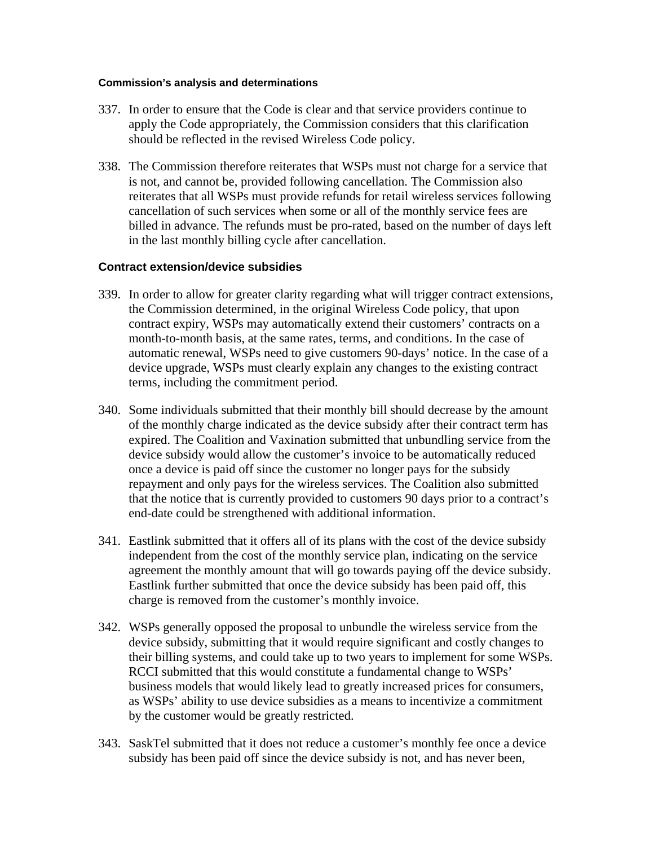#### **Commission's analysis and determinations**

- 337. In order to ensure that the Code is clear and that service providers continue to apply the Code appropriately, the Commission considers that this clarification should be reflected in the revised Wireless Code policy.
- 338. The Commission therefore reiterates that WSPs must not charge for a service that is not, and cannot be, provided following cancellation. The Commission also reiterates that all WSPs must provide refunds for retail wireless services following cancellation of such services when some or all of the monthly service fees are billed in advance. The refunds must be pro-rated, based on the number of days left in the last monthly billing cycle after cancellation.

### **Contract extension/device subsidies**

- 339. In order to allow for greater clarity regarding what will trigger contract extensions, the Commission determined, in the original Wireless Code policy, that upon contract expiry, WSPs may automatically extend their customers' contracts on a month-to-month basis, at the same rates, terms, and conditions. In the case of automatic renewal, WSPs need to give customers 90-days' notice. In the case of a device upgrade, WSPs must clearly explain any changes to the existing contract terms, including the commitment period.
- 340. Some individuals submitted that their monthly bill should decrease by the amount of the monthly charge indicated as the device subsidy after their contract term has expired. The Coalition and Vaxination submitted that unbundling service from the device subsidy would allow the customer's invoice to be automatically reduced once a device is paid off since the customer no longer pays for the subsidy repayment and only pays for the wireless services. The Coalition also submitted that the notice that is currently provided to customers 90 days prior to a contract's end-date could be strengthened with additional information.
- 341. Eastlink submitted that it offers all of its plans with the cost of the device subsidy independent from the cost of the monthly service plan, indicating on the service agreement the monthly amount that will go towards paying off the device subsidy. Eastlink further submitted that once the device subsidy has been paid off, this charge is removed from the customer's monthly invoice.
- 342. WSPs generally opposed the proposal to unbundle the wireless service from the device subsidy, submitting that it would require significant and costly changes to their billing systems, and could take up to two years to implement for some WSPs. RCCI submitted that this would constitute a fundamental change to WSPs' business models that would likely lead to greatly increased prices for consumers, as WSPs' ability to use device subsidies as a means to incentivize a commitment by the customer would be greatly restricted.
- 343. SaskTel submitted that it does not reduce a customer's monthly fee once a device subsidy has been paid off since the device subsidy is not, and has never been,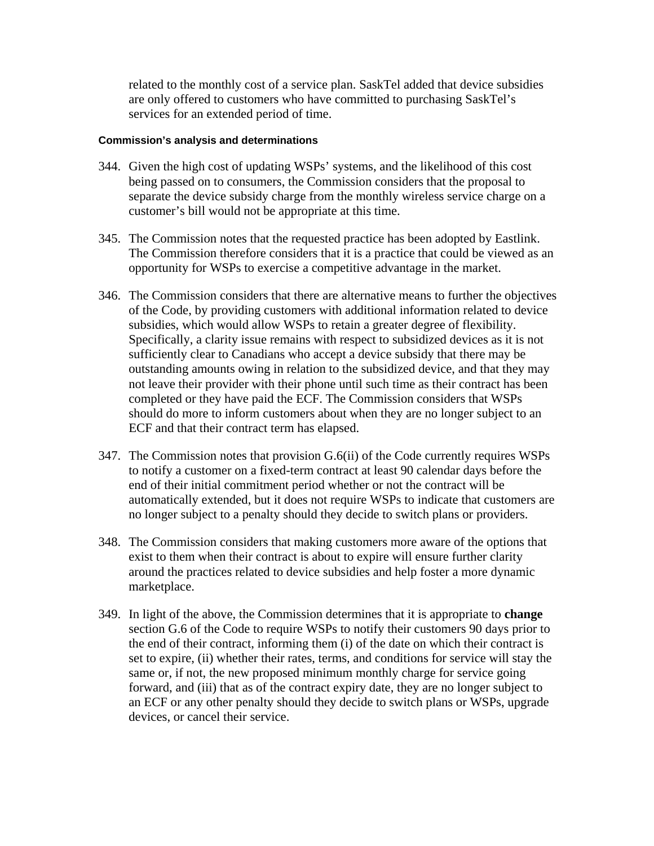related to the monthly cost of a service plan. SaskTel added that device subsidies are only offered to customers who have committed to purchasing SaskTel's services for an extended period of time.

- 344. Given the high cost of updating WSPs' systems, and the likelihood of this cost being passed on to consumers, the Commission considers that the proposal to separate the device subsidy charge from the monthly wireless service charge on a customer's bill would not be appropriate at this time.
- 345. The Commission notes that the requested practice has been adopted by Eastlink. The Commission therefore considers that it is a practice that could be viewed as an opportunity for WSPs to exercise a competitive advantage in the market.
- 346. The Commission considers that there are alternative means to further the objectives of the Code, by providing customers with additional information related to device subsidies, which would allow WSPs to retain a greater degree of flexibility. Specifically, a clarity issue remains with respect to subsidized devices as it is not sufficiently clear to Canadians who accept a device subsidy that there may be outstanding amounts owing in relation to the subsidized device, and that they may not leave their provider with their phone until such time as their contract has been completed or they have paid the ECF. The Commission considers that WSPs should do more to inform customers about when they are no longer subject to an ECF and that their contract term has elapsed.
- 347. The Commission notes that provision G.6(ii) of the Code currently requires WSPs to notify a customer on a fixed-term contract at least 90 calendar days before the end of their initial commitment period whether or not the contract will be automatically extended, but it does not require WSPs to indicate that customers are no longer subject to a penalty should they decide to switch plans or providers.
- 348. The Commission considers that making customers more aware of the options that exist to them when their contract is about to expire will ensure further clarity around the practices related to device subsidies and help foster a more dynamic marketplace.
- 349. In light of the above, the Commission determines that it is appropriate to **change** section G.6 of the Code to require WSPs to notify their customers 90 days prior to the end of their contract, informing them (i) of the date on which their contract is set to expire, (ii) whether their rates, terms, and conditions for service will stay the same or, if not, the new proposed minimum monthly charge for service going forward, and (iii) that as of the contract expiry date, they are no longer subject to an ECF or any other penalty should they decide to switch plans or WSPs, upgrade devices, or cancel their service.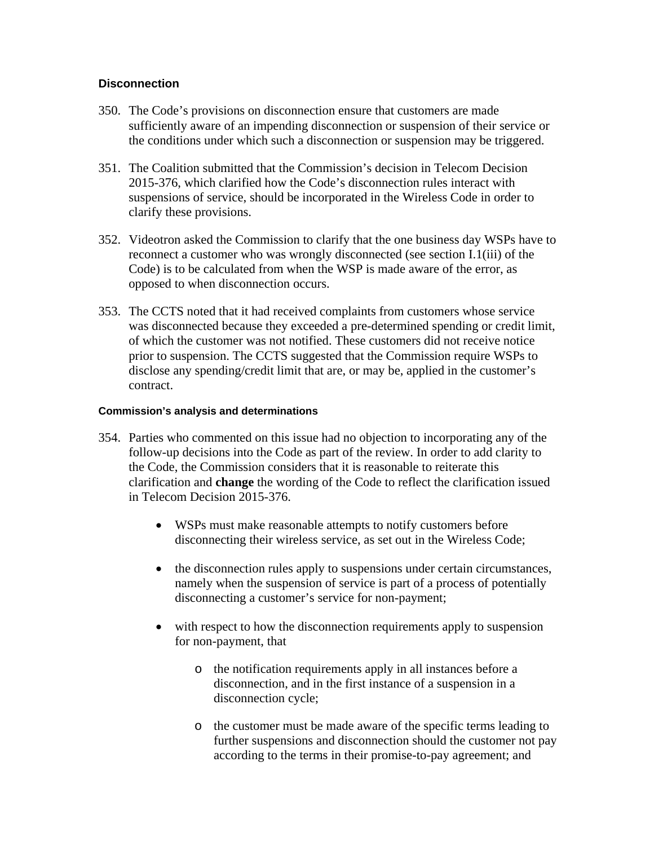# **Disconnection**

- 350. The Code's provisions on disconnection ensure that customers are made sufficiently aware of an impending disconnection or suspension of their service or the conditions under which such a disconnection or suspension may be triggered.
- 351. The Coalition submitted that the Commission's decision in Telecom Decision 2015-376, which clarified how the Code's disconnection rules interact with suspensions of service, should be incorporated in the Wireless Code in order to clarify these provisions.
- 352. Videotron asked the Commission to clarify that the one business day WSPs have to reconnect a customer who was wrongly disconnected (see section I.1(iii) of the Code) is to be calculated from when the WSP is made aware of the error, as opposed to when disconnection occurs.
- 353. The CCTS noted that it had received complaints from customers whose service was disconnected because they exceeded a pre-determined spending or credit limit, of which the customer was not notified. These customers did not receive notice prior to suspension. The CCTS suggested that the Commission require WSPs to disclose any spending/credit limit that are, or may be, applied in the customer's contract.

- 354. Parties who commented on this issue had no objection to incorporating any of the follow-up decisions into the Code as part of the review. In order to add clarity to the Code, the Commission considers that it is reasonable to reiterate this clarification and **change** the wording of the Code to reflect the clarification issued in Telecom Decision 2015-376.
	- WSPs must make reasonable attempts to notify customers before disconnecting their wireless service, as set out in the Wireless Code;
	- the disconnection rules apply to suspensions under certain circumstances, namely when the suspension of service is part of a process of potentially disconnecting a customer's service for non-payment;
	- with respect to how the disconnection requirements apply to suspension for non-payment, that
		- o the notification requirements apply in all instances before a disconnection, and in the first instance of a suspension in a disconnection cycle;
		- o the customer must be made aware of the specific terms leading to further suspensions and disconnection should the customer not pay according to the terms in their promise-to-pay agreement; and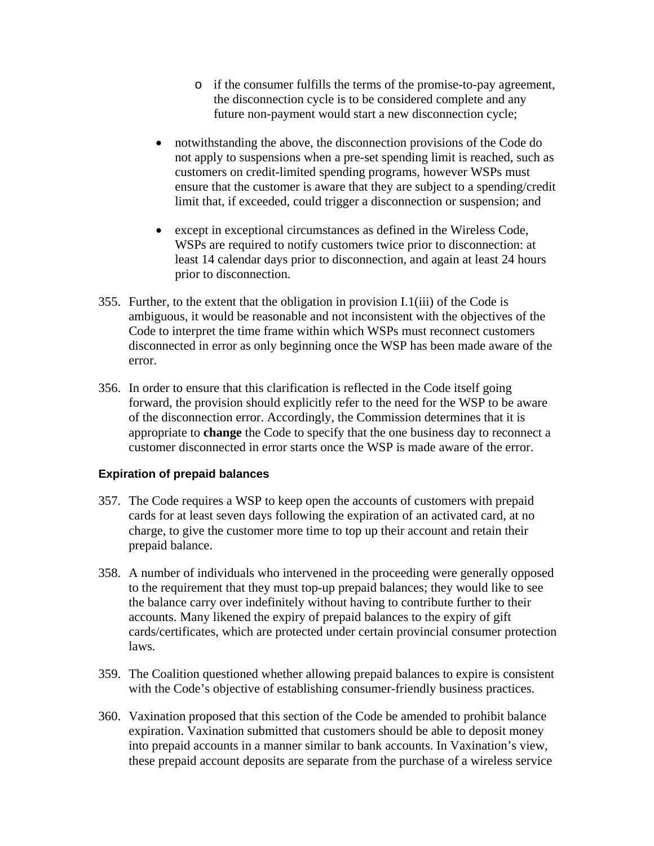- o if the consumer fulfills the terms of the promise-to-pay agreement, the disconnection cycle is to be considered complete and any future non-payment would start a new disconnection cycle;
- notwithstanding the above, the disconnection provisions of the Code do not apply to suspensions when a pre-set spending limit is reached, such as customers on credit-limited spending programs, however WSPs must ensure that the customer is aware that they are subject to a spending/credit limit that, if exceeded, could trigger a disconnection or suspension; and
- except in exceptional circumstances as defined in the Wireless Code, WSPs are required to notify customers twice prior to disconnection: at least 14 calendar days prior to disconnection, and again at least 24 hours prior to disconnection.
- 355. Further, to the extent that the obligation in provision I.1(iii) of the Code is ambiguous, it would be reasonable and not inconsistent with the objectives of the Code to interpret the time frame within which WSPs must reconnect customers disconnected in error as only beginning once the WSP has been made aware of the error.
- 356. In order to ensure that this clarification is reflected in the Code itself going forward, the provision should explicitly refer to the need for the WSP to be aware of the disconnection error. Accordingly, the Commission determines that it is appropriate to **change** the Code to specify that the one business day to reconnect a customer disconnected in error starts once the WSP is made aware of the error.

# **Expiration of prepaid balances**

- 357. The Code requires a WSP to keep open the accounts of customers with prepaid cards for at least seven days following the expiration of an activated card, at no charge, to give the customer more time to top up their account and retain their prepaid balance.
- 358. A number of individuals who intervened in the proceeding were generally opposed to the requirement that they must top-up prepaid balances; they would like to see the balance carry over indefinitely without having to contribute further to their accounts. Many likened the expiry of prepaid balances to the expiry of gift cards/certificates, which are protected under certain provincial consumer protection laws.
- 359. The Coalition questioned whether allowing prepaid balances to expire is consistent with the Code's objective of establishing consumer-friendly business practices.
- 360. Vaxination proposed that this section of the Code be amended to prohibit balance expiration. Vaxination submitted that customers should be able to deposit money into prepaid accounts in a manner similar to bank accounts. In Vaxination's view, these prepaid account deposits are separate from the purchase of a wireless service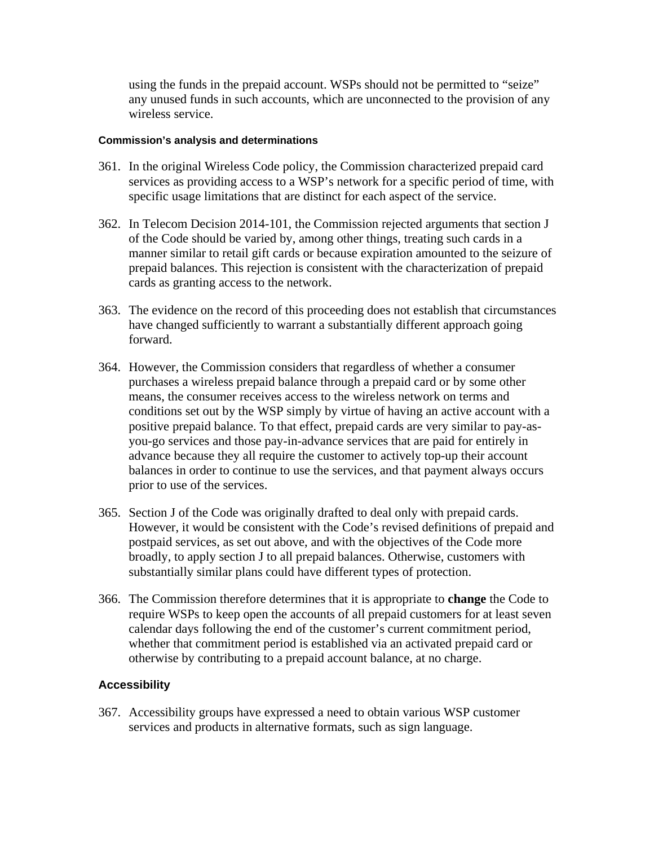using the funds in the prepaid account. WSPs should not be permitted to "seize" any unused funds in such accounts, which are unconnected to the provision of any wireless service.

### **Commission's analysis and determinations**

- 361. In the original Wireless Code policy, the Commission characterized prepaid card services as providing access to a WSP's network for a specific period of time, with specific usage limitations that are distinct for each aspect of the service.
- 362. In Telecom Decision 2014-101, the Commission rejected arguments that section J of the Code should be varied by, among other things, treating such cards in a manner similar to retail gift cards or because expiration amounted to the seizure of prepaid balances. This rejection is consistent with the characterization of prepaid cards as granting access to the network.
- 363. The evidence on the record of this proceeding does not establish that circumstances have changed sufficiently to warrant a substantially different approach going forward.
- 364. However, the Commission considers that regardless of whether a consumer purchases a wireless prepaid balance through a prepaid card or by some other means, the consumer receives access to the wireless network on terms and conditions set out by the WSP simply by virtue of having an active account with a positive prepaid balance. To that effect, prepaid cards are very similar to pay-asyou-go services and those pay-in-advance services that are paid for entirely in advance because they all require the customer to actively top-up their account balances in order to continue to use the services, and that payment always occurs prior to use of the services.
- 365. Section J of the Code was originally drafted to deal only with prepaid cards. However, it would be consistent with the Code's revised definitions of prepaid and postpaid services, as set out above, and with the objectives of the Code more broadly, to apply section J to all prepaid balances. Otherwise, customers with substantially similar plans could have different types of protection.
- 366. The Commission therefore determines that it is appropriate to **change** the Code to require WSPs to keep open the accounts of all prepaid customers for at least seven calendar days following the end of the customer's current commitment period, whether that commitment period is established via an activated prepaid card or otherwise by contributing to a prepaid account balance, at no charge.

# **Accessibility**

367. Accessibility groups have expressed a need to obtain various WSP customer services and products in alternative formats, such as sign language.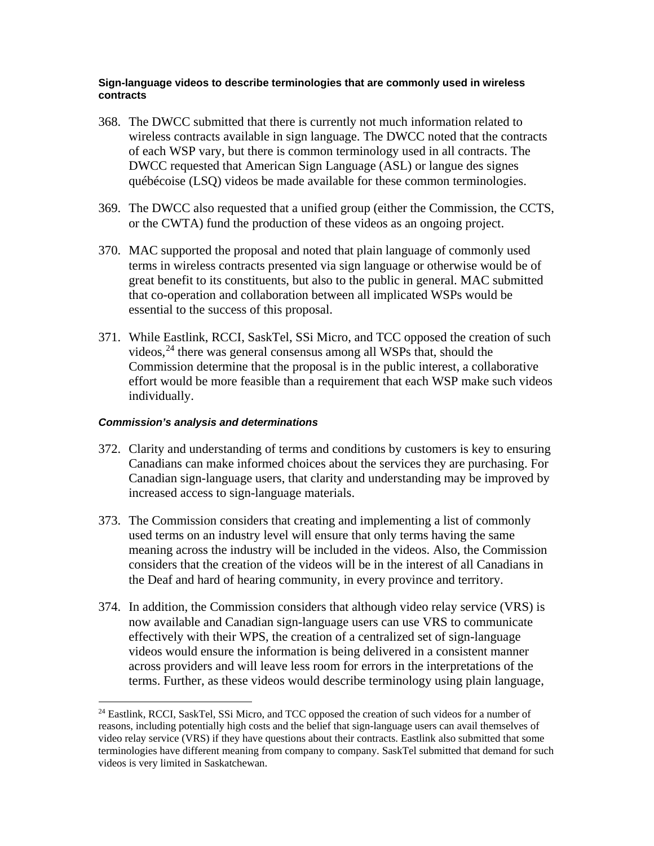### **Sign-language videos to describe terminologies that are commonly used in wireless contracts**

- 368. The DWCC submitted that there is currently not much information related to wireless contracts available in sign language. The DWCC noted that the contracts of each WSP vary, but there is common terminology used in all contracts. The DWCC requested that American Sign Language (ASL) or langue des signes québécoise (LSQ) videos be made available for these common terminologies.
- 369. The DWCC also requested that a unified group (either the Commission, the CCTS, or the CWTA) fund the production of these videos as an ongoing project.
- 370. MAC supported the proposal and noted that plain language of commonly used terms in wireless contracts presented via sign language or otherwise would be of great benefit to its constituents, but also to the public in general. MAC submitted that co-operation and collaboration between all implicated WSPs would be essential to the success of this proposal.
- 371. While Eastlink, RCCI, SaskTel, SSi Micro, and TCC opposed the creation of such videos,<sup>[24](#page-57-0)</sup> there was general consensus among all WSPs that, should the Commission determine that the proposal is in the public interest, a collaborative effort would be more feasible than a requirement that each WSP make such videos individually.

- 372. Clarity and understanding of terms and conditions by customers is key to ensuring Canadians can make informed choices about the services they are purchasing. For Canadian sign-language users, that clarity and understanding may be improved by increased access to sign-language materials.
- 373. The Commission considers that creating and implementing a list of commonly used terms on an industry level will ensure that only terms having the same meaning across the industry will be included in the videos. Also, the Commission considers that the creation of the videos will be in the interest of all Canadians in the Deaf and hard of hearing community, in every province and territory.
- 374. In addition, the Commission considers that although video relay service (VRS) is now available and Canadian sign-language users can use VRS to communicate effectively with their WPS, the creation of a centralized set of sign-language videos would ensure the information is being delivered in a consistent manner across providers and will leave less room for errors in the interpretations of the terms. Further, as these videos would describe terminology using plain language,

<span id="page-57-0"></span><sup>&</sup>lt;sup>24</sup> Eastlink, RCCI, SaskTel, SSi Micro, and TCC opposed the creation of such videos for a number of reasons, including potentially high costs and the belief that sign-language users can avail themselves of video relay service (VRS) if they have questions about their contracts. Eastlink also submitted that some terminologies have different meaning from company to company. SaskTel submitted that demand for such videos is very limited in Saskatchewan.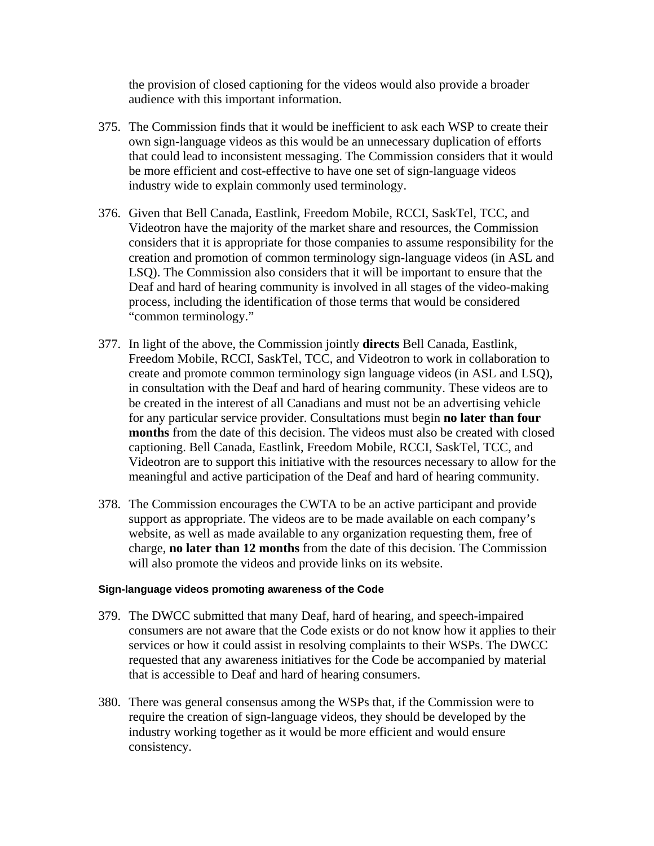the provision of closed captioning for the videos would also provide a broader audience with this important information.

- 375. The Commission finds that it would be inefficient to ask each WSP to create their own sign-language videos as this would be an unnecessary duplication of efforts that could lead to inconsistent messaging. The Commission considers that it would be more efficient and cost-effective to have one set of sign-language videos industry wide to explain commonly used terminology.
- 376. Given that Bell Canada, Eastlink, Freedom Mobile, RCCI, SaskTel, TCC, and Videotron have the majority of the market share and resources, the Commission considers that it is appropriate for those companies to assume responsibility for the creation and promotion of common terminology sign-language videos (in ASL and LSQ). The Commission also considers that it will be important to ensure that the Deaf and hard of hearing community is involved in all stages of the video-making process, including the identification of those terms that would be considered "common terminology."
- 377. In light of the above, the Commission jointly **directs** Bell Canada, Eastlink, Freedom Mobile, RCCI, SaskTel, TCC, and Videotron to work in collaboration to create and promote common terminology sign language videos (in ASL and LSQ), in consultation with the Deaf and hard of hearing community. These videos are to be created in the interest of all Canadians and must not be an advertising vehicle for any particular service provider. Consultations must begin **no later than four months** from the date of this decision. The videos must also be created with closed captioning. Bell Canada, Eastlink, Freedom Mobile, RCCI, SaskTel, TCC, and Videotron are to support this initiative with the resources necessary to allow for the meaningful and active participation of the Deaf and hard of hearing community.
- 378. The Commission encourages the CWTA to be an active participant and provide support as appropriate. The videos are to be made available on each company's website, as well as made available to any organization requesting them, free of charge, **no later than 12 months** from the date of this decision. The Commission will also promote the videos and provide links on its website.

#### **Sign-language videos promoting awareness of the Code**

- 379. The DWCC submitted that many Deaf, hard of hearing, and speech-impaired consumers are not aware that the Code exists or do not know how it applies to their services or how it could assist in resolving complaints to their WSPs. The DWCC requested that any awareness initiatives for the Code be accompanied by material that is accessible to Deaf and hard of hearing consumers.
- 380. There was general consensus among the WSPs that, if the Commission were to require the creation of sign-language videos, they should be developed by the industry working together as it would be more efficient and would ensure consistency.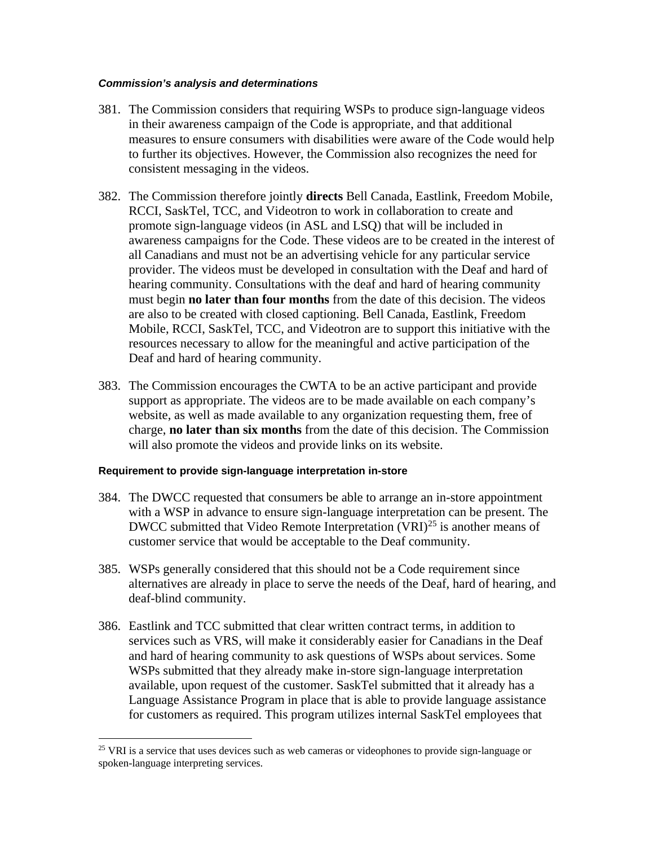### *Commission's analysis and determinations*

- 381. The Commission considers that requiring WSPs to produce sign-language videos in their awareness campaign of the Code is appropriate, and that additional measures to ensure consumers with disabilities were aware of the Code would help to further its objectives. However, the Commission also recognizes the need for consistent messaging in the videos.
- 382. The Commission therefore jointly **directs** Bell Canada, Eastlink, Freedom Mobile, RCCI, SaskTel, TCC, and Videotron to work in collaboration to create and promote sign-language videos (in ASL and LSQ) that will be included in awareness campaigns for the Code. These videos are to be created in the interest of all Canadians and must not be an advertising vehicle for any particular service provider. The videos must be developed in consultation with the Deaf and hard of hearing community. Consultations with the deaf and hard of hearing community must begin **no later than four months** from the date of this decision. The videos are also to be created with closed captioning. Bell Canada, Eastlink, Freedom Mobile, RCCI, SaskTel, TCC, and Videotron are to support this initiative with the resources necessary to allow for the meaningful and active participation of the Deaf and hard of hearing community.
- 383. The Commission encourages the CWTA to be an active participant and provide support as appropriate. The videos are to be made available on each company's website, as well as made available to any organization requesting them, free of charge, **no later than six months** from the date of this decision. The Commission will also promote the videos and provide links on its website.

# **Requirement to provide sign-language interpretation in-store**

- 384. The DWCC requested that consumers be able to arrange an in-store appointment with a WSP in advance to ensure sign-language interpretation can be present. The DWCC submitted that Video Remote Interpretation  $(VRI)^{25}$  $(VRI)^{25}$  $(VRI)^{25}$  is another means of customer service that would be acceptable to the Deaf community.
- 385. WSPs generally considered that this should not be a Code requirement since alternatives are already in place to serve the needs of the Deaf, hard of hearing, and deaf-blind community.
- 386. Eastlink and TCC submitted that clear written contract terms, in addition to services such as VRS, will make it considerably easier for Canadians in the Deaf and hard of hearing community to ask questions of WSPs about services. Some WSPs submitted that they already make in-store sign-language interpretation available, upon request of the customer. SaskTel submitted that it already has a Language Assistance Program in place that is able to provide language assistance for customers as required. This program utilizes internal SaskTel employees that

<span id="page-59-0"></span><sup>&</sup>lt;sup>25</sup> VRI is a service that uses devices such as web cameras or videophones to provide sign-language or spoken-language interpreting services.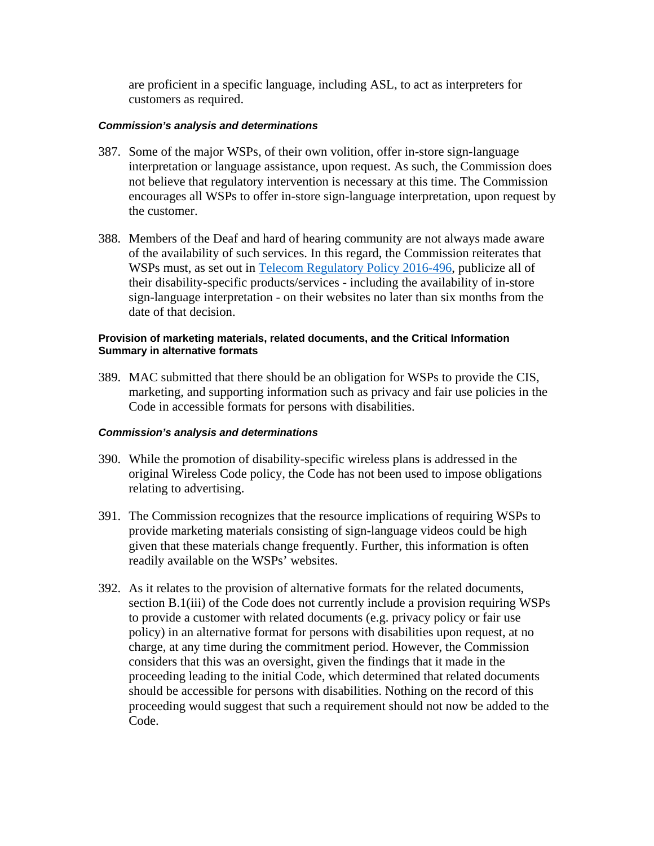are proficient in a specific language, including ASL, to act as interpreters for customers as required.

### *Commission's analysis and determinations*

- 387. Some of the major WSPs, of their own volition, offer in-store sign-language interpretation or language assistance, upon request. As such, the Commission does not believe that regulatory intervention is necessary at this time. The Commission encourages all WSPs to offer in-store sign-language interpretation, upon request by the customer.
- 388. Members of the Deaf and hard of hearing community are not always made aware of the availability of such services. In this regard, the Commission reiterates that WSPs must, as set out in [Telecom Regulatory Policy 2016-496,](http://www.crtc.gc.ca/eng/archive/2016/2016-496.htm) publicize all of their disability-specific products/services - including the availability of in-store sign-language interpretation - on their websites no later than six months from the date of that decision.

#### **Provision of marketing materials, related documents, and the Critical Information Summary in alternative formats**

389. MAC submitted that there should be an obligation for WSPs to provide the CIS, marketing, and supporting information such as privacy and fair use policies in the Code in accessible formats for persons with disabilities.

- 390. While the promotion of disability-specific wireless plans is addressed in the original Wireless Code policy, the Code has not been used to impose obligations relating to advertising.
- 391. The Commission recognizes that the resource implications of requiring WSPs to provide marketing materials consisting of sign-language videos could be high given that these materials change frequently. Further, this information is often readily available on the WSPs' websites.
- 392. As it relates to the provision of alternative formats for the related documents, section B.1(iii) of the Code does not currently include a provision requiring WSPs to provide a customer with related documents (e.g. privacy policy or fair use policy) in an alternative format for persons with disabilities upon request, at no charge, at any time during the commitment period. However, the Commission considers that this was an oversight, given the findings that it made in the proceeding leading to the initial Code, which determined that related documents should be accessible for persons with disabilities. Nothing on the record of this proceeding would suggest that such a requirement should not now be added to the Code.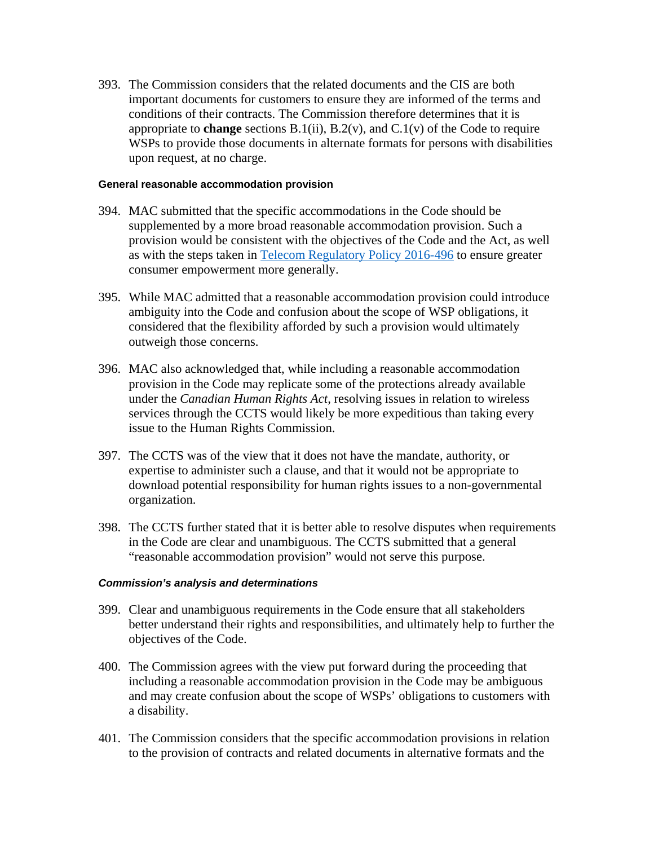393. The Commission considers that the related documents and the CIS are both important documents for customers to ensure they are informed of the terms and conditions of their contracts. The Commission therefore determines that it is appropriate to **change** sections B.1(ii), B.2(v), and C.1(v) of the Code to require WSPs to provide those documents in alternate formats for persons with disabilities upon request, at no charge.

#### **General reasonable accommodation provision**

- 394. MAC submitted that the specific accommodations in the Code should be supplemented by a more broad reasonable accommodation provision. Such a provision would be consistent with the objectives of the Code and the Act, as well as with the steps taken in [Telecom Regulatory Policy](http://www.crtc.gc.ca/eng/archive/2016/2016-496.htm) 2016-496 to ensure greater consumer empowerment more generally.
- 395. While MAC admitted that a reasonable accommodation provision could introduce ambiguity into the Code and confusion about the scope of WSP obligations, it considered that the flexibility afforded by such a provision would ultimately outweigh those concerns.
- 396. MAC also acknowledged that, while including a reasonable accommodation provision in the Code may replicate some of the protections already available under the *Canadian Human Rights Act,* resolving issues in relation to wireless services through the CCTS would likely be more expeditious than taking every issue to the Human Rights Commission.
- 397. The CCTS was of the view that it does not have the mandate, authority, or expertise to administer such a clause, and that it would not be appropriate to download potential responsibility for human rights issues to a non-governmental organization.
- 398. The CCTS further stated that it is better able to resolve disputes when requirements in the Code are clear and unambiguous. The CCTS submitted that a general "reasonable accommodation provision" would not serve this purpose.

- 399. Clear and unambiguous requirements in the Code ensure that all stakeholders better understand their rights and responsibilities, and ultimately help to further the objectives of the Code.
- 400. The Commission agrees with the view put forward during the proceeding that including a reasonable accommodation provision in the Code may be ambiguous and may create confusion about the scope of WSPs' obligations to customers with a disability.
- 401. The Commission considers that the specific accommodation provisions in relation to the provision of contracts and related documents in alternative formats and the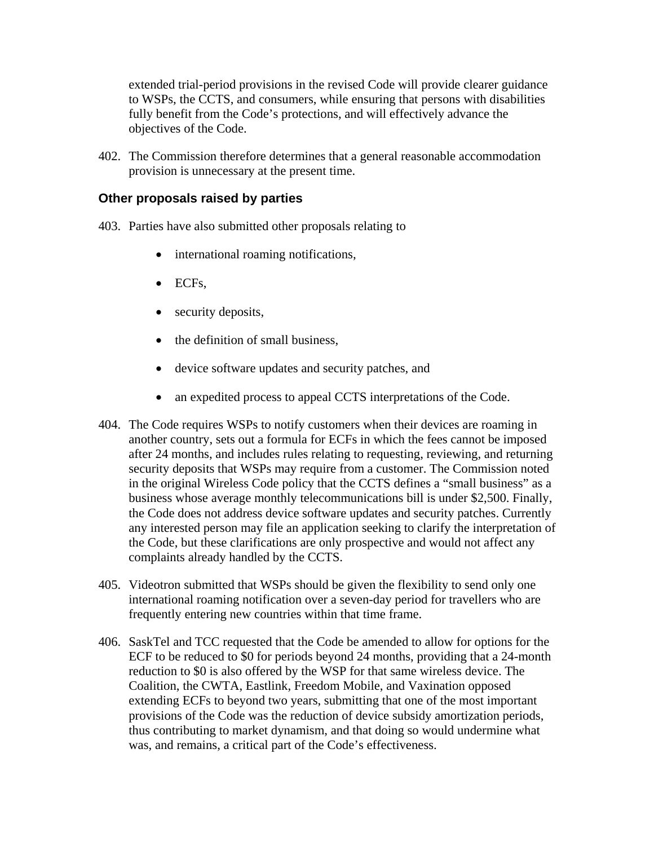extended trial-period provisions in the revised Code will provide clearer guidance to WSPs, the CCTS, and consumers, while ensuring that persons with disabilities fully benefit from the Code's protections, and will effectively advance the objectives of the Code.

402. The Commission therefore determines that a general reasonable accommodation provision is unnecessary at the present time.

# **Other proposals raised by parties**

- 403. Parties have also submitted other proposals relating to
	- international roaming notifications,
	- ECFs.
	- security deposits,
	- the definition of small business,
	- device software updates and security patches, and
	- an expedited process to appeal CCTS interpretations of the Code.
- 404. The Code requires WSPs to notify customers when their devices are roaming in another country, sets out a formula for ECFs in which the fees cannot be imposed after 24 months, and includes rules relating to requesting, reviewing, and returning security deposits that WSPs may require from a customer. The Commission noted in the original Wireless Code policy that the CCTS defines a "small business" as a business whose average monthly telecommunications bill is under \$2,500. Finally, the Code does not address device software updates and security patches. Currently any interested person may file an application seeking to clarify the interpretation of the Code, but these clarifications are only prospective and would not affect any complaints already handled by the CCTS.
- 405. Videotron submitted that WSPs should be given the flexibility to send only one international roaming notification over a seven-day period for travellers who are frequently entering new countries within that time frame.
- 406. SaskTel and TCC requested that the Code be amended to allow for options for the ECF to be reduced to \$0 for periods beyond 24 months, providing that a 24-month reduction to \$0 is also offered by the WSP for that same wireless device. The Coalition, the CWTA, Eastlink, Freedom Mobile, and Vaxination opposed extending ECFs to beyond two years, submitting that one of the most important provisions of the Code was the reduction of device subsidy amortization periods, thus contributing to market dynamism, and that doing so would undermine what was, and remains, a critical part of the Code's effectiveness.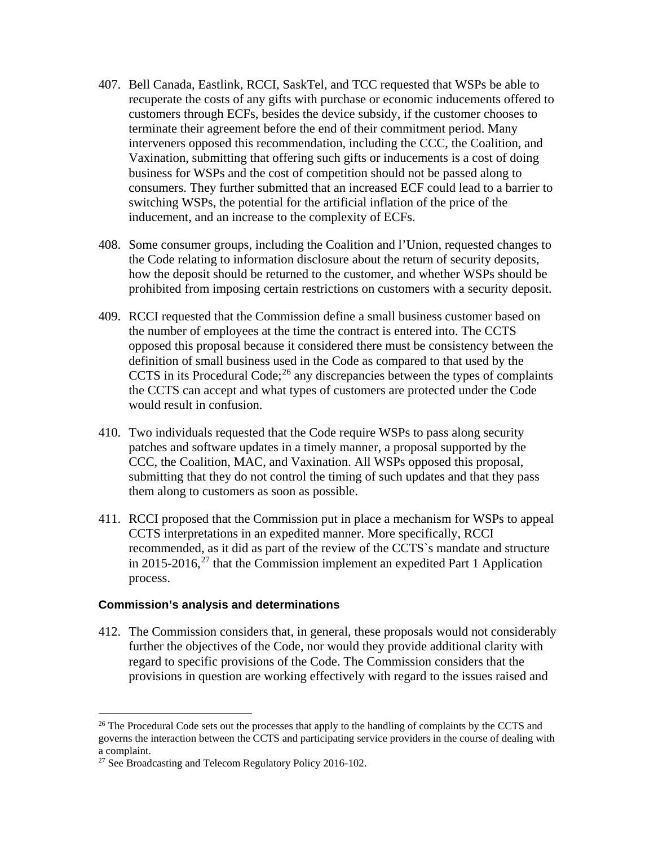- 407. Bell Canada, Eastlink, RCCI, SaskTel, and TCC requested that WSPs be able to recuperate the costs of any gifts with purchase or economic inducements offered to customers through ECFs, besides the device subsidy, if the customer chooses to terminate their agreement before the end of their commitment period. Many interveners opposed this recommendation, including the CCC, the Coalition, and Vaxination, submitting that offering such gifts or inducements is a cost of doing business for WSPs and the cost of competition should not be passed along to consumers. They further submitted that an increased ECF could lead to a barrier to switching WSPs, the potential for the artificial inflation of the price of the inducement, and an increase to the complexity of ECFs.
- 408. Some consumer groups, including the Coalition and l'Union, requested changes to the Code relating to information disclosure about the return of security deposits, how the deposit should be returned to the customer, and whether WSPs should be prohibited from imposing certain restrictions on customers with a security deposit.
- 409. RCCI requested that the Commission define a small business customer based on the number of employees at the time the contract is entered into. The CCTS opposed this proposal because it considered there must be consistency between the definition of small business used in the Code as compared to that used by the CCTS in its Procedural Code; $^{26}$  $^{26}$  $^{26}$  any discrepancies between the types of complaints the CCTS can accept and what types of customers are protected under the Code would result in confusion.
- 410. Two individuals requested that the Code require WSPs to pass along security patches and software updates in a timely manner, a proposal supported by the CCC, the Coalition, MAC, and Vaxination. All WSPs opposed this proposal, submitting that they do not control the timing of such updates and that they pass them along to customers as soon as possible.
- 411. RCCI proposed that the Commission put in place a mechanism for WSPs to appeal CCTS interpretations in an expedited manner. More specifically, RCCI recommended, as it did as part of the review of the CCTS`s mandate and structure in 2015-2016,<sup>[27](#page-63-1)</sup> that the Commission implement an expedited Part 1 Application process.

#### **Commission's analysis and determinations**

412. The Commission considers that, in general, these proposals would not considerably further the objectives of the Code, nor would they provide additional clarity with regard to specific provisions of the Code. The Commission considers that the provisions in question are working effectively with regard to the issues raised and

<span id="page-63-0"></span><sup>&</sup>lt;sup>26</sup> The Procedural Code sets out the processes that apply to the handling of complaints by the CCTS and governs the interaction between the CCTS and participating service providers in the course of dealing with a complaint.

<span id="page-63-1"></span><sup>&</sup>lt;sup>27</sup> See Broadcasting and Telecom Regulatory Policy 2016-102.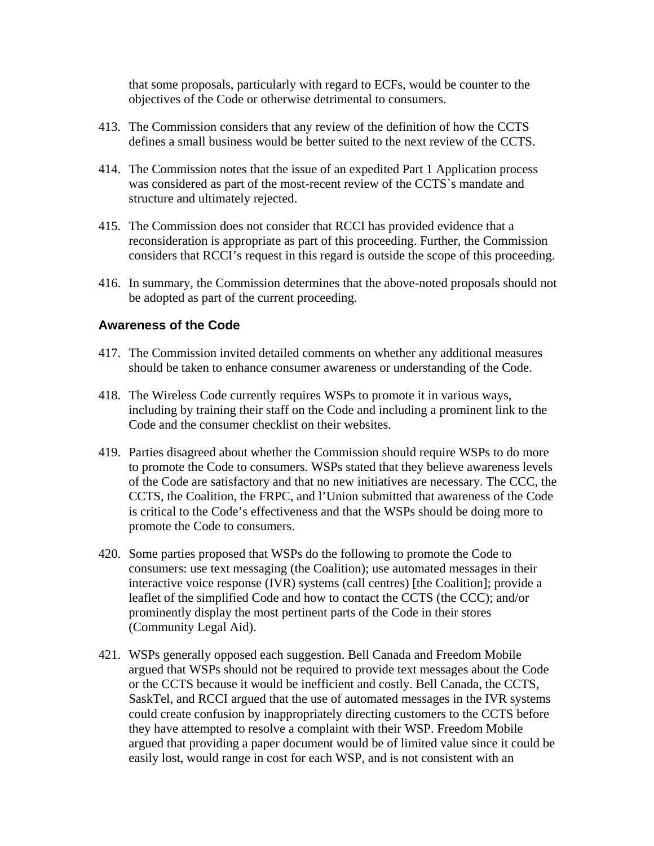that some proposals, particularly with regard to ECFs, would be counter to the objectives of the Code or otherwise detrimental to consumers.

- 413. The Commission considers that any review of the definition of how the CCTS defines a small business would be better suited to the next review of the CCTS.
- 414. The Commission notes that the issue of an expedited Part 1 Application process was considered as part of the most-recent review of the CCTS`s mandate and structure and ultimately rejected.
- 415. The Commission does not consider that RCCI has provided evidence that a reconsideration is appropriate as part of this proceeding. Further, the Commission considers that RCCI's request in this regard is outside the scope of this proceeding.
- 416. In summary, the Commission determines that the above-noted proposals should not be adopted as part of the current proceeding.

# **Awareness of the Code**

- 417. The Commission invited detailed comments on whether any additional measures should be taken to enhance consumer awareness or understanding of the Code.
- 418. The Wireless Code currently requires WSPs to promote it in various ways, including by training their staff on the Code and including a prominent link to the Code and the consumer checklist on their websites.
- 419. Parties disagreed about whether the Commission should require WSPs to do more to promote the Code to consumers. WSPs stated that they believe awareness levels of the Code are satisfactory and that no new initiatives are necessary. The CCC, the CCTS, the Coalition, the FRPC, and l'Union submitted that awareness of the Code is critical to the Code's effectiveness and that the WSPs should be doing more to promote the Code to consumers.
- 420. Some parties proposed that WSPs do the following to promote the Code to consumers: use text messaging (the Coalition); use automated messages in their interactive voice response (IVR) systems (call centres) [the Coalition]; provide a leaflet of the simplified Code and how to contact the CCTS (the CCC); and/or prominently display the most pertinent parts of the Code in their stores (Community Legal Aid).
- 421. WSPs generally opposed each suggestion. Bell Canada and Freedom Mobile argued that WSPs should not be required to provide text messages about the Code or the CCTS because it would be inefficient and costly. Bell Canada, the CCTS, SaskTel, and RCCI argued that the use of automated messages in the IVR systems could create confusion by inappropriately directing customers to the CCTS before they have attempted to resolve a complaint with their WSP. Freedom Mobile argued that providing a paper document would be of limited value since it could be easily lost, would range in cost for each WSP, and is not consistent with an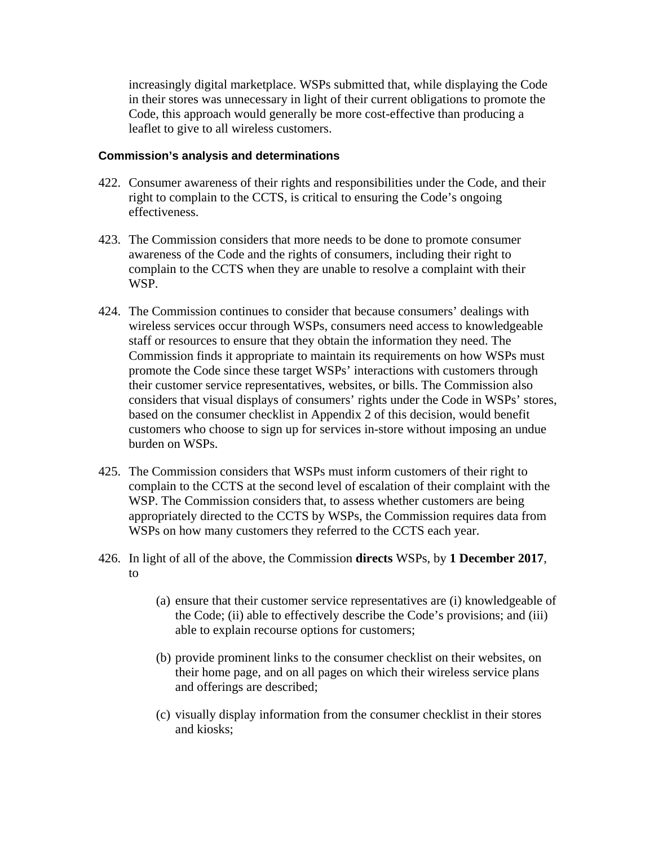increasingly digital marketplace. WSPs submitted that, while displaying the Code in their stores was unnecessary in light of their current obligations to promote the Code, this approach would generally be more cost-effective than producing a leaflet to give to all wireless customers.

- 422. Consumer awareness of their rights and responsibilities under the Code, and their right to complain to the CCTS, is critical to ensuring the Code's ongoing effectiveness.
- 423. The Commission considers that more needs to be done to promote consumer awareness of the Code and the rights of consumers, including their right to complain to the CCTS when they are unable to resolve a complaint with their WSP.
- 424. The Commission continues to consider that because consumers' dealings with wireless services occur through WSPs, consumers need access to knowledgeable staff or resources to ensure that they obtain the information they need. The Commission finds it appropriate to maintain its requirements on how WSPs must promote the Code since these target WSPs' interactions with customers through their customer service representatives, websites, or bills. The Commission also considers that visual displays of consumers' rights under the Code in WSPs' stores, based on the consumer checklist in Appendix 2 of this decision, would benefit customers who choose to sign up for services in-store without imposing an undue burden on WSPs.
- 425. The Commission considers that WSPs must inform customers of their right to complain to the CCTS at the second level of escalation of their complaint with the WSP. The Commission considers that, to assess whether customers are being appropriately directed to the CCTS by WSPs, the Commission requires data from WSPs on how many customers they referred to the CCTS each year.
- 426. In light of all of the above, the Commission **directs** WSPs, by **1 December 2017**, to
	- (a) ensure that their customer service representatives are (i) knowledgeable of the Code; (ii) able to effectively describe the Code's provisions; and (iii) able to explain recourse options for customers;
	- (b) provide prominent links to the consumer checklist on their websites, on their home page, and on all pages on which their wireless service plans and offerings are described;
	- (c) visually display information from the consumer checklist in their stores and kiosks;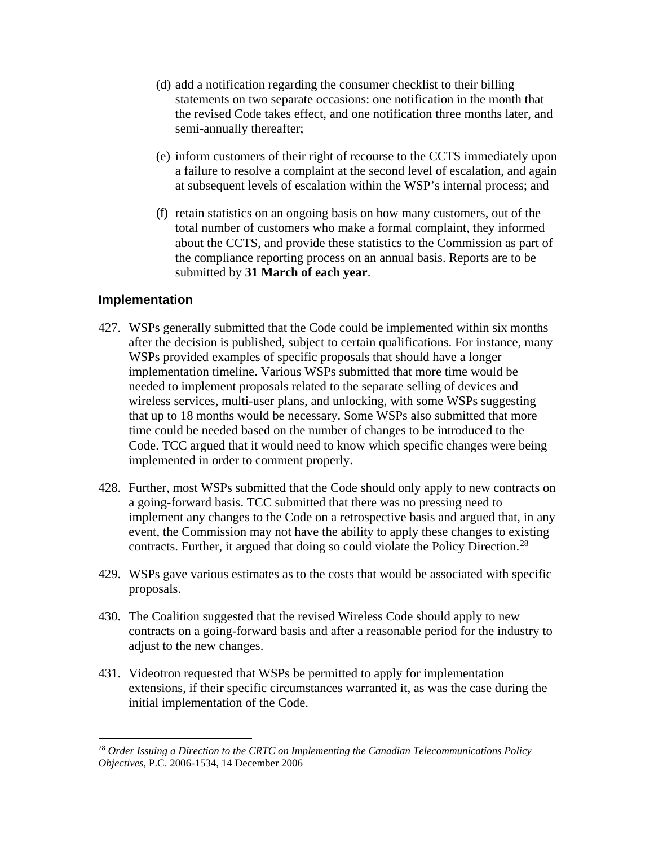- (d) add a notification regarding the consumer checklist to their billing statements on two separate occasions: one notification in the month that the revised Code takes effect, and one notification three months later, and semi-annually thereafter;
- (e) inform customers of their right of recourse to the CCTS immediately upon a failure to resolve a complaint at the second level of escalation, and again at subsequent levels of escalation within the WSP's internal process; and
- (f) retain statistics on an ongoing basis on how many customers, out of the total number of customers who make a formal complaint, they informed about the CCTS, and provide these statistics to the Commission as part of the compliance reporting process on an annual basis. Reports are to be submitted by **31 March of each year**.

# **Implementation**

- 427. WSPs generally submitted that the Code could be implemented within six months after the decision is published, subject to certain qualifications. For instance, many WSPs provided examples of specific proposals that should have a longer implementation timeline. Various WSPs submitted that more time would be needed to implement proposals related to the separate selling of devices and wireless services, multi-user plans, and unlocking, with some WSPs suggesting that up to 18 months would be necessary. Some WSPs also submitted that more time could be needed based on the number of changes to be introduced to the Code. TCC argued that it would need to know which specific changes were being implemented in order to comment properly.
- 428. Further, most WSPs submitted that the Code should only apply to new contracts on a going-forward basis. TCC submitted that there was no pressing need to implement any changes to the Code on a retrospective basis and argued that, in any event, the Commission may not have the ability to apply these changes to existing contracts. Further, it argued that doing so could violate the Policy Direction.<sup>[28](#page-66-0)</sup>
- 429. WSPs gave various estimates as to the costs that would be associated with specific proposals.
- 430. The Coalition suggested that the revised Wireless Code should apply to new contracts on a going-forward basis and after a reasonable period for the industry to adjust to the new changes.
- 431. Videotron requested that WSPs be permitted to apply for implementation extensions, if their specific circumstances warranted it, as was the case during the initial implementation of the Code.

<span id="page-66-0"></span> <sup>28</sup> *Order Issuing a Direction to the CRTC on Implementing the Canadian Telecommunications Policy Objectives*, P.C. 2006-1534, 14 December 2006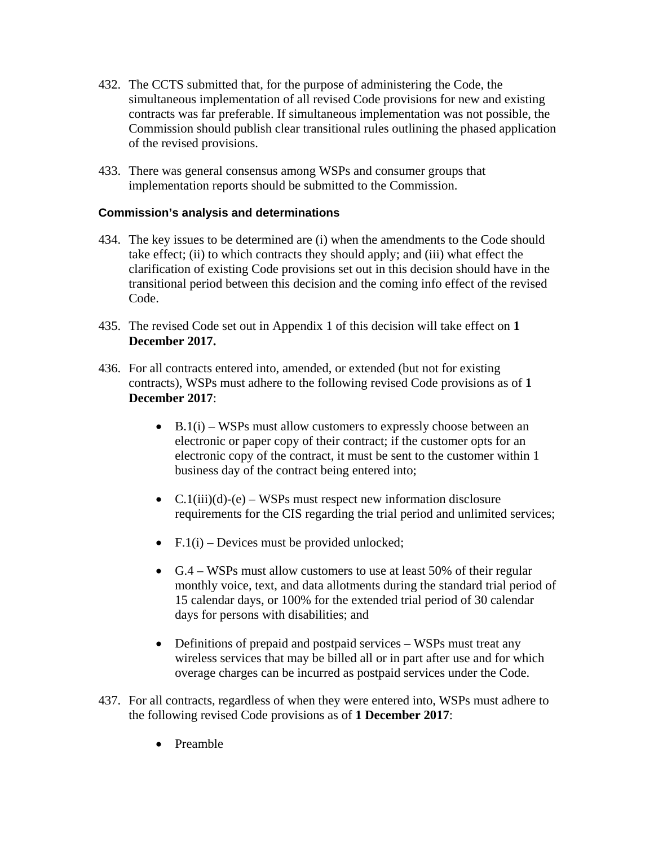- 432. The CCTS submitted that, for the purpose of administering the Code, the simultaneous implementation of all revised Code provisions for new and existing contracts was far preferable. If simultaneous implementation was not possible, the Commission should publish clear transitional rules outlining the phased application of the revised provisions.
- 433. There was general consensus among WSPs and consumer groups that implementation reports should be submitted to the Commission.

- 434. The key issues to be determined are (i) when the amendments to the Code should take effect; (ii) to which contracts they should apply; and (iii) what effect the clarification of existing Code provisions set out in this decision should have in the transitional period between this decision and the coming info effect of the revised Code.
- 435. The revised Code set out in Appendix 1 of this decision will take effect on **1 December 2017.**
- 436. For all contracts entered into, amended, or extended (but not for existing contracts), WSPs must adhere to the following revised Code provisions as of **1 December 2017**:
	- $B.1(i)$  WSPs must allow customers to expressly choose between an electronic or paper copy of their contract; if the customer opts for an electronic copy of the contract, it must be sent to the customer within 1 business day of the contract being entered into;
	- $C.1(iii)(d)-(e) WSPs must respect new information disclosure$ requirements for the CIS regarding the trial period and unlimited services;
	- F.1(i) Devices must be provided unlocked;
	- G.4 WSPs must allow customers to use at least 50% of their regular monthly voice, text, and data allotments during the standard trial period of 15 calendar days, or 100% for the extended trial period of 30 calendar days for persons with disabilities; and
	- Definitions of prepaid and postpaid services WSPs must treat any wireless services that may be billed all or in part after use and for which overage charges can be incurred as postpaid services under the Code.
- 437. For all contracts, regardless of when they were entered into, WSPs must adhere to the following revised Code provisions as of **1 December 2017**:
	- Preamble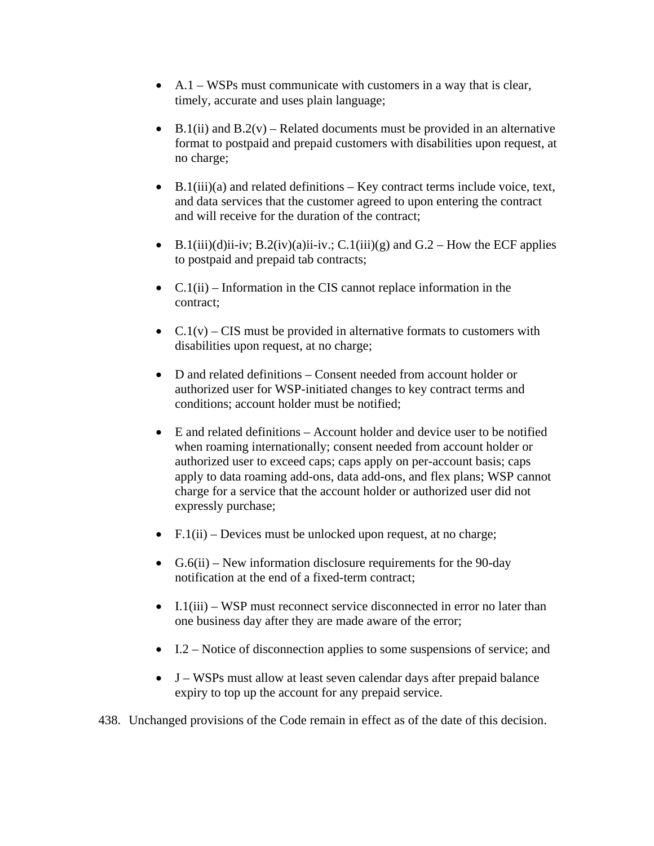- A.1 WSPs must communicate with customers in a way that is clear, timely, accurate and uses plain language;
- B.1(ii) and B.2(v) Related documents must be provided in an alternative format to postpaid and prepaid customers with disabilities upon request, at no charge;
- B.1(iii)(a) and related definitions  $-$  Key contract terms include voice, text, and data services that the customer agreed to upon entering the contract and will receive for the duration of the contract;
- B.1(iii)(d)ii-iv; B.2(iv)(a)ii-iv.; C.1(iii)(g) and G.2 How the ECF applies to postpaid and prepaid tab contracts;
- C.1(ii) Information in the CIS cannot replace information in the contract;
- C.1(v) CIS must be provided in alternative formats to customers with disabilities upon request, at no charge;
- D and related definitions Consent needed from account holder or authorized user for WSP-initiated changes to key contract terms and conditions; account holder must be notified;
- E and related definitions Account holder and device user to be notified when roaming internationally; consent needed from account holder or authorized user to exceed caps; caps apply on per-account basis; caps apply to data roaming add-ons, data add-ons, and flex plans; WSP cannot charge for a service that the account holder or authorized user did not expressly purchase;
- $F.1(ii)$  Devices must be unlocked upon request, at no charge;
- $G.6(ii)$  New information disclosure requirements for the 90-day notification at the end of a fixed-term contract;
- I.1(iii) WSP must reconnect service disconnected in error no later than one business day after they are made aware of the error;
- I.2 Notice of disconnection applies to some suspensions of service; and
- J WSPs must allow at least seven calendar days after prepaid balance expiry to top up the account for any prepaid service.

438. Unchanged provisions of the Code remain in effect as of the date of this decision.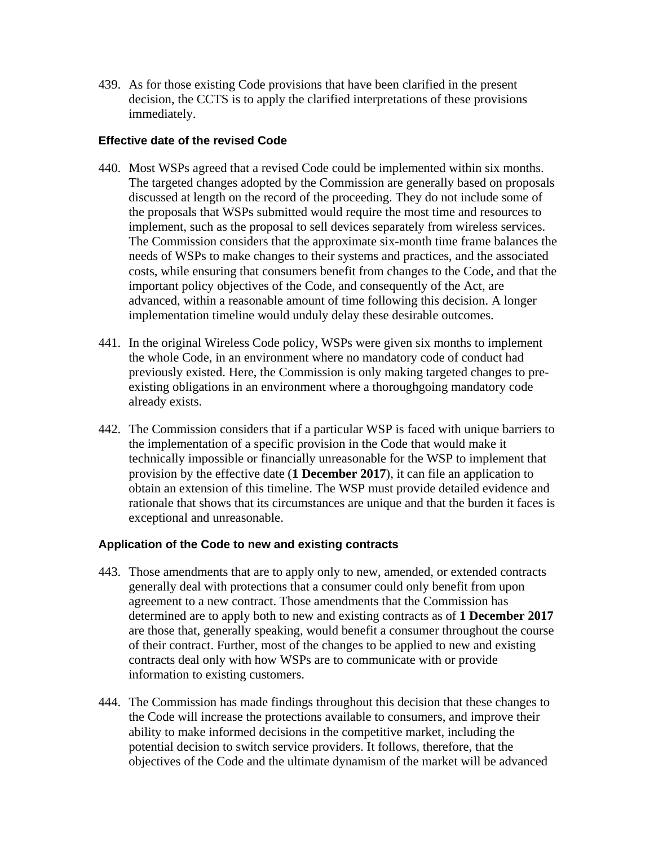439. As for those existing Code provisions that have been clarified in the present decision, the CCTS is to apply the clarified interpretations of these provisions immediately.

# **Effective date of the revised Code**

- 440. Most WSPs agreed that a revised Code could be implemented within six months. The targeted changes adopted by the Commission are generally based on proposals discussed at length on the record of the proceeding. They do not include some of the proposals that WSPs submitted would require the most time and resources to implement, such as the proposal to sell devices separately from wireless services. The Commission considers that the approximate six-month time frame balances the needs of WSPs to make changes to their systems and practices, and the associated costs, while ensuring that consumers benefit from changes to the Code, and that the important policy objectives of the Code, and consequently of the Act, are advanced, within a reasonable amount of time following this decision. A longer implementation timeline would unduly delay these desirable outcomes.
- 441. In the original Wireless Code policy, WSPs were given six months to implement the whole Code, in an environment where no mandatory code of conduct had previously existed. Here, the Commission is only making targeted changes to preexisting obligations in an environment where a thoroughgoing mandatory code already exists.
- 442. The Commission considers that if a particular WSP is faced with unique barriers to the implementation of a specific provision in the Code that would make it technically impossible or financially unreasonable for the WSP to implement that provision by the effective date (**1 December 2017**), it can file an application to obtain an extension of this timeline. The WSP must provide detailed evidence and rationale that shows that its circumstances are unique and that the burden it faces is exceptional and unreasonable.

# **Application of the Code to new and existing contracts**

- 443. Those amendments that are to apply only to new, amended, or extended contracts generally deal with protections that a consumer could only benefit from upon agreement to a new contract. Those amendments that the Commission has determined are to apply both to new and existing contracts as of **1 December 2017** are those that, generally speaking, would benefit a consumer throughout the course of their contract. Further, most of the changes to be applied to new and existing contracts deal only with how WSPs are to communicate with or provide information to existing customers.
- 444. The Commission has made findings throughout this decision that these changes to the Code will increase the protections available to consumers, and improve their ability to make informed decisions in the competitive market, including the potential decision to switch service providers. It follows, therefore, that the objectives of the Code and the ultimate dynamism of the market will be advanced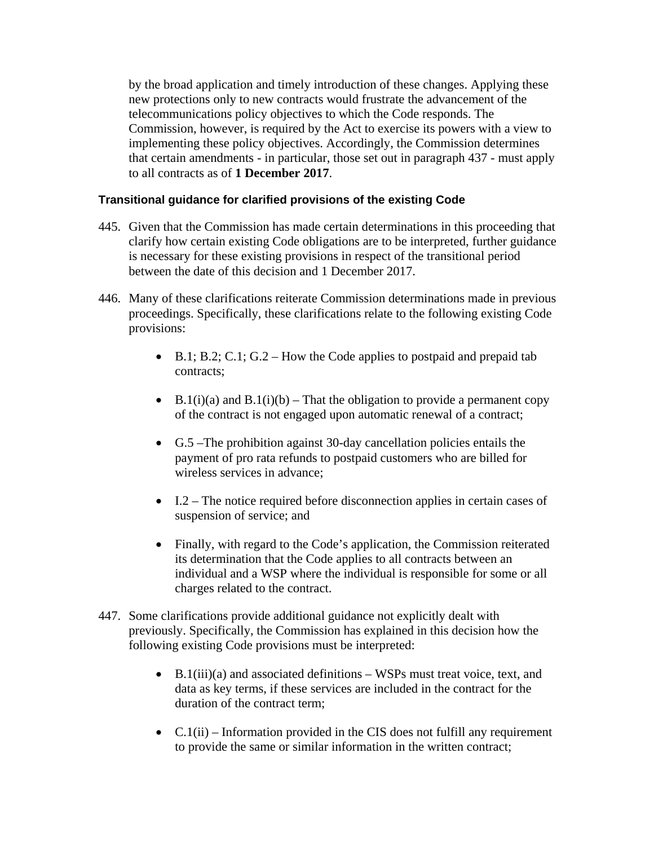by the broad application and timely introduction of these changes. Applying these new protections only to new contracts would frustrate the advancement of the telecommunications policy objectives to which the Code responds. The Commission, however, is required by the Act to exercise its powers with a view to implementing these policy objectives. Accordingly, the Commission determines that certain amendments - in particular, those set out in paragraph 437 - must apply to all contracts as of **1 December 2017**.

# **Transitional guidance for clarified provisions of the existing Code**

- 445. Given that the Commission has made certain determinations in this proceeding that clarify how certain existing Code obligations are to be interpreted, further guidance is necessary for these existing provisions in respect of the transitional period between the date of this decision and 1 December 2017.
- 446. Many of these clarifications reiterate Commission determinations made in previous proceedings. Specifically, these clarifications relate to the following existing Code provisions:
	- B.1; B.2; C.1; G.2 How the Code applies to postpaid and prepaid tab contracts;
	- B.1(i)(a) and B.1(i)(b) That the obligation to provide a permanent copy of the contract is not engaged upon automatic renewal of a contract;
	- G.5 –The prohibition against 30-day cancellation policies entails the payment of pro rata refunds to postpaid customers who are billed for wireless services in advance;
	- I.2 The notice required before disconnection applies in certain cases of suspension of service; and
	- Finally, with regard to the Code's application, the Commission reiterated its determination that the Code applies to all contracts between an individual and a WSP where the individual is responsible for some or all charges related to the contract.
- 447. Some clarifications provide additional guidance not explicitly dealt with previously. Specifically, the Commission has explained in this decision how the following existing Code provisions must be interpreted:
	- B.1(iii)(a) and associated definitions WSPs must treat voice, text, and data as key terms, if these services are included in the contract for the duration of the contract term;
	- $C.1(ii)$  Information provided in the CIS does not fulfill any requirement to provide the same or similar information in the written contract;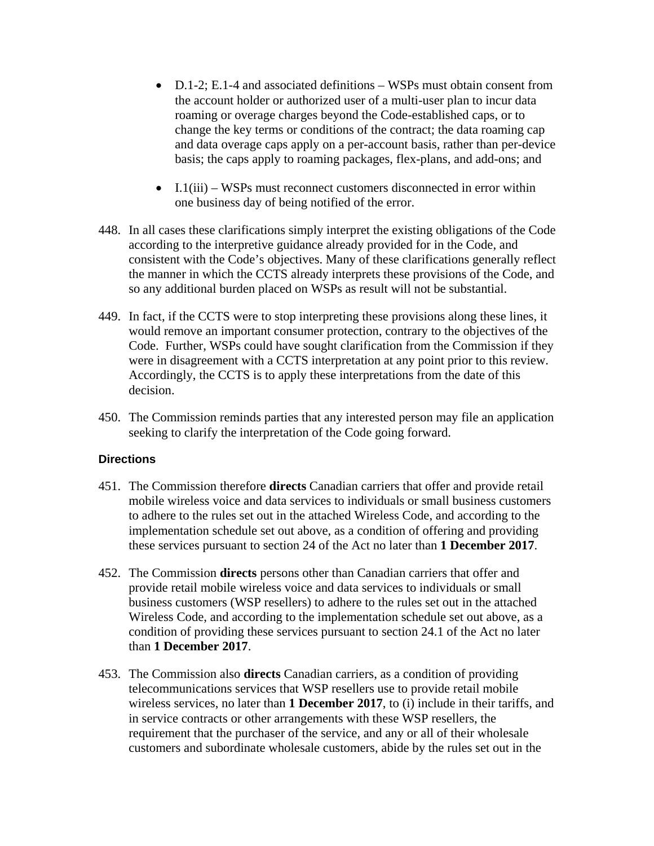- D.1-2; E.1-4 and associated definitions WSPs must obtain consent from the account holder or authorized user of a multi-user plan to incur data roaming or overage charges beyond the Code-established caps, or to change the key terms or conditions of the contract; the data roaming cap and data overage caps apply on a per-account basis, rather than per-device basis; the caps apply to roaming packages, flex-plans, and add-ons; and
- I.1(iii) WSPs must reconnect customers disconnected in error within one business day of being notified of the error.
- 448. In all cases these clarifications simply interpret the existing obligations of the Code according to the interpretive guidance already provided for in the Code, and consistent with the Code's objectives. Many of these clarifications generally reflect the manner in which the CCTS already interprets these provisions of the Code, and so any additional burden placed on WSPs as result will not be substantial.
- 449. In fact, if the CCTS were to stop interpreting these provisions along these lines, it would remove an important consumer protection, contrary to the objectives of the Code. Further, WSPs could have sought clarification from the Commission if they were in disagreement with a CCTS interpretation at any point prior to this review. Accordingly, the CCTS is to apply these interpretations from the date of this decision.
- 450. The Commission reminds parties that any interested person may file an application seeking to clarify the interpretation of the Code going forward.

# **Directions**

- 451. The Commission therefore **directs** Canadian carriers that offer and provide retail mobile wireless voice and data services to individuals or small business customers to adhere to the rules set out in the attached Wireless Code, and according to the implementation schedule set out above, as a condition of offering and providing these services pursuant to section 24 of the Act no later than **1 December 2017**.
- 452. The Commission **directs** persons other than Canadian carriers that offer and provide retail mobile wireless voice and data services to individuals or small business customers (WSP resellers) to adhere to the rules set out in the attached Wireless Code, and according to the implementation schedule set out above, as a condition of providing these services pursuant to section 24.1 of the Act no later than **1 December 2017**.
- 453. The Commission also **directs** Canadian carriers, as a condition of providing telecommunications services that WSP resellers use to provide retail mobile wireless services, no later than **1 December 2017**, to (i) include in their tariffs, and in service contracts or other arrangements with these WSP resellers, the requirement that the purchaser of the service, and any or all of their wholesale customers and subordinate wholesale customers, abide by the rules set out in the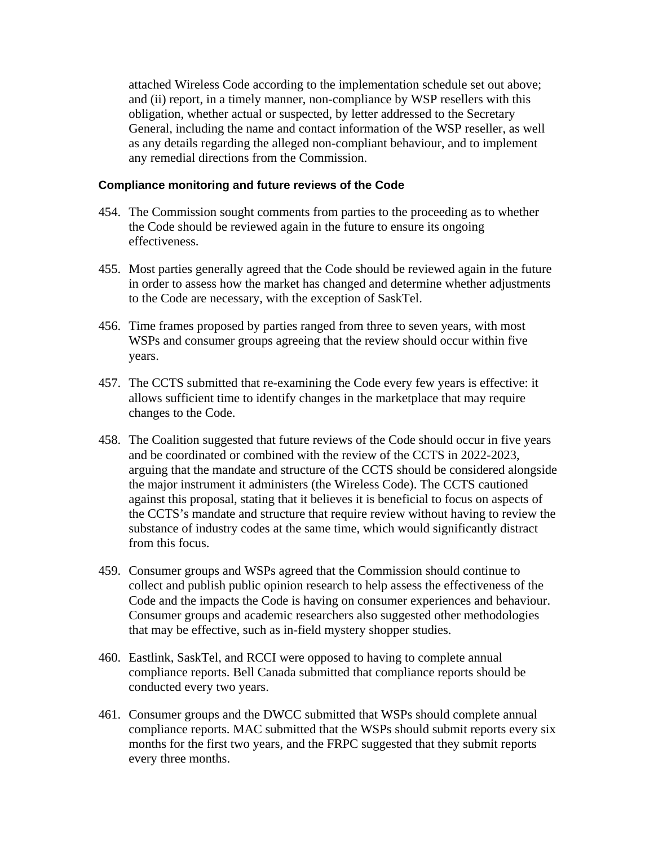attached Wireless Code according to the implementation schedule set out above; and (ii) report, in a timely manner, non-compliance by WSP resellers with this obligation, whether actual or suspected, by letter addressed to the Secretary General, including the name and contact information of the WSP reseller, as well as any details regarding the alleged non-compliant behaviour, and to implement any remedial directions from the Commission.

## **Compliance monitoring and future reviews of the Code**

- 454. The Commission sought comments from parties to the proceeding as to whether the Code should be reviewed again in the future to ensure its ongoing effectiveness.
- 455. Most parties generally agreed that the Code should be reviewed again in the future in order to assess how the market has changed and determine whether adjustments to the Code are necessary, with the exception of SaskTel.
- 456. Time frames proposed by parties ranged from three to seven years, with most WSPs and consumer groups agreeing that the review should occur within five years.
- 457. The CCTS submitted that re-examining the Code every few years is effective: it allows sufficient time to identify changes in the marketplace that may require changes to the Code.
- 458. The Coalition suggested that future reviews of the Code should occur in five years and be coordinated or combined with the review of the CCTS in 2022-2023, arguing that the mandate and structure of the CCTS should be considered alongside the major instrument it administers (the Wireless Code). The CCTS cautioned against this proposal, stating that it believes it is beneficial to focus on aspects of the CCTS's mandate and structure that require review without having to review the substance of industry codes at the same time, which would significantly distract from this focus.
- 459. Consumer groups and WSPs agreed that the Commission should continue to collect and publish public opinion research to help assess the effectiveness of the Code and the impacts the Code is having on consumer experiences and behaviour. Consumer groups and academic researchers also suggested other methodologies that may be effective, such as in-field mystery shopper studies.
- 460. Eastlink, SaskTel, and RCCI were opposed to having to complete annual compliance reports. Bell Canada submitted that compliance reports should be conducted every two years.
- 461. Consumer groups and the DWCC submitted that WSPs should complete annual compliance reports. MAC submitted that the WSPs should submit reports every six months for the first two years, and the FRPC suggested that they submit reports every three months.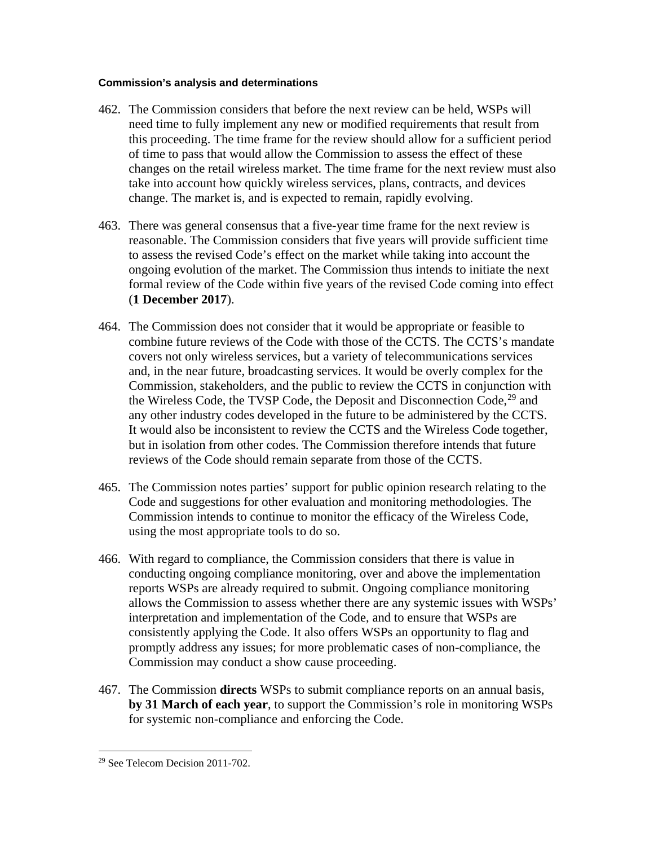## **Commission's analysis and determinations**

- 462. The Commission considers that before the next review can be held, WSPs will need time to fully implement any new or modified requirements that result from this proceeding. The time frame for the review should allow for a sufficient period of time to pass that would allow the Commission to assess the effect of these changes on the retail wireless market. The time frame for the next review must also take into account how quickly wireless services, plans, contracts, and devices change. The market is, and is expected to remain, rapidly evolving.
- 463. There was general consensus that a five-year time frame for the next review is reasonable. The Commission considers that five years will provide sufficient time to assess the revised Code's effect on the market while taking into account the ongoing evolution of the market. The Commission thus intends to initiate the next formal review of the Code within five years of the revised Code coming into effect (**1 December 2017**).
- 464. The Commission does not consider that it would be appropriate or feasible to combine future reviews of the Code with those of the CCTS. The CCTS's mandate covers not only wireless services, but a variety of telecommunications services and, in the near future, broadcasting services. It would be overly complex for the Commission, stakeholders, and the public to review the CCTS in conjunction with the Wireless Code, the TVSP Code, the Deposit and Disconnection Code,<sup>[29](#page-73-0)</sup> and any other industry codes developed in the future to be administered by the CCTS. It would also be inconsistent to review the CCTS and the Wireless Code together, but in isolation from other codes. The Commission therefore intends that future reviews of the Code should remain separate from those of the CCTS.
- 465. The Commission notes parties' support for public opinion research relating to the Code and suggestions for other evaluation and monitoring methodologies. The Commission intends to continue to monitor the efficacy of the Wireless Code, using the most appropriate tools to do so.
- 466. With regard to compliance, the Commission considers that there is value in conducting ongoing compliance monitoring, over and above the implementation reports WSPs are already required to submit. Ongoing compliance monitoring allows the Commission to assess whether there are any systemic issues with WSPs' interpretation and implementation of the Code, and to ensure that WSPs are consistently applying the Code. It also offers WSPs an opportunity to flag and promptly address any issues; for more problematic cases of non-compliance, the Commission may conduct a show cause proceeding.
- 467. The Commission **directs** WSPs to submit compliance reports on an annual basis, **by 31 March of each year**, to support the Commission's role in monitoring WSPs for systemic non-compliance and enforcing the Code.

<span id="page-73-0"></span> <sup>29</sup> See Telecom Decision 2011-702.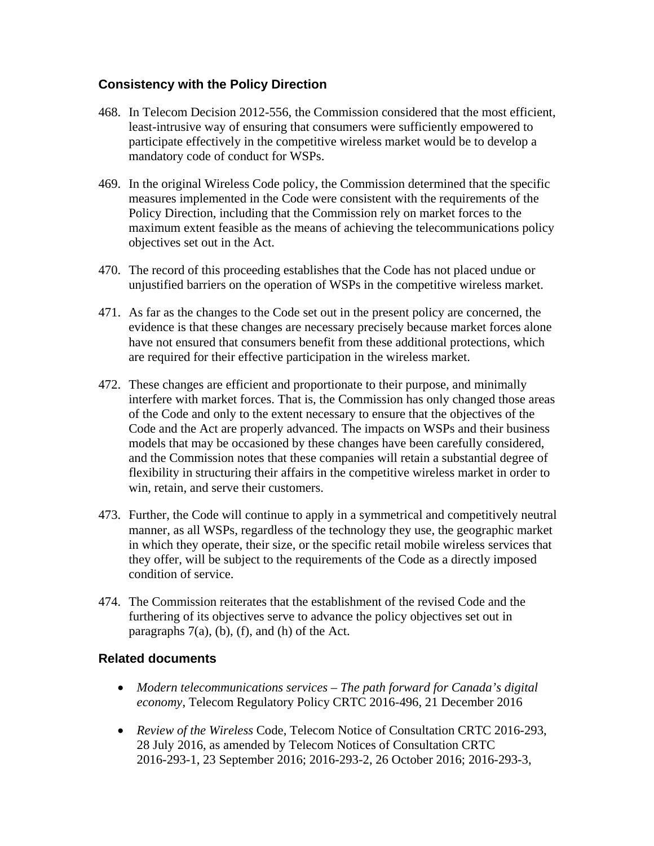# **Consistency with the Policy Direction**

- 468. In Telecom Decision 2012-556, the Commission considered that the most efficient, least-intrusive way of ensuring that consumers were sufficiently empowered to participate effectively in the competitive wireless market would be to develop a mandatory code of conduct for WSPs.
- 469. In the original Wireless Code policy, the Commission determined that the specific measures implemented in the Code were consistent with the requirements of the Policy Direction, including that the Commission rely on market forces to the maximum extent feasible as the means of achieving the telecommunications policy objectives set out in the Act.
- 470. The record of this proceeding establishes that the Code has not placed undue or unjustified barriers on the operation of WSPs in the competitive wireless market.
- 471. As far as the changes to the Code set out in the present policy are concerned, the evidence is that these changes are necessary precisely because market forces alone have not ensured that consumers benefit from these additional protections, which are required for their effective participation in the wireless market.
- 472. These changes are efficient and proportionate to their purpose, and minimally interfere with market forces. That is, the Commission has only changed those areas of the Code and only to the extent necessary to ensure that the objectives of the Code and the Act are properly advanced. The impacts on WSPs and their business models that may be occasioned by these changes have been carefully considered, and the Commission notes that these companies will retain a substantial degree of flexibility in structuring their affairs in the competitive wireless market in order to win, retain, and serve their customers.
- 473. Further, the Code will continue to apply in a symmetrical and competitively neutral manner, as all WSPs, regardless of the technology they use, the geographic market in which they operate, their size, or the specific retail mobile wireless services that they offer, will be subject to the requirements of the Code as a directly imposed condition of service.
- 474. The Commission reiterates that the establishment of the revised Code and the furthering of its objectives serve to advance the policy objectives set out in paragraphs  $7(a)$ , (b), (f), and (h) of the Act.

# **Related documents**

- *Modern telecommunications services – The path forward for Canada's digital economy*, Telecom Regulatory Policy CRTC 2016-496, 21 December 2016
- *Review of the Wireless* Code, Telecom Notice of Consultation CRTC 2016-293, 28 July 2016, as amended by Telecom Notices of Consultation CRTC 2016-293-1, 23 September 2016; 2016-293-2, 26 October 2016; 2016-293-3,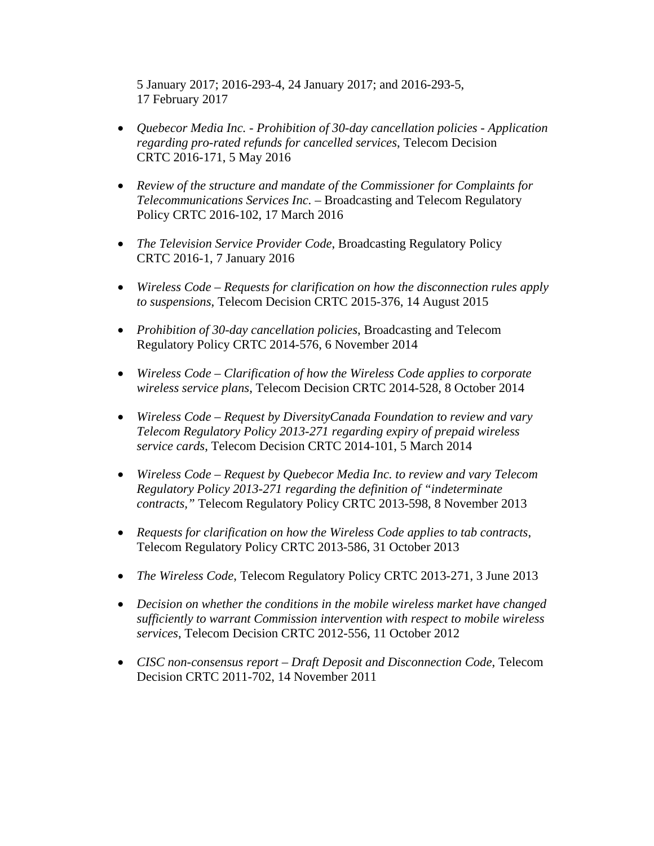5 January 2017; 2016-293-4, 24 January 2017; and 2016-293-5, 17 February 2017

- *Quebecor Media Inc. - Prohibition of 30-day cancellation policies - Application regarding pro-rated refunds for cancelled services*, Telecom Decision CRTC 2016-171, 5 May 2016
- *Review of the structure and mandate of the Commissioner for Complaints for Telecommunications Services Inc.* – Broadcasting and Telecom Regulatory Policy CRTC 2016-102, 17 March 2016
- *The Television Service Provider Code*, Broadcasting Regulatory Policy CRTC 2016-1, 7 January 2016
- *Wireless Code – Requests for clarification on how the disconnection rules apply to suspensions*, Telecom Decision CRTC 2015-376, 14 August 2015
- *Prohibition of 30-day cancellation policies*, Broadcasting and Telecom Regulatory Policy CRTC 2014-576, 6 November 2014
- *Wireless Code – Clarification of how the Wireless Code applies to corporate wireless service plans*, Telecom Decision CRTC 2014-528, 8 October 2014
- *Wireless Code – Request by DiversityCanada Foundation to review and vary Telecom Regulatory Policy 2013-271 regarding expiry of prepaid wireless service cards*, Telecom Decision CRTC 2014-101, 5 March 2014
- *Wireless Code – Request by Quebecor Media Inc. to review and vary Telecom Regulatory Policy 2013-271 regarding the definition of "indeterminate contracts,"* Telecom Regulatory Policy CRTC 2013-598, 8 November 2013
- *Requests for clarification on how the Wireless Code applies to tab contracts*, Telecom Regulatory Policy CRTC 2013-586, 31 October 2013
- *The Wireless Code*, Telecom Regulatory Policy CRTC 2013-271, 3 June 2013
- *Decision on whether the conditions in the mobile wireless market have changed sufficiently to warrant Commission intervention with respect to mobile wireless services*, Telecom Decision CRTC 2012-556, 11 October 2012
- *CISC non-consensus report – Draft Deposit and Disconnection Code*, Telecom Decision CRTC 2011-702, 14 November 2011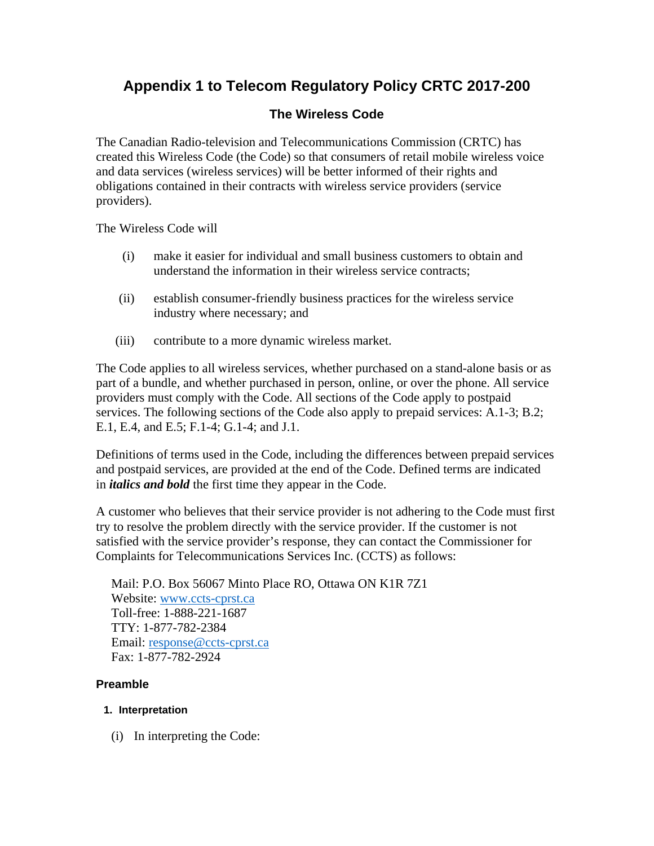# **Appendix 1 to Telecom Regulatory Policy CRTC 2017-200**

# **The Wireless Code**

The Canadian Radio-television and Telecommunications Commission (CRTC) has created this Wireless Code (the Code) so that consumers of retail mobile wireless voice and data services (wireless services) will be better informed of their rights and obligations contained in their contracts with wireless service providers (service providers).

The Wireless Code will

- (i) make it easier for individual and small business customers to obtain and understand the information in their wireless service contracts;
- (ii) establish consumer-friendly business practices for the wireless service industry where necessary; and
- (iii) contribute to a more dynamic wireless market.

The Code applies to all wireless services, whether purchased on a stand-alone basis or as part of a bundle, and whether purchased in person, online, or over the phone. All service providers must comply with the Code. All sections of the Code apply to postpaid services. The following sections of the Code also apply to prepaid services: A.1-3; B.2; E.1, E.4, and E.5; F.1-4; G.1-4; and J.1.

Definitions of terms used in the Code, including the differences between prepaid services and postpaid services, are provided at the end of the Code. Defined terms are indicated in *italics and bold* the first time they appear in the Code.

A customer who believes that their service provider is not adhering to the Code must first try to resolve the problem directly with the service provider. If the customer is not satisfied with the service provider's response, they can contact the Commissioner for Complaints for Telecommunications Services Inc. (CCTS) as follows:

Mail: P.O. Box 56067 Minto Place RO, Ottawa ON K1R 7Z1 Website: [www.ccts-cprst.ca](http://www.ccts-cprst.ca/) Toll-free: 1-888-221-1687 TTY: 1-877-782-2384 Email: [response@ccts-cprst.ca](mailto:response@ccts-cprst.ca) Fax: 1-877-782-2924

# **Preamble**

## **1. Interpretation**

(i) In interpreting the Code: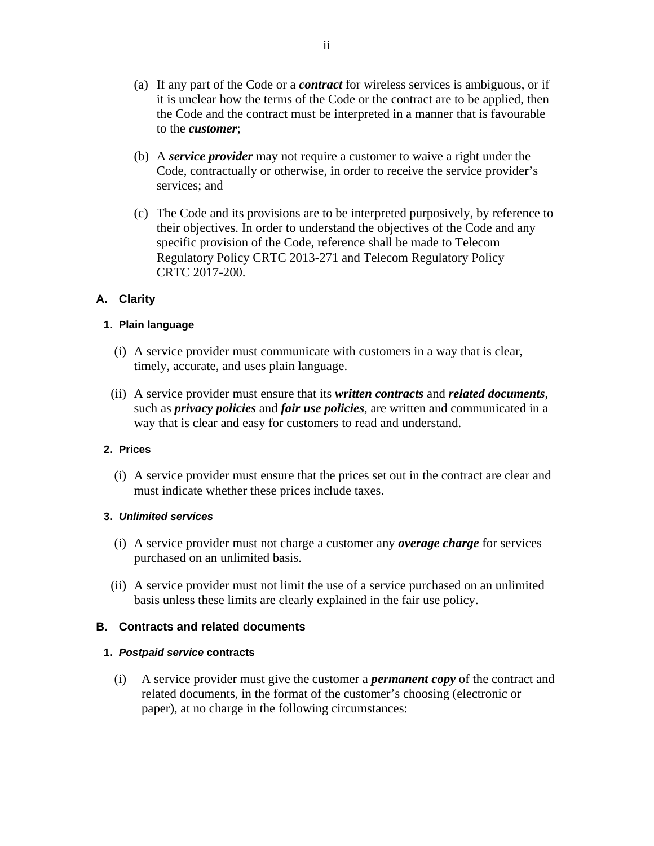- (a) If any part of the Code or a *contract* for wireless services is ambiguous, or if it is unclear how the terms of the Code or the contract are to be applied, then the Code and the contract must be interpreted in a manner that is favourable to the *customer*;
- (b) A *service provider* may not require a customer to waive a right under the Code, contractually or otherwise, in order to receive the service provider's services; and
- (c) The Code and its provisions are to be interpreted purposively, by reference to their objectives. In order to understand the objectives of the Code and any specific provision of the Code, reference shall be made to Telecom Regulatory Policy CRTC 2013-271 and Telecom Regulatory Policy CRTC 2017-200.

# **A. Clarity**

## **1. Plain language**

- (i) A service provider must communicate with customers in a way that is clear, timely, accurate, and uses plain language.
- (ii) A service provider must ensure that its *written contracts* and *related documents*, such as *privacy policies* and *fair use policies*, are written and communicated in a way that is clear and easy for customers to read and understand.

## **2. Prices**

(i) A service provider must ensure that the prices set out in the contract are clear and must indicate whether these prices include taxes.

## **3.** *Unlimited services*

- (i) A service provider must not charge a customer any *overage charge* for services purchased on an unlimited basis.
- (ii) A service provider must not limit the use of a service purchased on an unlimited basis unless these limits are clearly explained in the fair use policy.

## **B. Contracts and related documents**

## **1.** *Postpaid service* **contracts**

(i) A service provider must give the customer a *permanent copy* of the contract and related documents, in the format of the customer's choosing (electronic or paper), at no charge in the following circumstances: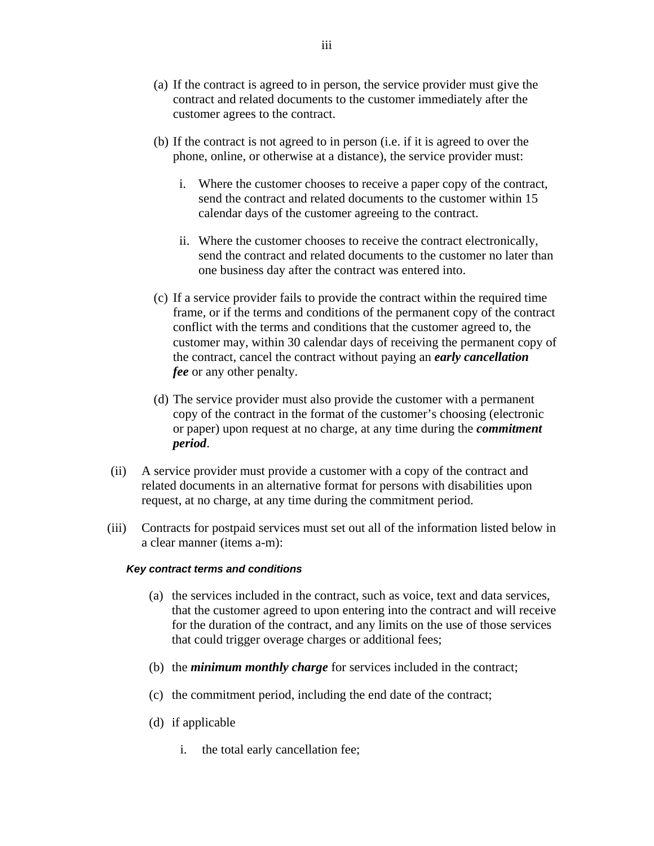- (a) If the contract is agreed to in person, the service provider must give the contract and related documents to the customer immediately after the customer agrees to the contract.
- (b) If the contract is not agreed to in person (i.e. if it is agreed to over the phone, online, or otherwise at a distance), the service provider must:
	- i. Where the customer chooses to receive a paper copy of the contract, send the contract and related documents to the customer within 15 calendar days of the customer agreeing to the contract.
	- ii. Where the customer chooses to receive the contract electronically, send the contract and related documents to the customer no later than one business day after the contract was entered into.
- (c) If a service provider fails to provide the contract within the required time frame, or if the terms and conditions of the permanent copy of the contract conflict with the terms and conditions that the customer agreed to, the customer may, within 30 calendar days of receiving the permanent copy of the contract, cancel the contract without paying an *early cancellation fee* or any other penalty.
- (d) The service provider must also provide the customer with a permanent copy of the contract in the format of the customer's choosing (electronic or paper) upon request at no charge, at any time during the *commitment period*.
- (ii) A service provider must provide a customer with a copy of the contract and related documents in an alternative format for persons with disabilities upon request, at no charge, at any time during the commitment period.
- (iii) Contracts for postpaid services must set out all of the information listed below in a clear manner (items a-m):

#### *Key contract terms and conditions*

- (a) the services included in the contract, such as voice, text and data services, that the customer agreed to upon entering into the contract and will receive for the duration of the contract, and any limits on the use of those services that could trigger overage charges or additional fees;
- (b) the *minimum monthly charge* for services included in the contract;
- (c) the commitment period, including the end date of the contract;
- (d) if applicable
	- i. the total early cancellation fee;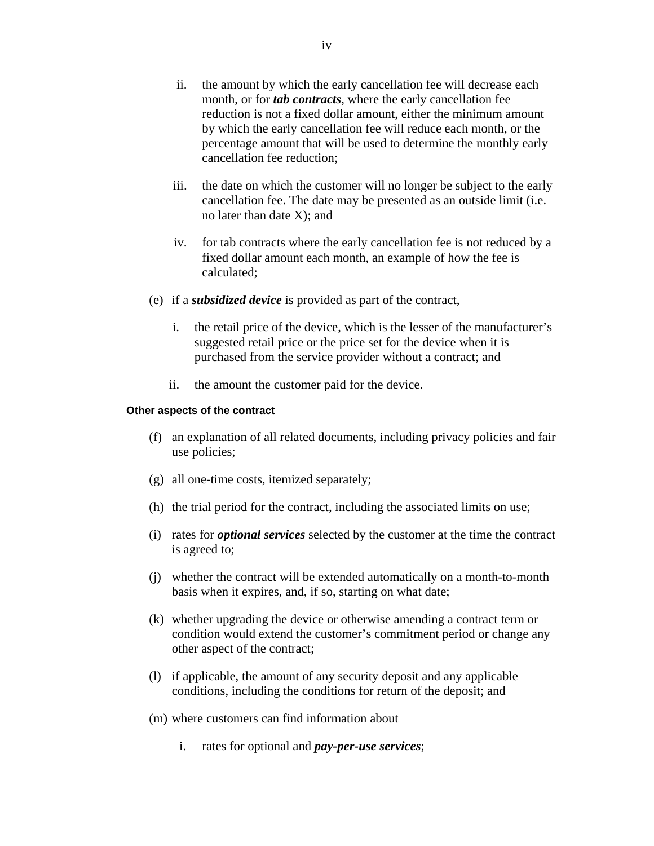- ii. the amount by which the early cancellation fee will decrease each month, or for *tab contracts*, where the early cancellation fee reduction is not a fixed dollar amount, either the minimum amount by which the early cancellation fee will reduce each month, or the percentage amount that will be used to determine the monthly early cancellation fee reduction;
- iii. the date on which the customer will no longer be subject to the early cancellation fee. The date may be presented as an outside limit (i.e. no later than date X); and
- iv. for tab contracts where the early cancellation fee is not reduced by a fixed dollar amount each month, an example of how the fee is calculated;
- (e) if a *subsidized device* is provided as part of the contract,
	- i. the retail price of the device, which is the lesser of the manufacturer's suggested retail price or the price set for the device when it is purchased from the service provider without a contract; and
	- ii. the amount the customer paid for the device.

#### **Other aspects of the contract**

- (f) an explanation of all related documents, including privacy policies and fair use policies;
- (g) all one-time costs, itemized separately;
- (h) the trial period for the contract, including the associated limits on use;
- (i) rates for *optional services* selected by the customer at the time the contract is agreed to;
- (j) whether the contract will be extended automatically on a month-to-month basis when it expires, and, if so, starting on what date;
- (k) whether upgrading the device or otherwise amending a contract term or condition would extend the customer's commitment period or change any other aspect of the contract;
- (l) if applicable, the amount of any security deposit and any applicable conditions, including the conditions for return of the deposit; and
- (m) where customers can find information about
	- i. rates for optional and *pay-per-use services*;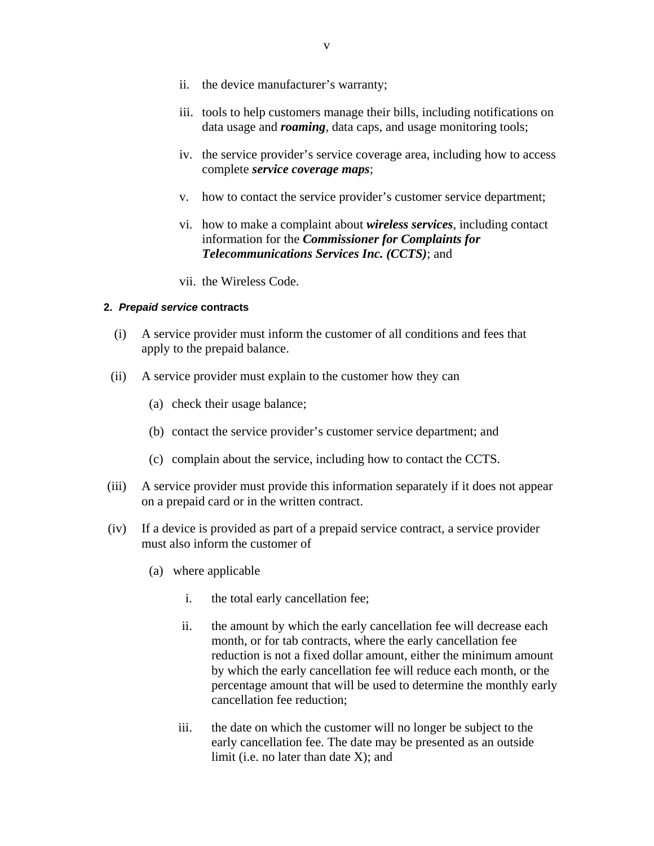- ii. the device manufacturer's warranty;
- iii. tools to help customers manage their bills, including notifications on data usage and *roaming*, data caps, and usage monitoring tools;
- iv. the service provider's service coverage area, including how to access complete *service coverage maps*;
- v. how to contact the service provider's customer service department;
- vi. how to make a complaint about *wireless services*, including contact information for the *Commissioner for Complaints for Telecommunications Services Inc. (CCTS)*; and
- vii. the Wireless Code.

#### **2.** *Prepaid service* **contracts**

- (i) A service provider must inform the customer of all conditions and fees that apply to the prepaid balance.
- (ii) A service provider must explain to the customer how they can
	- (a) check their usage balance;
	- (b) contact the service provider's customer service department; and
	- (c) complain about the service, including how to contact the CCTS.
- (iii) A service provider must provide this information separately if it does not appear on a prepaid card or in the written contract.
- (iv) If a device is provided as part of a prepaid service contract, a service provider must also inform the customer of
	- (a) where applicable
		- i. the total early cancellation fee;
		- ii. the amount by which the early cancellation fee will decrease each month, or for tab contracts, where the early cancellation fee reduction is not a fixed dollar amount, either the minimum amount by which the early cancellation fee will reduce each month, or the percentage amount that will be used to determine the monthly early cancellation fee reduction;
		- iii. the date on which the customer will no longer be subject to the early cancellation fee. The date may be presented as an outside limit (i.e. no later than date X); and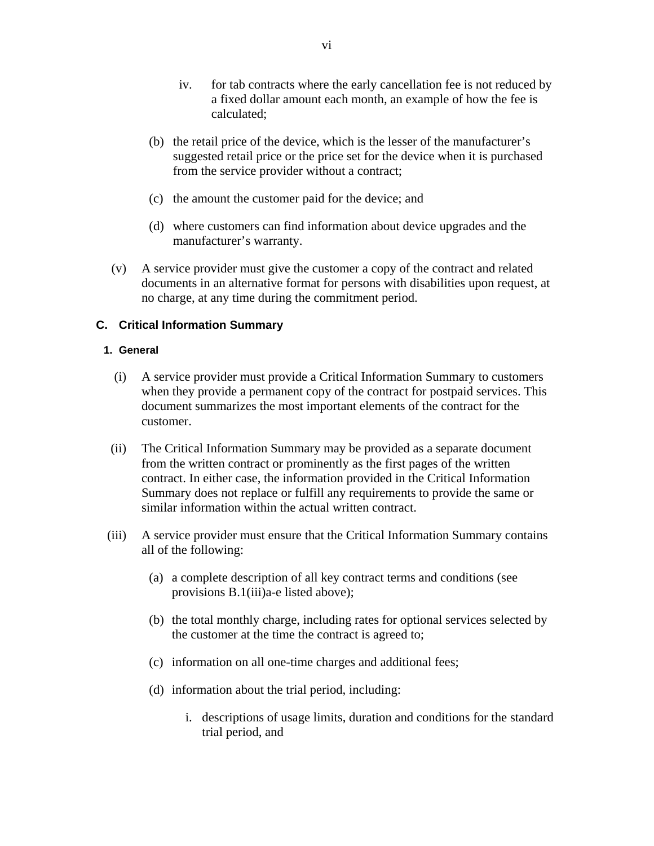- iv. for tab contracts where the early cancellation fee is not reduced by a fixed dollar amount each month, an example of how the fee is calculated;
- (b) the retail price of the device, which is the lesser of the manufacturer's suggested retail price or the price set for the device when it is purchased from the service provider without a contract;
- (c) the amount the customer paid for the device; and
- (d) where customers can find information about device upgrades and the manufacturer's warranty.
- (v) A service provider must give the customer a copy of the contract and related documents in an alternative format for persons with disabilities upon request, at no charge, at any time during the commitment period.

## **C. Critical Information Summary**

## **1. General**

- (i) A service provider must provide a Critical Information Summary to customers when they provide a permanent copy of the contract for postpaid services. This document summarizes the most important elements of the contract for the customer.
- (ii) The Critical Information Summary may be provided as a separate document from the written contract or prominently as the first pages of the written contract. In either case, the information provided in the Critical Information Summary does not replace or fulfill any requirements to provide the same or similar information within the actual written contract.
- (iii) A service provider must ensure that the Critical Information Summary contains all of the following:
	- (a) a complete description of all key contract terms and conditions (see provisions B.1(iii)a-e listed above);
	- (b) the total monthly charge, including rates for optional services selected by the customer at the time the contract is agreed to;
	- (c) information on all one-time charges and additional fees;
	- (d) information about the trial period, including:
		- i. descriptions of usage limits, duration and conditions for the standard trial period, and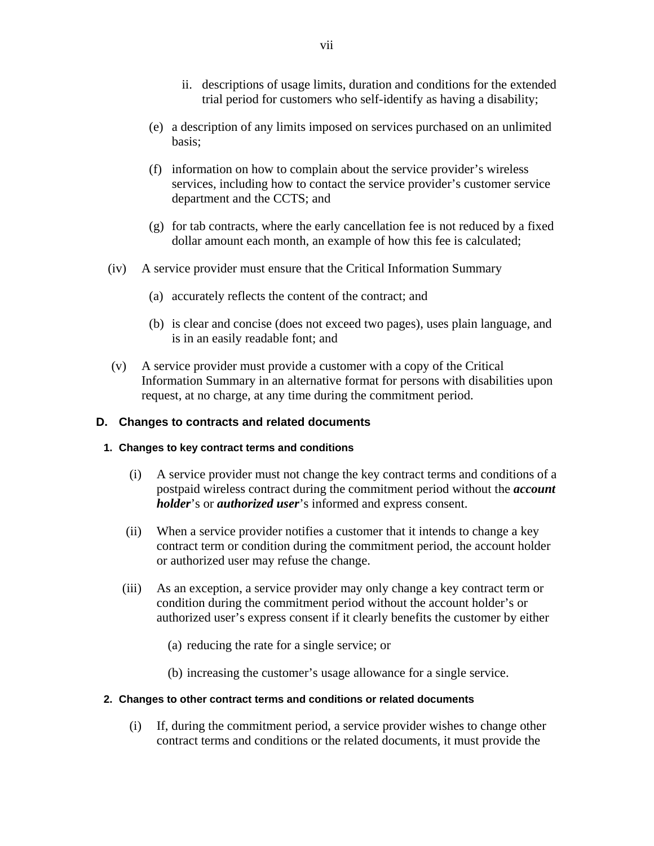- ii. descriptions of usage limits, duration and conditions for the extended trial period for customers who self-identify as having a disability;
- (e) a description of any limits imposed on services purchased on an unlimited basis;
- (f) information on how to complain about the service provider's wireless services, including how to contact the service provider's customer service department and the CCTS; and
- (g) for tab contracts, where the early cancellation fee is not reduced by a fixed dollar amount each month, an example of how this fee is calculated;
- (iv) A service provider must ensure that the Critical Information Summary
	- (a) accurately reflects the content of the contract; and
	- (b) is clear and concise (does not exceed two pages), uses plain language, and is in an easily readable font; and
- (v) A service provider must provide a customer with a copy of the Critical Information Summary in an alternative format for persons with disabilities upon request, at no charge, at any time during the commitment period.

## **D. Changes to contracts and related documents**

## **1. Changes to key contract terms and conditions**

- (i) A service provider must not change the key contract terms and conditions of a postpaid wireless contract during the commitment period without the *account holder*'s or *authorized user*'s informed and express consent.
- (ii) When a service provider notifies a customer that it intends to change a key contract term or condition during the commitment period, the account holder or authorized user may refuse the change.
- (iii) As an exception, a service provider may only change a key contract term or condition during the commitment period without the account holder's or authorized user's express consent if it clearly benefits the customer by either
	- (a) reducing the rate for a single service; or
	- (b) increasing the customer's usage allowance for a single service.

## **2. Changes to other contract terms and conditions or related documents**

(i) If, during the commitment period, a service provider wishes to change other contract terms and conditions or the related documents, it must provide the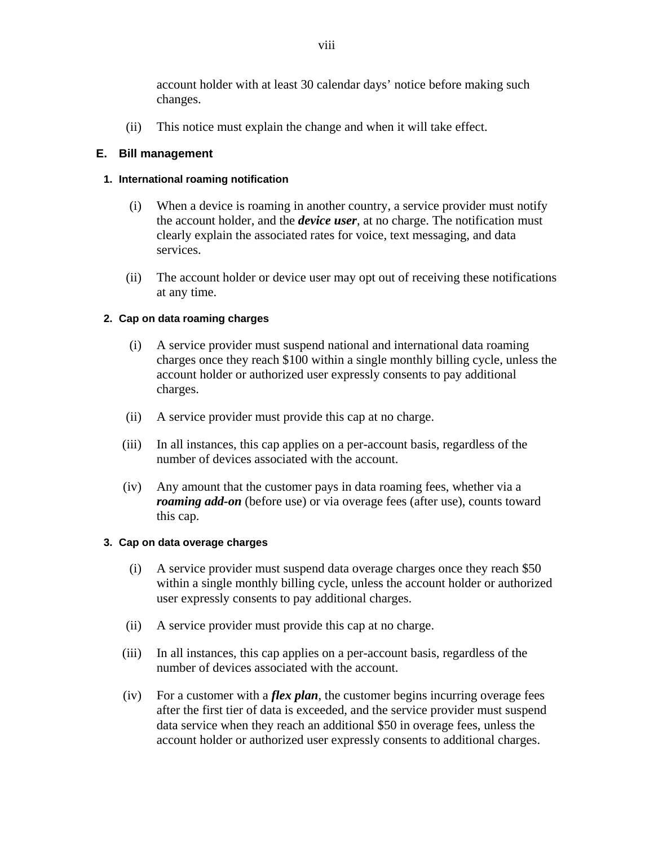account holder with at least 30 calendar days' notice before making such changes.

(ii) This notice must explain the change and when it will take effect.

## **E. Bill management**

## **1. International roaming notification**

- (i) When a device is roaming in another country, a service provider must notify the account holder, and the *device user*, at no charge. The notification must clearly explain the associated rates for voice, text messaging, and data services.
- (ii) The account holder or device user may opt out of receiving these notifications at any time.

## **2. Cap on data roaming charges**

- (i) A service provider must suspend national and international data roaming charges once they reach \$100 within a single monthly billing cycle, unless the account holder or authorized user expressly consents to pay additional charges.
- (ii) A service provider must provide this cap at no charge.
- (iii) In all instances, this cap applies on a per-account basis, regardless of the number of devices associated with the account.
- (iv) Any amount that the customer pays in data roaming fees, whether via a *roaming add-on* (before use) or via overage fees (after use), counts toward this cap.

## **3. Cap on data overage charges**

- (i) A service provider must suspend data overage charges once they reach \$50 within a single monthly billing cycle, unless the account holder or authorized user expressly consents to pay additional charges.
- (ii) A service provider must provide this cap at no charge.
- (iii) In all instances, this cap applies on a per-account basis, regardless of the number of devices associated with the account.
- (iv) For a customer with a *flex plan*, the customer begins incurring overage fees after the first tier of data is exceeded, and the service provider must suspend data service when they reach an additional \$50 in overage fees, unless the account holder or authorized user expressly consents to additional charges.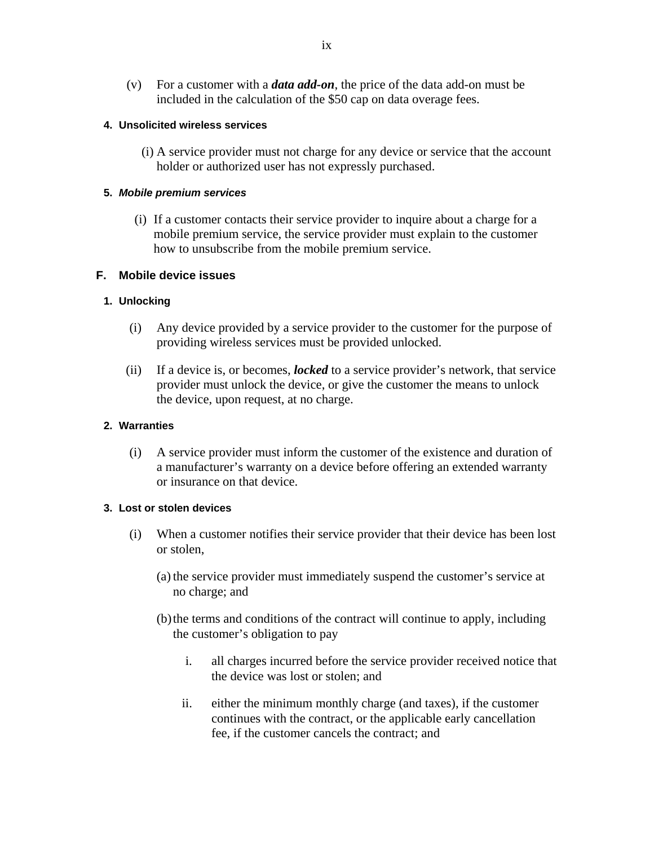(v) For a customer with a *data add-on*, the price of the data add-on must be included in the calculation of the \$50 cap on data overage fees.

## **4. Unsolicited wireless services**

(i) A service provider must not charge for any device or service that the account holder or authorized user has not expressly purchased.

## **5.** *Mobile premium services*

(i) If a customer contacts their service provider to inquire about a charge for a mobile premium service, the service provider must explain to the customer how to unsubscribe from the mobile premium service.

## **F. Mobile device issues**

## **1. Unlocking**

- (i) Any device provided by a service provider to the customer for the purpose of providing wireless services must be provided unlocked.
- (ii) If a device is, or becomes, *locked* to a service provider's network, that service provider must unlock the device, or give the customer the means to unlock the device, upon request, at no charge.

## **2. Warranties**

(i) A service provider must inform the customer of the existence and duration of a manufacturer's warranty on a device before offering an extended warranty or insurance on that device.

## **3. Lost or stolen devices**

- (i) When a customer notifies their service provider that their device has been lost or stolen,
	- (a)the service provider must immediately suspend the customer's service at no charge; and
	- (b)the terms and conditions of the contract will continue to apply, including the customer's obligation to pay
		- i. all charges incurred before the service provider received notice that the device was lost or stolen; and
		- ii. either the minimum monthly charge (and taxes), if the customer continues with the contract, or the applicable early cancellation fee, if the customer cancels the contract; and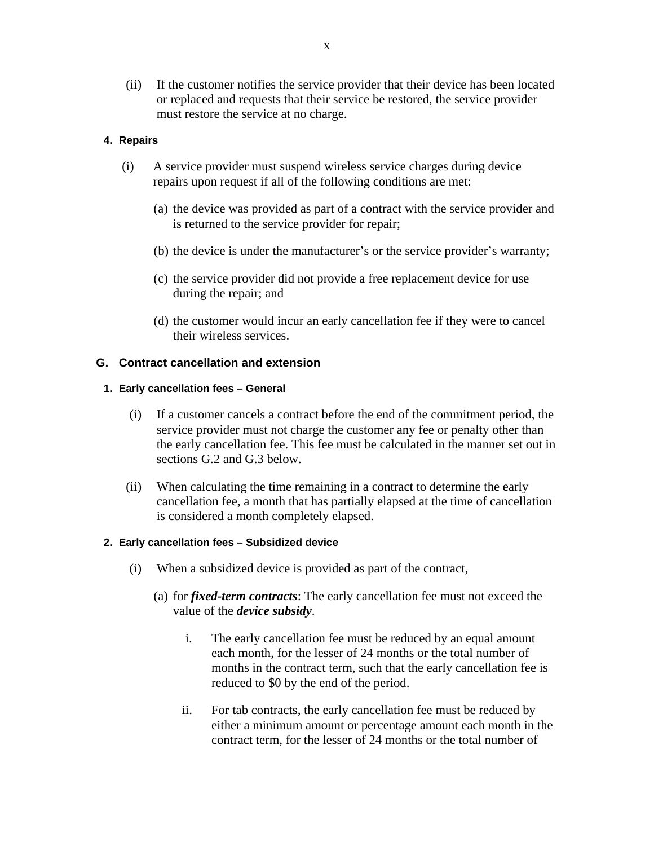(ii) If the customer notifies the service provider that their device has been located or replaced and requests that their service be restored, the service provider must restore the service at no charge.

## **4. Repairs**

- (i) A service provider must suspend wireless service charges during device repairs upon request if all of the following conditions are met:
	- (a) the device was provided as part of a contract with the service provider and is returned to the service provider for repair;
	- (b) the device is under the manufacturer's or the service provider's warranty;
	- (c) the service provider did not provide a free replacement device for use during the repair; and
	- (d) the customer would incur an early cancellation fee if they were to cancel their wireless services.

## **G. Contract cancellation and extension**

## **1. Early cancellation fees – General**

- (i) If a customer cancels a contract before the end of the commitment period, the service provider must not charge the customer any fee or penalty other than the early cancellation fee. This fee must be calculated in the manner set out in sections G.2 and G.3 below.
- (ii) When calculating the time remaining in a contract to determine the early cancellation fee, a month that has partially elapsed at the time of cancellation is considered a month completely elapsed.

## **2. Early cancellation fees – Subsidized device**

- (i) When a subsidized device is provided as part of the contract,
	- (a) for *fixed-term contracts*: The early cancellation fee must not exceed the value of the *device subsidy*.
		- i. The early cancellation fee must be reduced by an equal amount each month, for the lesser of 24 months or the total number of months in the contract term, such that the early cancellation fee is reduced to \$0 by the end of the period.
		- ii. For tab contracts, the early cancellation fee must be reduced by either a minimum amount or percentage amount each month in the contract term, for the lesser of 24 months or the total number of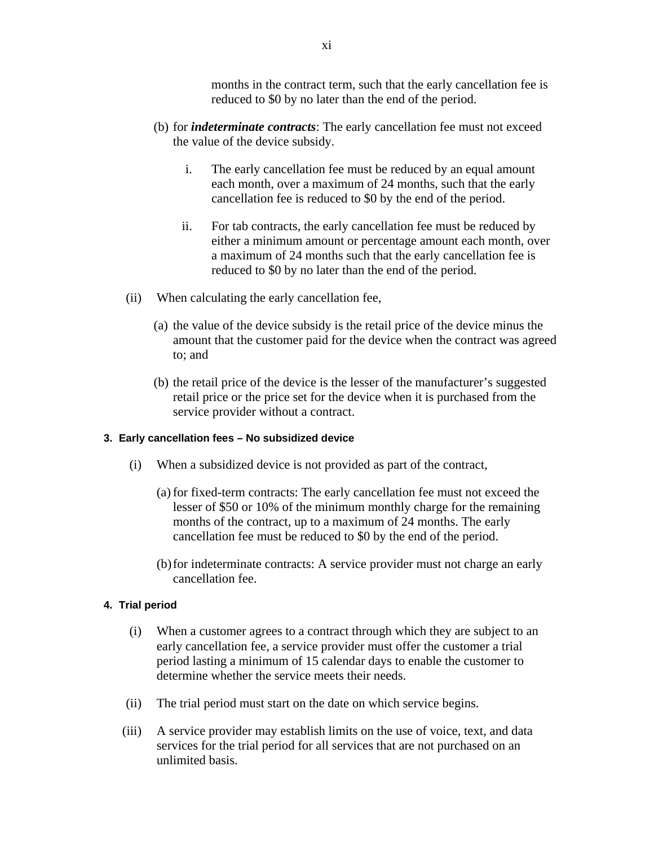months in the contract term, such that the early cancellation fee is reduced to \$0 by no later than the end of the period.

- (b) for *indeterminate contracts*: The early cancellation fee must not exceed the value of the device subsidy.
	- i. The early cancellation fee must be reduced by an equal amount each month, over a maximum of 24 months, such that the early cancellation fee is reduced to \$0 by the end of the period.
	- ii. For tab contracts, the early cancellation fee must be reduced by either a minimum amount or percentage amount each month, over a maximum of 24 months such that the early cancellation fee is reduced to \$0 by no later than the end of the period.
- (ii) When calculating the early cancellation fee,
	- (a) the value of the device subsidy is the retail price of the device minus the amount that the customer paid for the device when the contract was agreed to; and
	- (b) the retail price of the device is the lesser of the manufacturer's suggested retail price or the price set for the device when it is purchased from the service provider without a contract.

#### **3. Early cancellation fees – No subsidized device**

- (i) When a subsidized device is not provided as part of the contract,
	- (a)for fixed-term contracts: The early cancellation fee must not exceed the lesser of \$50 or 10% of the minimum monthly charge for the remaining months of the contract, up to a maximum of 24 months. The early cancellation fee must be reduced to \$0 by the end of the period.
	- (b)for indeterminate contracts: A service provider must not charge an early cancellation fee.

#### **4. Trial period**

- (i) When a customer agrees to a contract through which they are subject to an early cancellation fee, a service provider must offer the customer a trial period lasting a minimum of 15 calendar days to enable the customer to determine whether the service meets their needs.
- (ii) The trial period must start on the date on which service begins.
- (iii) A service provider may establish limits on the use of voice, text, and data services for the trial period for all services that are not purchased on an unlimited basis.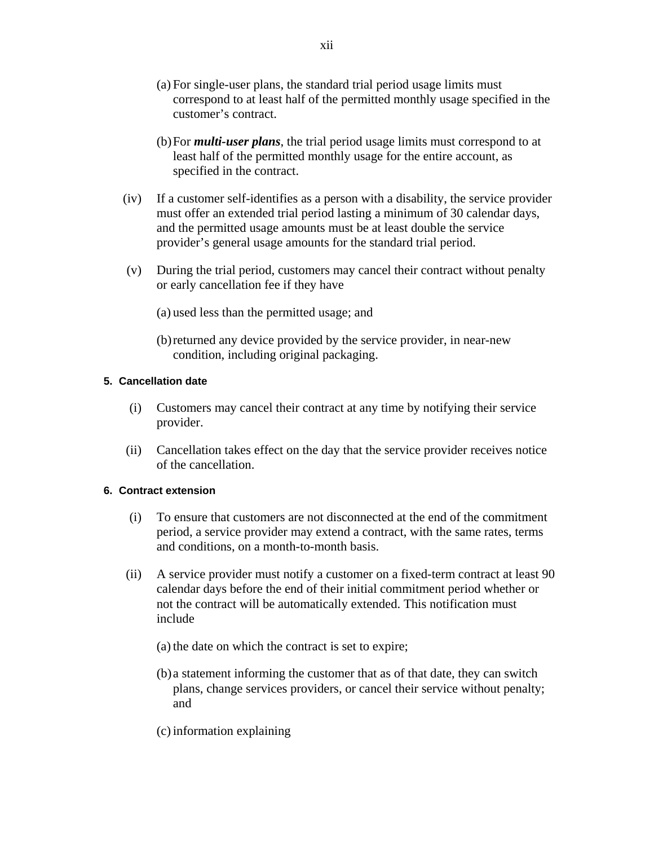- (a) For single-user plans, the standard trial period usage limits must correspond to at least half of the permitted monthly usage specified in the customer's contract.
- (b)For *multi-user plans*, the trial period usage limits must correspond to at least half of the permitted monthly usage for the entire account, as specified in the contract.
- (iv) If a customer self-identifies as a person with a disability, the service provider must offer an extended trial period lasting a minimum of 30 calendar days, and the permitted usage amounts must be at least double the service provider's general usage amounts for the standard trial period.
- (v) During the trial period, customers may cancel their contract without penalty or early cancellation fee if they have
	- (a) used less than the permitted usage; and
	- (b)returned any device provided by the service provider, in near-new condition, including original packaging.

## **5. Cancellation date**

- (i) Customers may cancel their contract at any time by notifying their service provider.
- (ii) Cancellation takes effect on the day that the service provider receives notice of the cancellation.

## **6. Contract extension**

- (i) To ensure that customers are not disconnected at the end of the commitment period, a service provider may extend a contract, with the same rates, terms and conditions, on a month-to-month basis.
- (ii) A service provider must notify a customer on a fixed-term contract at least 90 calendar days before the end of their initial commitment period whether or not the contract will be automatically extended. This notification must include
	- (a) the date on which the contract is set to expire;
	- (b)a statement informing the customer that as of that date, they can switch plans, change services providers, or cancel their service without penalty; and
	- (c)information explaining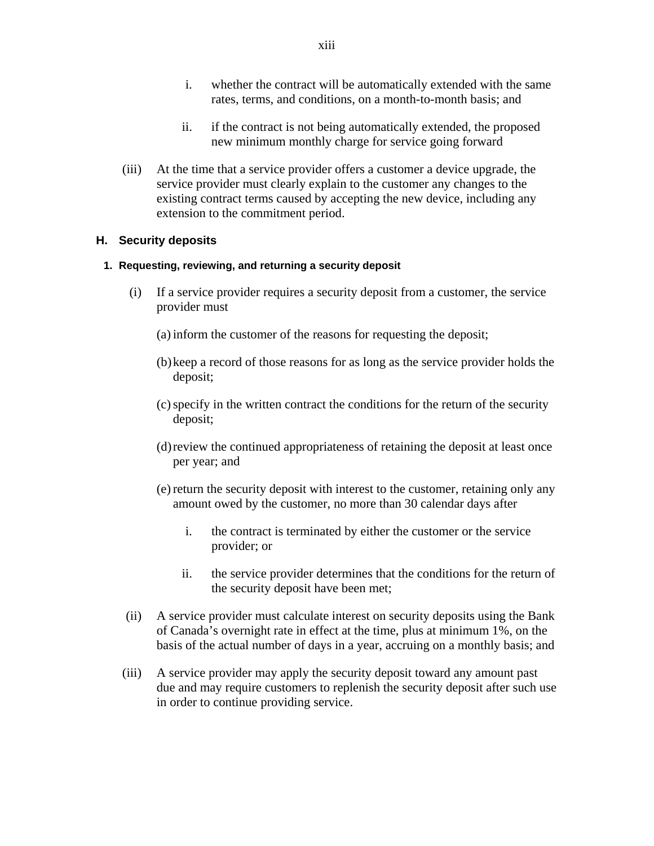- i. whether the contract will be automatically extended with the same rates, terms, and conditions, on a month-to-month basis; and
- ii. if the contract is not being automatically extended, the proposed new minimum monthly charge for service going forward
- (iii) At the time that a service provider offers a customer a device upgrade, the service provider must clearly explain to the customer any changes to the existing contract terms caused by accepting the new device, including any extension to the commitment period.

## **H. Security deposits**

## **1. Requesting, reviewing, and returning a security deposit**

- (i) If a service provider requires a security deposit from a customer, the service provider must
	- (a)inform the customer of the reasons for requesting the deposit;
	- (b)keep a record of those reasons for as long as the service provider holds the deposit;
	- (c)specify in the written contract the conditions for the return of the security deposit;
	- (d)review the continued appropriateness of retaining the deposit at least once per year; and
	- (e) return the security deposit with interest to the customer, retaining only any amount owed by the customer, no more than 30 calendar days after
		- i. the contract is terminated by either the customer or the service provider; or
		- ii. the service provider determines that the conditions for the return of the security deposit have been met;
- (ii) A service provider must calculate interest on security deposits using the Bank of Canada's overnight rate in effect at the time, plus at minimum 1%, on the basis of the actual number of days in a year, accruing on a monthly basis; and
- (iii) A service provider may apply the security deposit toward any amount past due and may require customers to replenish the security deposit after such use in order to continue providing service.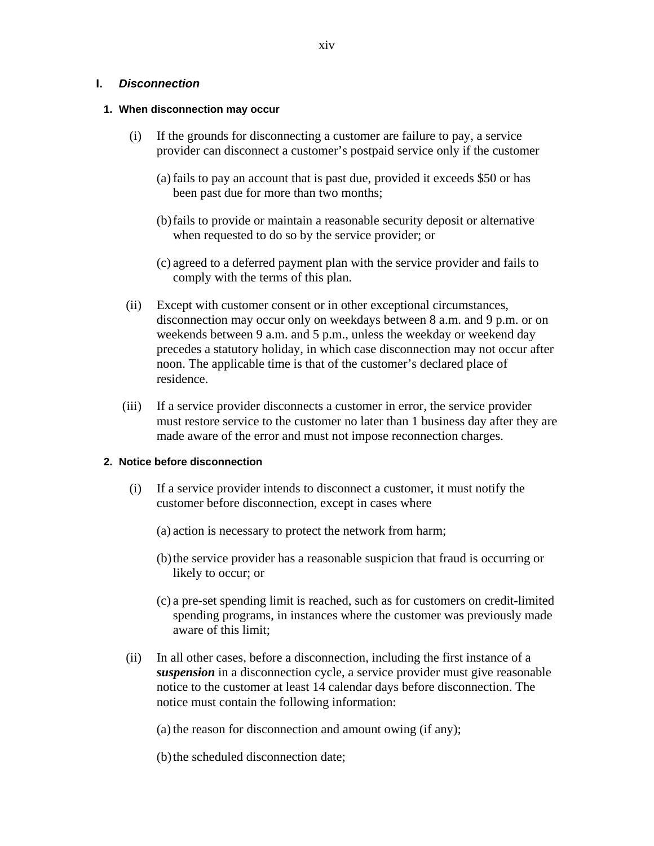### **I.** *Disconnection*

#### **1. When disconnection may occur**

- (i) If the grounds for disconnecting a customer are failure to pay, a service provider can disconnect a customer's postpaid service only if the customer
	- (a)fails to pay an account that is past due, provided it exceeds \$50 or has been past due for more than two months;
	- (b)fails to provide or maintain a reasonable security deposit or alternative when requested to do so by the service provider; or
	- (c) agreed to a deferred payment plan with the service provider and fails to comply with the terms of this plan.
- (ii) Except with customer consent or in other exceptional circumstances, disconnection may occur only on weekdays between 8 a.m. and 9 p.m. or on weekends between 9 a.m. and 5 p.m., unless the weekday or weekend day precedes a statutory holiday, in which case disconnection may not occur after noon. The applicable time is that of the customer's declared place of residence.
- (iii) If a service provider disconnects a customer in error, the service provider must restore service to the customer no later than 1 business day after they are made aware of the error and must not impose reconnection charges.

## **2. Notice before disconnection**

- (i) If a service provider intends to disconnect a customer, it must notify the customer before disconnection, except in cases where
	- (a) action is necessary to protect the network from harm;
	- (b)the service provider has a reasonable suspicion that fraud is occurring or likely to occur; or
	- (c) a pre-set spending limit is reached, such as for customers on credit-limited spending programs, in instances where the customer was previously made aware of this limit;
- (ii) In all other cases, before a disconnection, including the first instance of a *suspension* in a disconnection cycle, a service provider must give reasonable notice to the customer at least 14 calendar days before disconnection. The notice must contain the following information:

 $(a)$  the reason for disconnection and amount owing (if any);

(b) the scheduled disconnection date;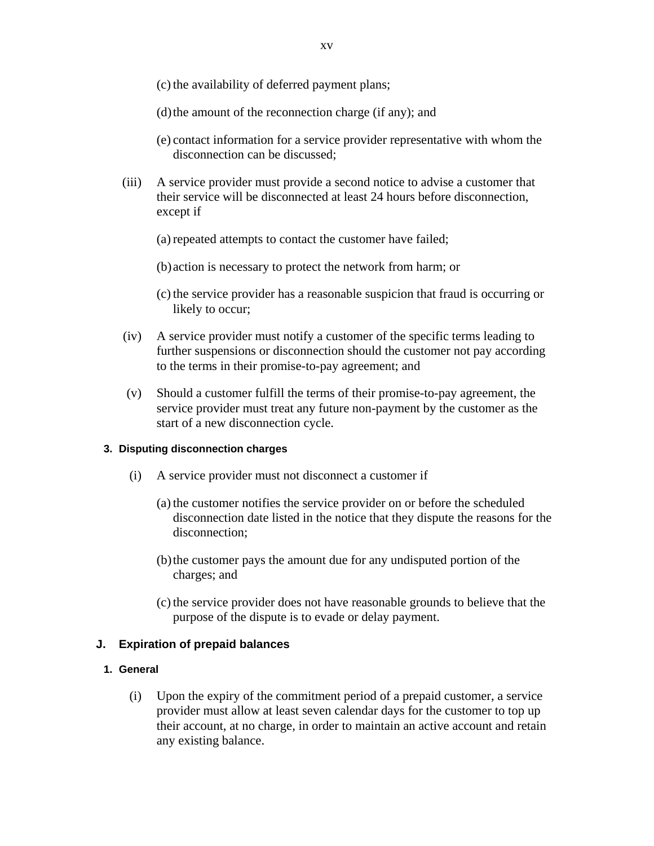- (c) the availability of deferred payment plans;
- $(d)$  the amount of the reconnection charge (if any); and
- (e) contact information for a service provider representative with whom the disconnection can be discussed;
- (iii) A service provider must provide a second notice to advise a customer that their service will be disconnected at least 24 hours before disconnection, except if
	- (a) repeated attempts to contact the customer have failed;
	- (b)action is necessary to protect the network from harm; or
	- (c)the service provider has a reasonable suspicion that fraud is occurring or likely to occur;
- (iv) A service provider must notify a customer of the specific terms leading to further suspensions or disconnection should the customer not pay according to the terms in their promise-to-pay agreement; and
- (v) Should a customer fulfill the terms of their promise-to-pay agreement, the service provider must treat any future non-payment by the customer as the start of a new disconnection cycle.

## **3. Disputing disconnection charges**

- (i) A service provider must not disconnect a customer if
	- (a)the customer notifies the service provider on or before the scheduled disconnection date listed in the notice that they dispute the reasons for the disconnection;
	- (b)the customer pays the amount due for any undisputed portion of the charges; and
	- (c)the service provider does not have reasonable grounds to believe that the purpose of the dispute is to evade or delay payment.

## **J. Expiration of prepaid balances**

## **1. General**

(i) Upon the expiry of the commitment period of a prepaid customer, a service provider must allow at least seven calendar days for the customer to top up their account, at no charge, in order to maintain an active account and retain any existing balance.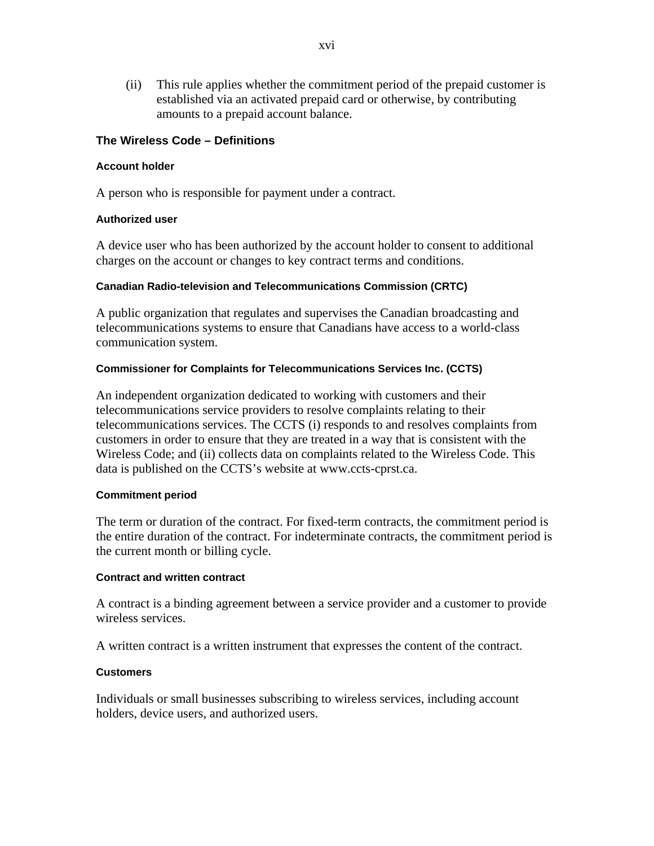(ii) This rule applies whether the commitment period of the prepaid customer is established via an activated prepaid card or otherwise, by contributing amounts to a prepaid account balance.

## **The Wireless Code – Definitions**

#### **Account holder**

A person who is responsible for payment under a contract.

## **Authorized user**

A device user who has been authorized by the account holder to consent to additional charges on the account or changes to key contract terms and conditions.

#### **Canadian Radio-television and Telecommunications Commission (CRTC)**

A public organization that regulates and supervises the Canadian broadcasting and telecommunications systems to ensure that Canadians have access to a world-class communication system.

## **Commissioner for Complaints for Telecommunications Services Inc. (CCTS)**

An independent organization dedicated to working with customers and their telecommunications service providers to resolve complaints relating to their telecommunications services. The CCTS (i) responds to and resolves complaints from customers in order to ensure that they are treated in a way that is consistent with the Wireless Code; and (ii) collects data on complaints related to the Wireless Code. This data is published on the CCTS's website at www.ccts-cprst.ca.

#### **Commitment period**

The term or duration of the contract. For fixed-term contracts, the commitment period is the entire duration of the contract. For indeterminate contracts, the commitment period is the current month or billing cycle.

#### **Contract and written contract**

A contract is a binding agreement between a service provider and a customer to provide wireless services.

A written contract is a written instrument that expresses the content of the contract.

## **Customers**

Individuals or small businesses subscribing to wireless services, including account holders, device users, and authorized users.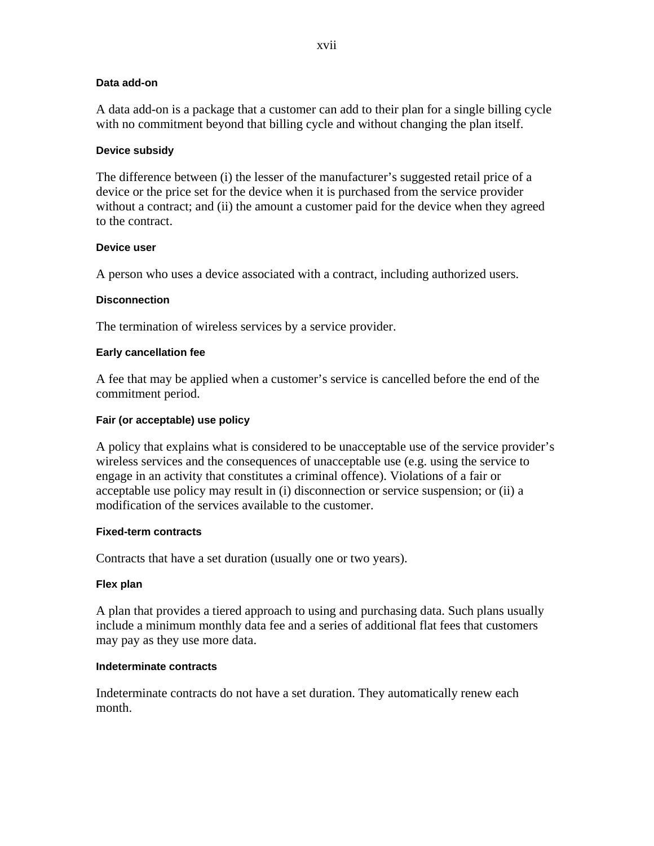## **Data add-on**

A data add-on is a package that a customer can add to their plan for a single billing cycle with no commitment beyond that billing cycle and without changing the plan itself.

## **Device subsidy**

The difference between (i) the lesser of the manufacturer's suggested retail price of a device or the price set for the device when it is purchased from the service provider without a contract; and (ii) the amount a customer paid for the device when they agreed to the contract.

## **Device user**

A person who uses a device associated with a contract, including authorized users.

## **Disconnection**

The termination of wireless services by a service provider.

## **Early cancellation fee**

A fee that may be applied when a customer's service is cancelled before the end of the commitment period.

## **Fair (or acceptable) use policy**

A policy that explains what is considered to be unacceptable use of the service provider's wireless services and the consequences of unacceptable use (e.g. using the service to engage in an activity that constitutes a criminal offence). Violations of a fair or acceptable use policy may result in (i) disconnection or service suspension; or (ii) a modification of the services available to the customer.

## **Fixed-term contracts**

Contracts that have a set duration (usually one or two years).

## **Flex plan**

A plan that provides a tiered approach to using and purchasing data. Such plans usually include a minimum monthly data fee and a series of additional flat fees that customers may pay as they use more data.

## **Indeterminate contracts**

Indeterminate contracts do not have a set duration. They automatically renew each month.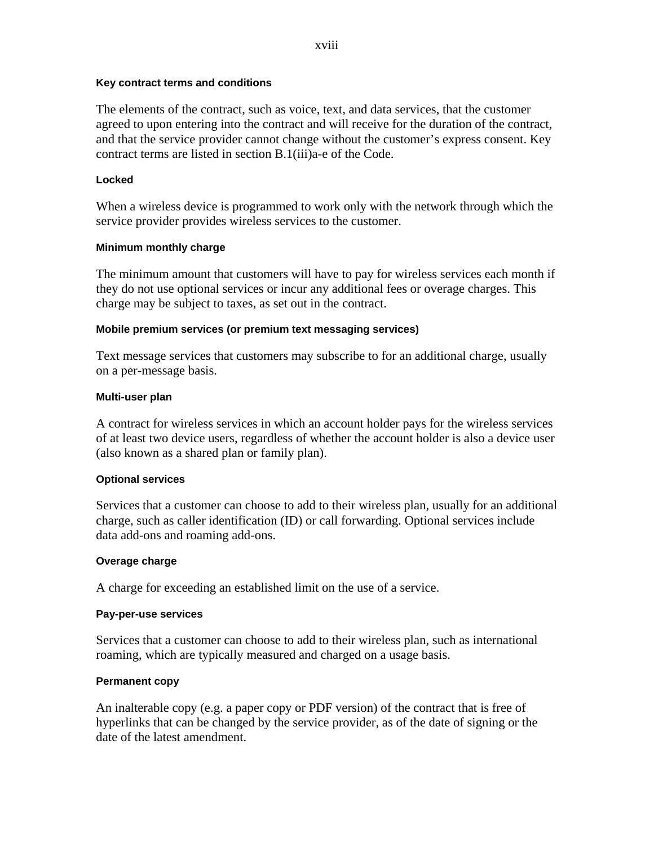## **Key contract terms and conditions**

The elements of the contract, such as voice, text, and data services, that the customer agreed to upon entering into the contract and will receive for the duration of the contract, and that the service provider cannot change without the customer's express consent. Key contract terms are listed in section B.1(iii)a-e of the Code.

## **Locked**

When a wireless device is programmed to work only with the network through which the service provider provides wireless services to the customer.

## **Minimum monthly charge**

The minimum amount that customers will have to pay for wireless services each month if they do not use optional services or incur any additional fees or overage charges. This charge may be subject to taxes, as set out in the contract.

## **Mobile premium services (or premium text messaging services)**

Text message services that customers may subscribe to for an additional charge, usually on a per-message basis.

## **Multi-user plan**

A contract for wireless services in which an account holder pays for the wireless services of at least two device users, regardless of whether the account holder is also a device user (also known as a shared plan or family plan).

## **Optional services**

Services that a customer can choose to add to their wireless plan, usually for an additional charge, such as caller identification (ID) or call forwarding. Optional services include data add-ons and roaming add-ons.

## **Overage charge**

A charge for exceeding an established limit on the use of a service.

## **Pay-per-use services**

Services that a customer can choose to add to their wireless plan, such as international roaming, which are typically measured and charged on a usage basis.

## **Permanent copy**

An inalterable copy (e.g. a paper copy or PDF version) of the contract that is free of hyperlinks that can be changed by the service provider, as of the date of signing or the date of the latest amendment.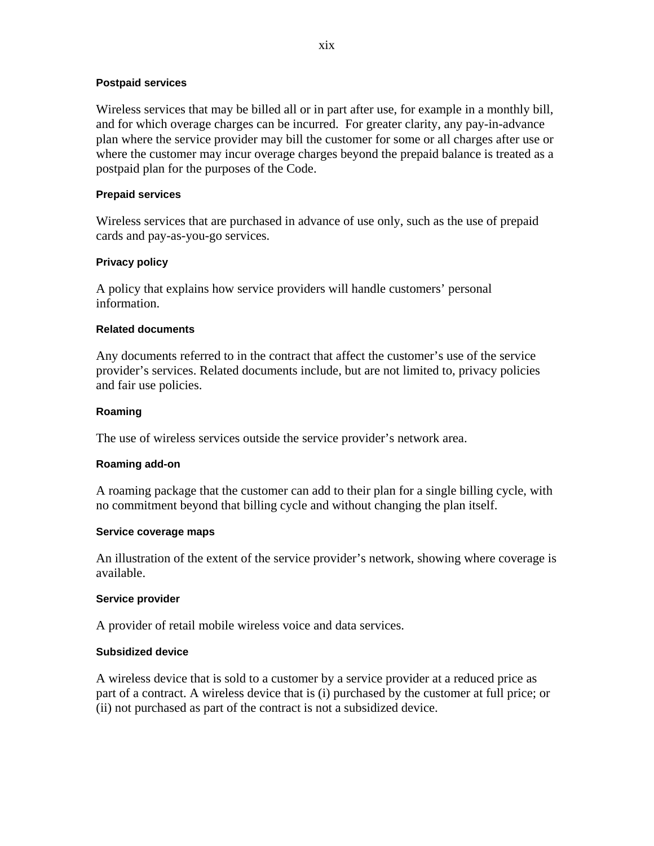## **Postpaid services**

Wireless services that may be billed all or in part after use, for example in a monthly bill, and for which overage charges can be incurred. For greater clarity, any pay-in-advance plan where the service provider may bill the customer for some or all charges after use or where the customer may incur overage charges beyond the prepaid balance is treated as a postpaid plan for the purposes of the Code.

### **Prepaid services**

Wireless services that are purchased in advance of use only, such as the use of prepaid cards and pay-as-you-go services.

## **Privacy policy**

A policy that explains how service providers will handle customers' personal information.

#### **Related documents**

Any documents referred to in the contract that affect the customer's use of the service provider's services. Related documents include, but are not limited to, privacy policies and fair use policies.

#### **Roaming**

The use of wireless services outside the service provider's network area.

#### **Roaming add-on**

A roaming package that the customer can add to their plan for a single billing cycle, with no commitment beyond that billing cycle and without changing the plan itself.

#### **Service coverage maps**

An illustration of the extent of the service provider's network, showing where coverage is available.

## **Service provider**

A provider of retail mobile wireless voice and data services.

## **Subsidized device**

A wireless device that is sold to a customer by a service provider at a reduced price as part of a contract. A wireless device that is (i) purchased by the customer at full price; or (ii) not purchased as part of the contract is not a subsidized device.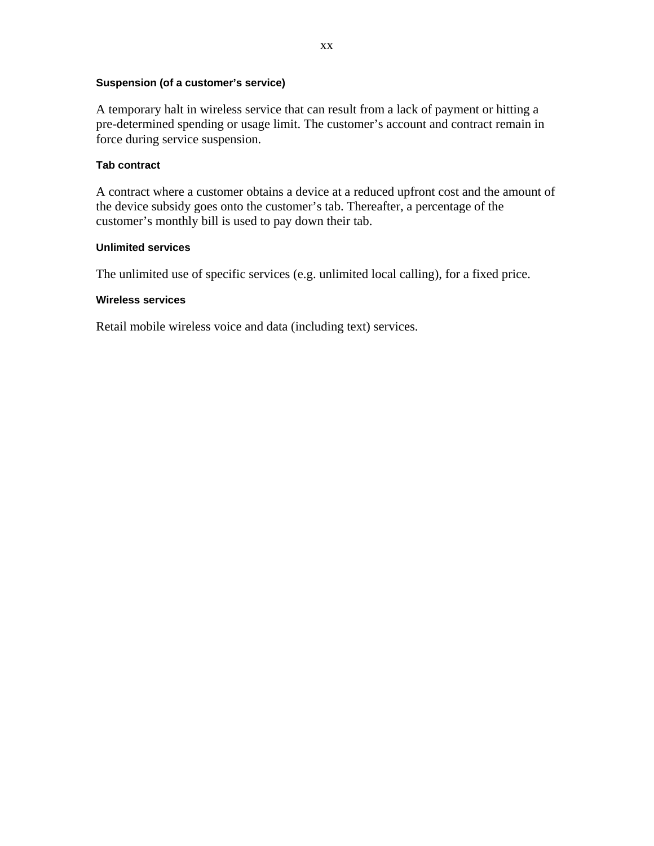## **Suspension (of a customer's service)**

A temporary halt in wireless service that can result from a lack of payment or hitting a pre-determined spending or usage limit. The customer's account and contract remain in force during service suspension.

## **Tab contract**

A contract where a customer obtains a device at a reduced upfront cost and the amount of the device subsidy goes onto the customer's tab. Thereafter, a percentage of the customer's monthly bill is used to pay down their tab.

## **Unlimited services**

The unlimited use of specific services (e.g. unlimited local calling), for a fixed price.

#### **Wireless services**

Retail mobile wireless voice and data (including text) services.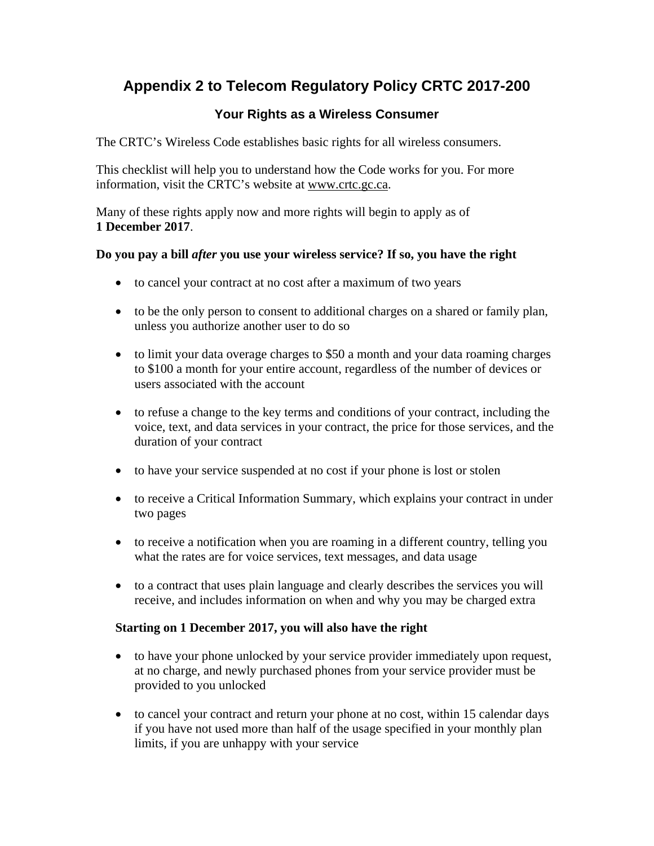# **Appendix 2 to Telecom Regulatory Policy CRTC 2017-200**

# **Your Rights as a Wireless Consumer**

The CRTC's Wireless Code establishes basic rights for all wireless consumers.

This checklist will help you to understand how the Code works for you. For more information, visit the CRTC's website at www.crtc.gc.ca.

Many of these rights apply now and more rights will begin to apply as of **1 December 2017**.

# **Do you pay a bill** *after* **you use your wireless service? If so, you have the right**

- to cancel your contract at no cost after a maximum of two years
- to be the only person to consent to additional charges on a shared or family plan, unless you authorize another user to do so
- to limit your data overage charges to \$50 a month and your data roaming charges to \$100 a month for your entire account, regardless of the number of devices or users associated with the account
- to refuse a change to the key terms and conditions of your contract, including the voice, text, and data services in your contract, the price for those services, and the duration of your contract
- to have your service suspended at no cost if your phone is lost or stolen
- to receive a Critical Information Summary, which explains your contract in under two pages
- to receive a notification when you are roaming in a different country, telling you what the rates are for voice services, text messages, and data usage
- to a contract that uses plain language and clearly describes the services you will receive, and includes information on when and why you may be charged extra

# **Starting on 1 December 2017, you will also have the right**

- to have your phone unlocked by your service provider immediately upon request, at no charge, and newly purchased phones from your service provider must be provided to you unlocked
- to cancel your contract and return your phone at no cost, within 15 calendar days if you have not used more than half of the usage specified in your monthly plan limits, if you are unhappy with your service